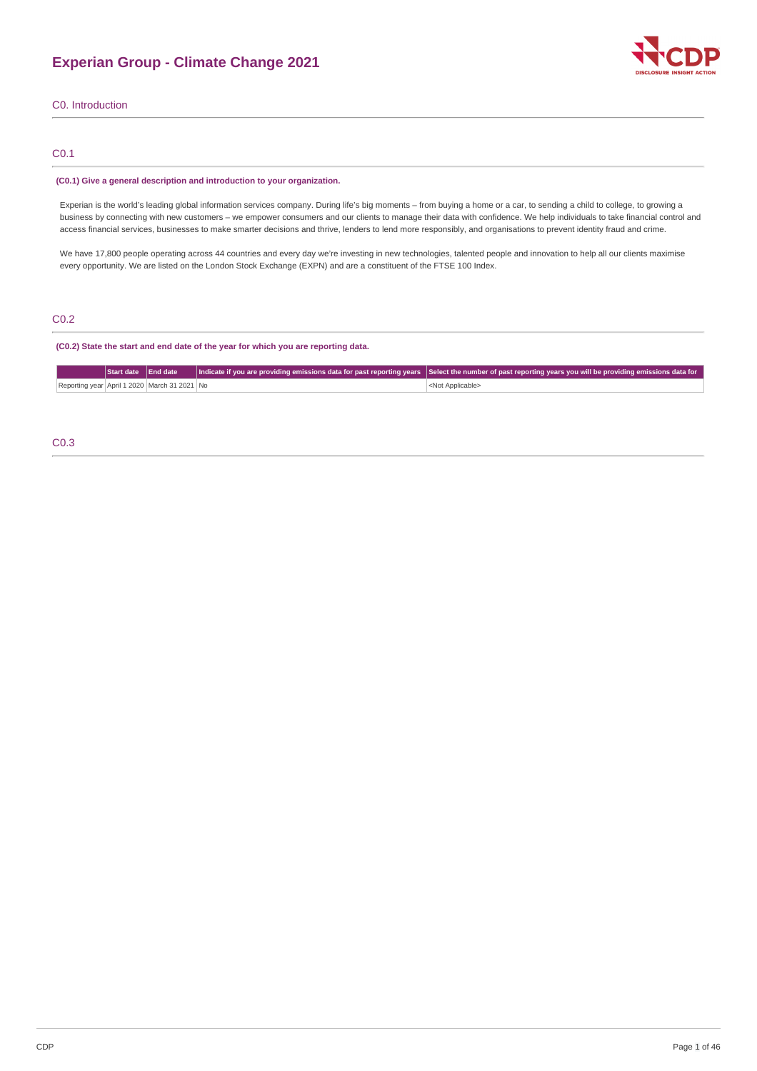

C0. Introduction

# C0.1

### **(C0.1) Give a general description and introduction to your organization.**

Experian is the world's leading global information services company. During life's big moments – from buying a home or a car, to sending a child to college, to growing a business by connecting with new customers – we empower consumers and our clients to manage their data with confidence. We help individuals to take financial control and access financial services, businesses to make smarter decisions and thrive, lenders to lend more responsibly, and organisations to prevent identity fraud and crime.

We have 17,800 people operating across 44 countries and every day we're investing in new technologies, talented people and innovation to help all our clients maximise every opportunity. We are listed on the London Stock Exchange (EXPN) and are a constituent of the FTSE 100 Index.

# C0.2

### **(C0.2) State the start and end date of the year for which you are reporting data.**

|                                              | Start date End date |  | Indicate if you are providing emissions data for past reporting years  Select the number of past reporting years you will be providing emissions data for |
|----------------------------------------------|---------------------|--|-----------------------------------------------------------------------------------------------------------------------------------------------------------|
| Reporting year April 1 2020 March 31 2021 No |                     |  | <not applicable=""></not>                                                                                                                                 |

# C0.3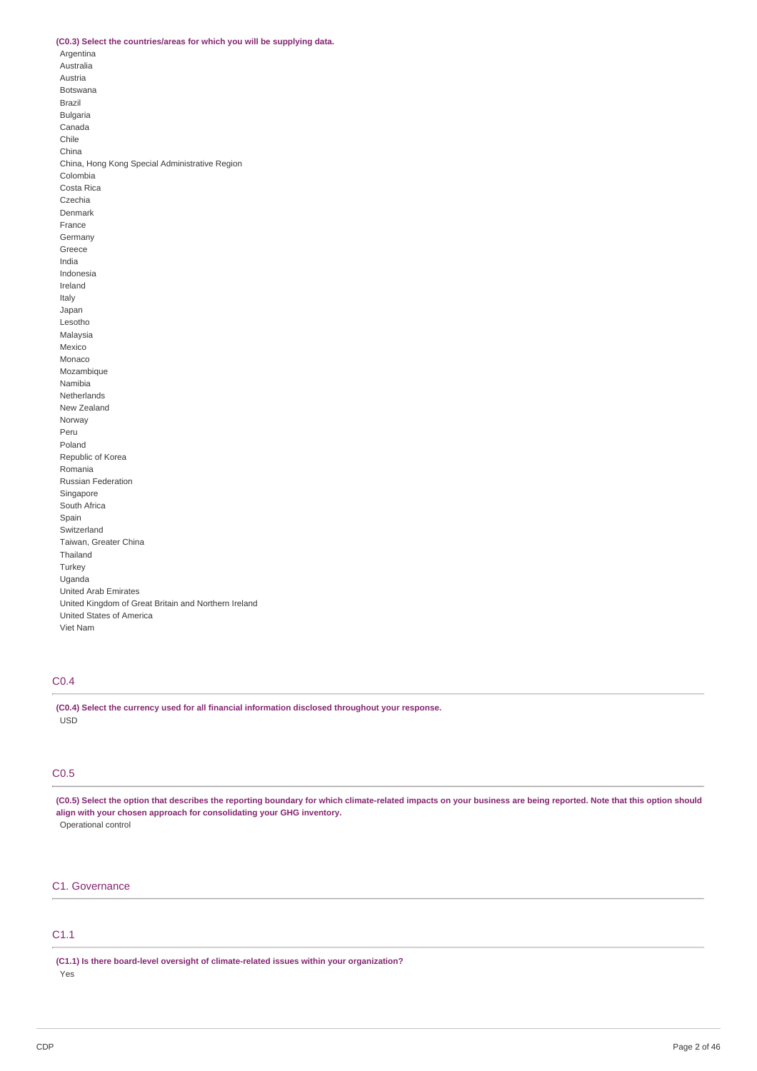### **(C0.3) Select the countries/areas for which you will be supplying data.**

Argentina Australia Austria Botswana Brazil Bulgaria Canada Chile China China, Hong Kong Special Administrative Region Colombia Costa Rica Czechia Denmark France Germany Greece India Indonesia Ireland Italy Japan Lesotho Malaysia Mexico Monaco Mozambique Namibia Netherlands New Zealand Norway Peru Poland Republic of Korea Romania Russian Federation Singapore South Africa Spain Switzerland Taiwan, Greater China Thailand Turkey Uganda United Arab Emirates United Kingdom of Great Britain and Northern Ireland United States of America Viet Nam

# C0.4

**(C0.4) Select the currency used for all financial information disclosed throughout your response.** USD

# C0.5

(C0.5) Select the option that describes the reporting boundary for which climate-related impacts on your business are being reported. Note that this option should **align with your chosen approach for consolidating your GHG inventory.** Operational control

# C1. Governance

#### C1.1

**(C1.1) Is there board-level oversight of climate-related issues within your organization?**

Yes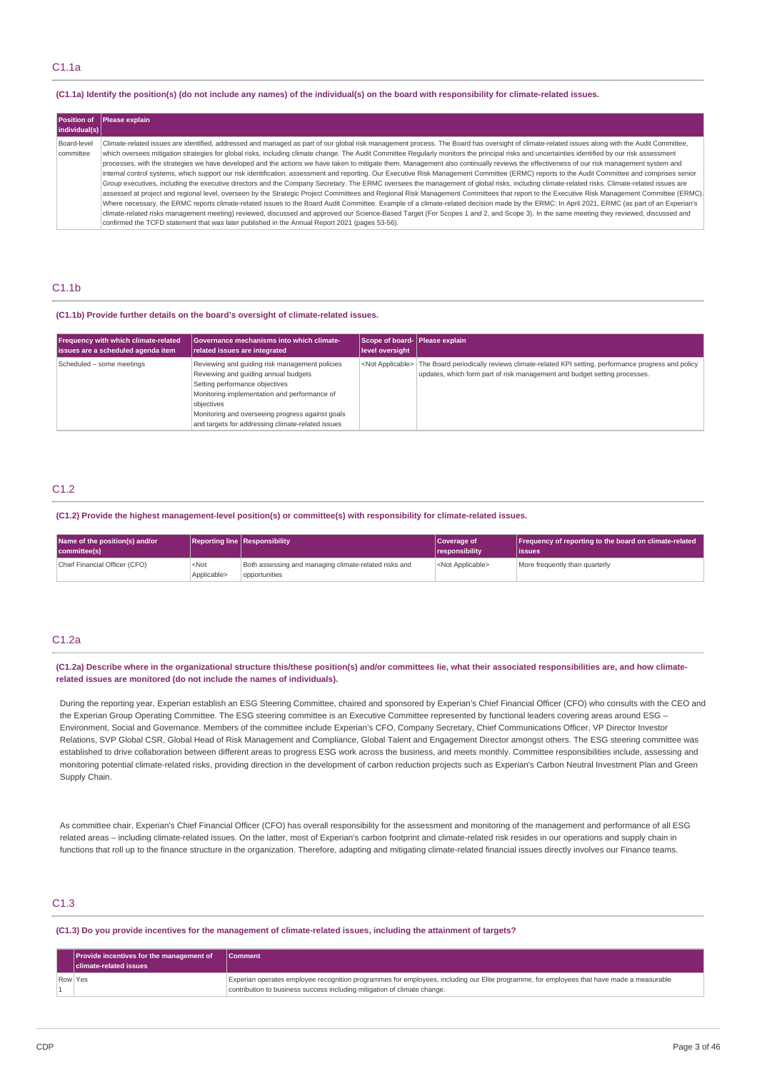### (C1.1a) Identify the position(s) (do not include any names) of the individual(s) on the board with responsibility for climate-related issues.

| <b>Position of</b><br>individual(s) | Please explain                                                                                                                                                                                                                                                                                                                                                                                                                                                                                                                                                                                                                                                                                                                                                                                                                                                                                                                                                                                                                                                                                                                                                                                                                                                                                                                                                                                                                                                                                                                                                                                                                                                                            |
|-------------------------------------|-------------------------------------------------------------------------------------------------------------------------------------------------------------------------------------------------------------------------------------------------------------------------------------------------------------------------------------------------------------------------------------------------------------------------------------------------------------------------------------------------------------------------------------------------------------------------------------------------------------------------------------------------------------------------------------------------------------------------------------------------------------------------------------------------------------------------------------------------------------------------------------------------------------------------------------------------------------------------------------------------------------------------------------------------------------------------------------------------------------------------------------------------------------------------------------------------------------------------------------------------------------------------------------------------------------------------------------------------------------------------------------------------------------------------------------------------------------------------------------------------------------------------------------------------------------------------------------------------------------------------------------------------------------------------------------------|
| Board-level<br>committee            | Climate-related issues are identified, addressed and managed as part of our global risk management process. The Board has oversight of climate-related issues along with the Audit Committee,<br>which oversees mitigation strategies for global risks, including climate change. The Audit Committee Regularly monitors the principal risks and uncertainties identified by our risk assessment<br>processes, with the strategies we have developed and the actions we have taken to mitigate them. Management also continually reviews the effectiveness of our risk management system and<br>internal control systems, which support our risk identification, assessment and reporting. Our Executive Risk Management Committee (ERMC) reports to the Audit Committee and comprises senior<br>Group executives, including the executive directors and the Company Secretary. The ERMC oversees the management of global risks, including climate-related risks. Climate-related issues are<br>assessed at project and regional level, overseen by the Strategic Project Committees and Regional Risk Management Committees that report to the Executive Risk Management Committee (ERMC).<br>Where necessary, the ERMC reports climate-related issues to the Board Audit Committee. Example of a climate-related decision made by the ERMC: In April 2021, ERMC (as part of an Experian's<br>climate-related risks management meeting) reviewed, discussed and approved our Science-Based Target (For Scopes 1 and 2, and Scope 3). In the same meeting they reviewed, discussed and<br>confirmed the TCFD statement that was later published in the Annual Report 2021 (pages 53-56). |

### C1.1b

#### **(C1.1b) Provide further details on the board's oversight of climate-related issues.**

| Frequency with which climate-related | <b>Governance mechanisms into which climate-</b>                                                                                                                                                                                                                                                | Scope of board- Please explain |                                                                                                                                                                                                     |
|--------------------------------------|-------------------------------------------------------------------------------------------------------------------------------------------------------------------------------------------------------------------------------------------------------------------------------------------------|--------------------------------|-----------------------------------------------------------------------------------------------------------------------------------------------------------------------------------------------------|
| issues are a scheduled agenda item   | related issues are integrated                                                                                                                                                                                                                                                                   | level oversight                |                                                                                                                                                                                                     |
| Scheduled - some meetings            | Reviewing and quiding risk management policies<br>Reviewing and quiding annual budgets<br>Setting performance objectives<br>Monitoring implementation and performance of<br>objectives<br>Monitoring and overseeing progress against goals<br>and targets for addressing climate-related issues |                                | <not applicable=""> The Board periodically reviews climate-related KPI setting, performance progress and policy<br/>updates, which form part of risk management and budget setting processes.</not> |

# C1.2

**(C1.2) Provide the highest management-level position(s) or committee(s) with responsibility for climate-related issues.**

| Name of the position(s) and/or<br>committee(s) |                                 | <b>Reporting line Responsibility</b>                                   | Coverage of<br><i><u><b>I</b></u></i> responsibility | Frequency of reporting to the board on climate-related<br>lissues |
|------------------------------------------------|---------------------------------|------------------------------------------------------------------------|------------------------------------------------------|-------------------------------------------------------------------|
| Chief Financial Officer (CFO)                  | <not<br>Applicable&gt;</not<br> | Both assessing and managing climate-related risks and<br>opportunities | <not applicable=""></not>                            | More frequently than quarterly                                    |

# C1.2a

(C1.2a) Describe where in the organizational structure this/these position(s) and/or committees lie, what their associated responsibilities are, and how climate**related issues are monitored (do not include the names of individuals).**

During the reporting year, Experian establish an ESG Steering Committee, chaired and sponsored by Experian's Chief Financial Officer (CFO) who consults with the CEO and the Experian Group Operating Committee. The ESG steering committee is an Executive Committee represented by functional leaders covering areas around ESG – Environment, Social and Governance. Members of the committee include Experian's CFO, Company Secretary, Chief Communications Officer, VP Director Investor Relations, SVP Global CSR, Global Head of Risk Management and Compliance, Global Talent and Engagement Director amongst others. The ESG steering committee was established to drive collaboration between different areas to progress ESG work across the business, and meets monthly. Committee responsibilities include, assessing and monitoring potential climate-related risks, providing direction in the development of carbon reduction projects such as Experian's Carbon Neutral Investment Plan and Green Supply Chain.

As committee chair, Experian's Chief Financial Officer (CFO) has overall responsibility for the assessment and monitoring of the management and performance of all ESG related areas – including climate-related issues. On the latter, most of Experian's carbon footprint and climate-related risk resides in our operations and supply chain in functions that roll up to the finance structure in the organization. Therefore, adapting and mitigating climate-related financial issues directly involves our Finance teams.

# C1.3

#### (C1.3) Do you provide incentives for the management of climate-related issues, including the attainment of targets?

|         | Provide incentives for the management of<br><b>I</b> climate-related issues | <b>Comment</b>                                                                                                                                                                                                        |
|---------|-----------------------------------------------------------------------------|-----------------------------------------------------------------------------------------------------------------------------------------------------------------------------------------------------------------------|
| Row Yes |                                                                             | Experian operates employee recognition programmes for employees, including our Elite programme, for employees that have made a measurable<br>contribution to business success including mitigation of climate change. |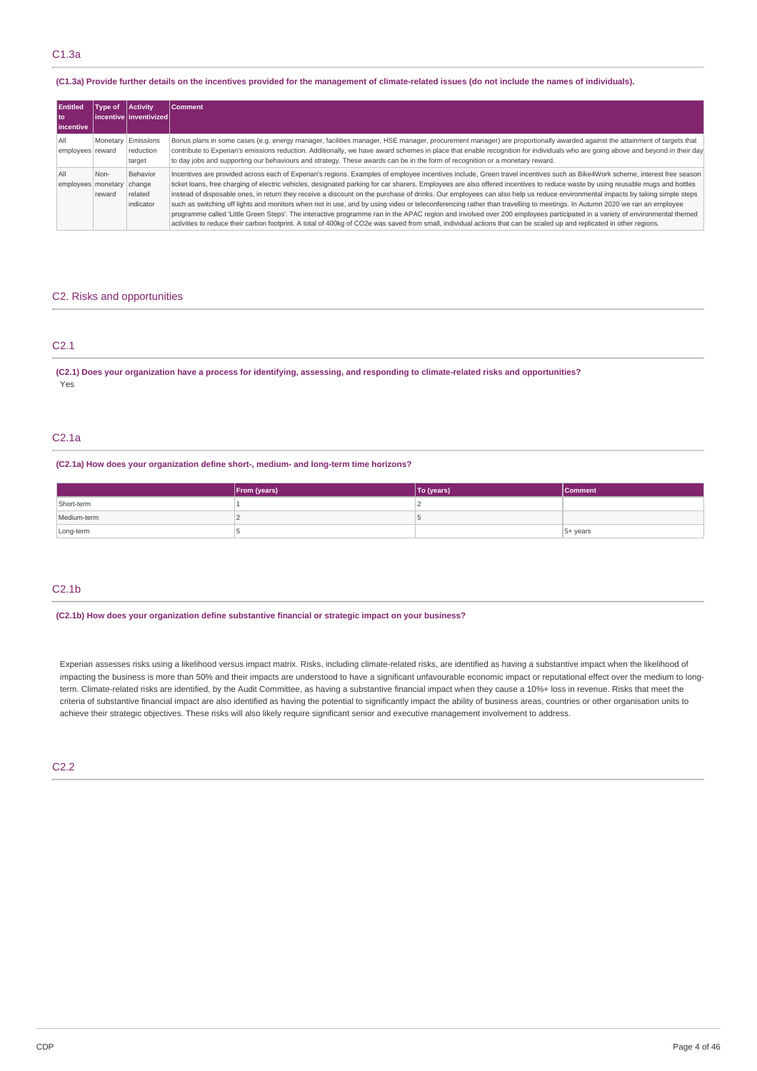#### (C1.3a) Provide further details on the incentives provided for the management of climate-related issues (do not include the names of individuals).

| <b>Entitled</b><br>l to<br>lincentive | Type of            | <b>Activity</b><br>l incentive l inventivized l | <b>Comment</b>                                                                                                                                                                                                                                                                                                                                                                                                                                                                                                                                                                                                                                                                                                                                                                                                                                                                                                                                                                                                                                                               |
|---------------------------------------|--------------------|-------------------------------------------------|------------------------------------------------------------------------------------------------------------------------------------------------------------------------------------------------------------------------------------------------------------------------------------------------------------------------------------------------------------------------------------------------------------------------------------------------------------------------------------------------------------------------------------------------------------------------------------------------------------------------------------------------------------------------------------------------------------------------------------------------------------------------------------------------------------------------------------------------------------------------------------------------------------------------------------------------------------------------------------------------------------------------------------------------------------------------------|
| All<br>employees reward               | Monetary Emissions | reduction<br>target                             | Bonus plans in some cases (e.g. energy manager, facilities manager, HSE manager, procurement manager) are proportionally awarded against the attainment of targets that<br>contribute to Experian's emissions reduction. Additionally, we have award schemes in place that enable recognition for individuals who are going above and beyond in their day<br>to day jobs and supporting our behaviours and strategy. These awards can be in the form of recognition or a monetary reward.                                                                                                                                                                                                                                                                                                                                                                                                                                                                                                                                                                                    |
| All<br>employees monetary change      | Non-<br>reward     | Behavior<br>related<br>indicator                | Incentives are provided across each of Experian's regions. Examples of employee incentives include, Green travel incentives such as Bike4Work scheme, interest free season<br>ticket loans, free charging of electric vehicles, designated parking for car sharers. Employees are also offered incentives to reduce waste by using reusable mugs and bottles<br>instead of disposable ones, in return they receive a discount on the purchase of drinks. Our employees can also help us reduce environmental impacts by taking simple steps<br>such as switching off lights and monitors when not in use, and by using video or teleconferencing rather than travelling to meetings. In Autumn 2020 we ran an employee<br>programme called 'Little Green Steps'. The interactive programme ran in the APAC region and involved over 200 employees participated in a variety of environmental themed<br>activities to reduce their carbon footprint. A total of 400kg of CO2e was saved from small, individual actions that can be scaled up and replicated in other regions. |

# C2. Risks and opportunities

# C2.1

#### (C2.1) Does your organization have a process for identifying, assessing, and responding to climate-related risks and opportunities? Yes

### C2.1a

#### **(C2.1a) How does your organization define short-, medium- and long-term time horizons?**

|             | From (years) | To (years) | <b>Comment</b> |
|-------------|--------------|------------|----------------|
| Short-term  |              |            |                |
| Medium-term |              |            |                |
| Long-term   |              |            | $5+ years$     |

# C2.1b

#### **(C2.1b) How does your organization define substantive financial or strategic impact on your business?**

Experian assesses risks using a likelihood versus impact matrix. Risks, including climate-related risks, are identified as having a substantive impact when the likelihood of impacting the business is more than 50% and their impacts are understood to have a significant unfavourable economic impact or reputational effect over the medium to longterm. Climate-related risks are identified, by the Audit Committee, as having a substantive financial impact when they cause a 10%+ loss in revenue. Risks that meet the criteria of substantive financial impact are also identified as having the potential to significantly impact the ability of business areas, countries or other organisation units to achieve their strategic objectives. These risks will also likely require significant senior and executive management involvement to address.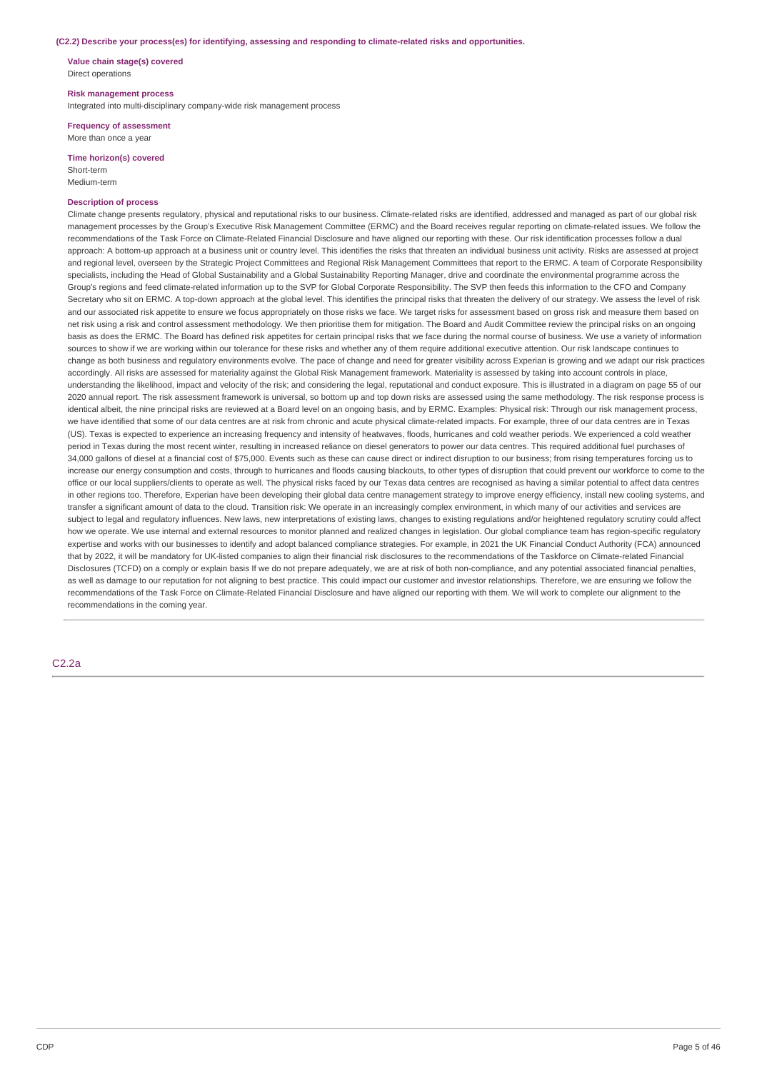#### **(C2.2) Describe your process(es) for identifying, assessing and responding to climate-related risks and opportunities.**

**Value chain stage(s) covered** Direct operations

#### **Risk management process**

Integrated into multi-disciplinary company-wide risk management process

**Frequency of assessment** More than once a year

**Time horizon(s) covered**

Short-term Medium-term

#### **Description of process**

Climate change presents regulatory, physical and reputational risks to our business. Climate-related risks are identified, addressed and managed as part of our global risk management processes by the Group's Executive Risk Management Committee (ERMC) and the Board receives regular reporting on climate-related issues. We follow the recommendations of the Task Force on Climate-Related Financial Disclosure and have aligned our reporting with these. Our risk identification processes follow a dual approach: A bottom-up approach at a business unit or country level. This identifies the risks that threaten an individual business unit activity. Risks are assessed at project and regional level, overseen by the Strategic Project Committees and Regional Risk Management Committees that report to the ERMC. A team of Corporate Responsibility specialists, including the Head of Global Sustainability and a Global Sustainability Reporting Manager, drive and coordinate the environmental programme across the Group's regions and feed climate-related information up to the SVP for Global Corporate Responsibility. The SVP then feeds this information to the CFO and Company Secretary who sit on ERMC. A top-down approach at the global level. This identifies the principal risks that threaten the delivery of our strategy. We assess the level of risk and our associated risk appetite to ensure we focus appropriately on those risks we face. We target risks for assessment based on gross risk and measure them based on net risk using a risk and control assessment methodology. We then prioritise them for mitigation. The Board and Audit Committee review the principal risks on an ongoing basis as does the ERMC. The Board has defined risk appetites for certain principal risks that we face during the normal course of business. We use a variety of information sources to show if we are working within our tolerance for these risks and whether any of them require additional executive attention. Our risk landscape continues to change as both business and regulatory environments evolve. The pace of change and need for greater visibility across Experian is growing and we adapt our risk practices accordingly. All risks are assessed for materiality against the Global Risk Management framework. Materiality is assessed by taking into account controls in place, understanding the likelihood, impact and velocity of the risk; and considering the legal, reputational and conduct exposure. This is illustrated in a diagram on page 55 of our 2020 annual report. The risk assessment framework is universal, so bottom up and top down risks are assessed using the same methodology. The risk response process is identical albeit, the nine principal risks are reviewed at a Board level on an ongoing basis, and by ERMC. Examples: Physical risk: Through our risk management process, we have identified that some of our data centres are at risk from chronic and acute physical climate-related impacts. For example, three of our data centres are in Texas (US). Texas is expected to experience an increasing frequency and intensity of heatwaves, floods, hurricanes and cold weather periods. We experienced a cold weather period in Texas during the most recent winter, resulting in increased reliance on diesel generators to power our data centres. This required additional fuel purchases of 34,000 gallons of diesel at a financial cost of \$75,000. Events such as these can cause direct or indirect disruption to our business; from rising temperatures forcing us to increase our energy consumption and costs, through to hurricanes and floods causing blackouts, to other types of disruption that could prevent our workforce to come to the office or our local suppliers/clients to operate as well. The physical risks faced by our Texas data centres are recognised as having a similar potential to affect data centres in other regions too. Therefore, Experian have been developing their global data centre management strategy to improve energy efficiency, install new cooling systems, and transfer a significant amount of data to the cloud. Transition risk: We operate in an increasingly complex environment, in which many of our activities and services are subject to legal and regulatory influences. New laws, new interpretations of existing laws, changes to existing regulations and/or heightened regulatory scrutiny could affect how we operate. We use internal and external resources to monitor planned and realized changes in legislation. Our global compliance team has region-specific regulatory expertise and works with our businesses to identify and adopt balanced compliance strategies. For example, in 2021 the UK Financial Conduct Authority (FCA) announced that by 2022, it will be mandatory for UK-listed companies to align their financial risk disclosures to the recommendations of the Taskforce on Climate-related Financial Disclosures (TCFD) on a comply or explain basis If we do not prepare adequately, we are at risk of both non-compliance, and any potential associated financial penalties, as well as damage to our reputation for not aligning to best practice. This could impact our customer and investor relationships. Therefore, we are ensuring we follow the recommendations of the Task Force on Climate-Related Financial Disclosure and have aligned our reporting with them. We will work to complete our alignment to the recommendations in the coming year.

# C2.2a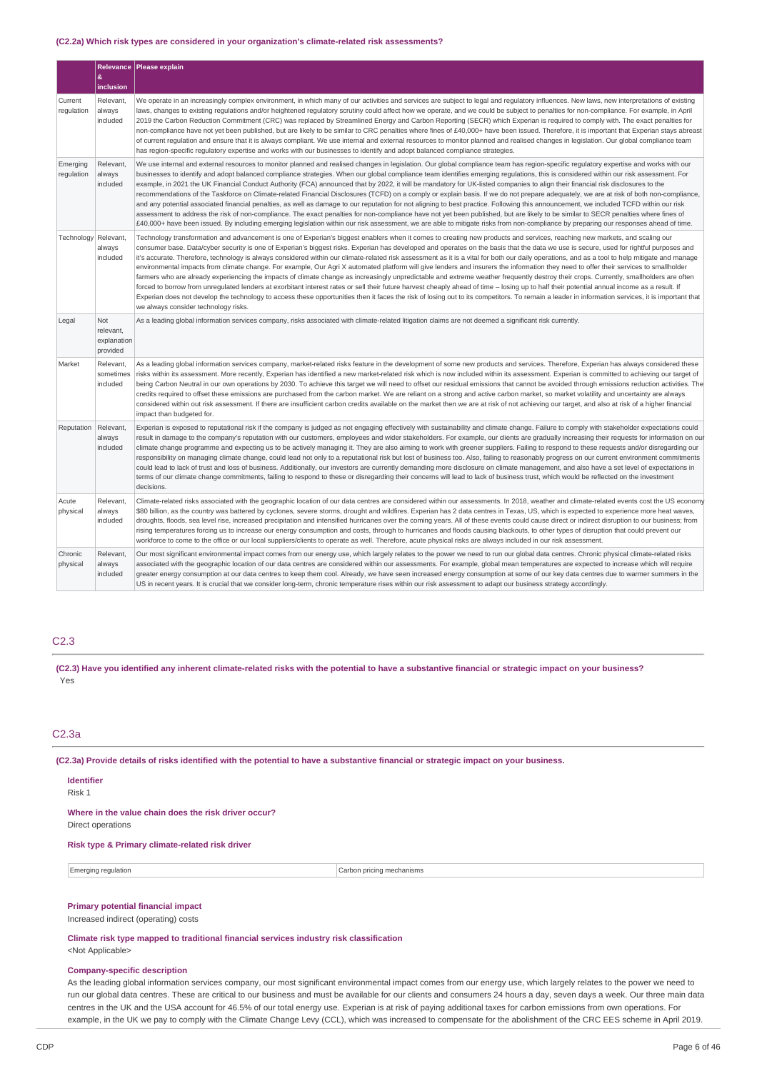#### **(C2.2a) Which risk types are considered in your organization's climate-related risk assessments?**

|                        | Relevance                                   | Please explain                                                                                                                                                                                                                                                                                                                                                                                                                                                                                                                                                                                                                                                                                                                                                                                                                                                                                                                                                                                                                                                                                                                                                                                                                                                                                                                                                                                       |
|------------------------|---------------------------------------------|------------------------------------------------------------------------------------------------------------------------------------------------------------------------------------------------------------------------------------------------------------------------------------------------------------------------------------------------------------------------------------------------------------------------------------------------------------------------------------------------------------------------------------------------------------------------------------------------------------------------------------------------------------------------------------------------------------------------------------------------------------------------------------------------------------------------------------------------------------------------------------------------------------------------------------------------------------------------------------------------------------------------------------------------------------------------------------------------------------------------------------------------------------------------------------------------------------------------------------------------------------------------------------------------------------------------------------------------------------------------------------------------------|
|                        | 8<br>inclusion                              |                                                                                                                                                                                                                                                                                                                                                                                                                                                                                                                                                                                                                                                                                                                                                                                                                                                                                                                                                                                                                                                                                                                                                                                                                                                                                                                                                                                                      |
| Current<br>regulation  | Relevant<br>always<br>included              | We operate in an increasingly complex environment, in which many of our activities and services are subject to legal and regulatory influences. New laws, new interpretations of existing<br>laws, changes to existing regulations and/or heightened regulatory scrutiny could affect how we operate, and we could be subject to penalties for non-compliance. For example, in April<br>2019 the Carbon Reduction Commitment (CRC) was replaced by Streamlined Energy and Carbon Reporting (SECR) which Experian is required to comply with. The exact penalties for<br>non-compliance have not yet been published, but are likely to be similar to CRC penalties where fines of £40,000+ have been issued. Therefore, it is important that Experian stays abreast<br>of current regulation and ensure that it is always compliant. We use internal and external resources to monitor planned and realised changes in legislation. Our global compliance team<br>has region-specific regulatory expertise and works with our businesses to identify and adopt balanced compliance strategies.                                                                                                                                                                                                                                                                                                        |
| Emerging<br>regulation | Relevant,<br>always<br>included             | We use internal and external resources to monitor planned and realised changes in legislation. Our global compliance team has region-specific regulatory expertise and works with our<br>businesses to identify and adopt balanced compliance strategies. When our global compliance team identifies emerging regulations, this is considered within our risk assessment. For<br>example, in 2021 the UK Financial Conduct Authority (FCA) announced that by 2022, it will be mandatory for UK-listed companies to align their financial risk disclosures to the<br>recommendations of the Taskforce on Climate-related Financial Disclosures (TCFD) on a comply or explain basis. If we do not prepare adequately, we are at risk of both non-compliance,<br>and any potential associated financial penalties, as well as damage to our reputation for not aligning to best practice. Following this announcement, we included TCFD within our risk<br>assessment to address the risk of non-compliance. The exact penalties for non-compliance have not yet been published, but are likely to be similar to SECR penalties where fines of<br>£40,000+ have been issued. By including emerging legislation within our risk assessment, we are able to mitigate risks from non-compliance by preparing our responses ahead of time.                                                                  |
| Technology             | Relevant,<br>always<br>included             | Technology transformation and advancement is one of Experian's biggest enablers when it comes to creating new products and services, reaching new markets, and scaling our<br>consumer base. Data/cyber security is one of Experian's biggest risks. Experian has developed and operates on the basis that the data we use is secure, used for rightful purposes and<br>it's accurate. Therefore, technology is always considered within our climate-related risk assessment as it is a vital for both our daily operations, and as a tool to help mitigate and manage<br>environmental impacts from climate change. For example, Our Agri X automated platform will give lenders and insurers the information they need to offer their services to smallholder<br>farmers who are already experiencing the impacts of climate change as increasingly unpredictable and extreme weather frequently destroy their crops. Currently, smallholders are often<br>forced to borrow from unregulated lenders at exorbitant interest rates or sell their future harvest cheaply ahead of time – losing up to half their potential annual income as a result. If<br>Experian does not develop the technology to access these opportunities then it faces the risk of losing out to its competitors. To remain a leader in information services, it is important that<br>we always consider technology risks. |
| Legal                  | Not<br>relevant,<br>explanation<br>provided | As a leading global information services company, risks associated with climate-related litigation claims are not deemed a significant risk currently.                                                                                                                                                                                                                                                                                                                                                                                                                                                                                                                                                                                                                                                                                                                                                                                                                                                                                                                                                                                                                                                                                                                                                                                                                                               |
| Market                 | Relevant,<br>sometimes<br>included          | As a leading global information services company, market-related risks feature in the development of some new products and services. Therefore, Experian has always considered these<br>risks within its assessment. More recently, Experian has identified a new market-related risk which is now included within its assessment. Experian is committed to achieving our target of<br>being Carbon Neutral in our own operations by 2030. To achieve this target we will need to offset our residual emissions that cannot be avoided through emissions reduction activities. The<br>credits required to offset these emissions are purchased from the carbon market. We are reliant on a strong and active carbon market, so market volatility and uncertainty are always<br>considered within out risk assessment. If there are insufficient carbon credits available on the market then we are at risk of not achieving our target, and also at risk of a higher financial<br>impact than budgeted for.                                                                                                                                                                                                                                                                                                                                                                                          |
| Reputation             | Relevant,<br>always<br>included             | Experian is exposed to reputational risk if the company is judged as not engaging effectively with sustainability and climate change. Failure to comply with stakeholder expectations could<br>result in damage to the company's reputation with our customers, employees and wider stakeholders. For example, our clients are gradually increasing their requests for information on our<br>climate change programme and expecting us to be actively managing it. They are also aiming to work with greener suppliers. Failing to respond to these requests and/or disregarding our<br>responsibility on managing climate change, could lead not only to a reputational risk but lost of business too. Also, failing to reasonably progress on our current environment commitments<br>could lead to lack of trust and loss of business. Additionally, our investors are currently demanding more disclosure on climate management, and also have a set level of expectations in<br>terms of our climate change commitments, failing to respond to these or disregarding their concerns will lead to lack of business trust, which would be reflected on the investment<br>decisions.                                                                                                                                                                                                                |
| Acute<br>physical      | Relevant,<br>always<br>included             | Climate-related risks associated with the geographic location of our data centres are considered within our assessments. In 2018, weather and climate-related events cost the US economy<br>\$80 billion, as the country was battered by cyclones, severe storms, drought and wildfires. Experian has 2 data centres in Texas, US, which is expected to experience more heat waves,<br>droughts, floods, sea level rise, increased precipitation and intensified hurricanes over the coming years. All of these events could cause direct or indirect disruption to our business; from<br>rising temperatures forcing us to increase our energy consumption and costs, through to hurricanes and floods causing blackouts, to other types of disruption that could prevent our<br>workforce to come to the office or our local suppliers/clients to operate as well. Therefore, acute physical risks are always included in our risk assessment.                                                                                                                                                                                                                                                                                                                                                                                                                                                     |
| Chronic<br>physical    | Relevant.<br>always<br>included             | Our most significant environmental impact comes from our energy use, which largely relates to the power we need to run our global data centres. Chronic physical climate-related risks<br>associated with the geographic location of our data centres are considered within our assessments. For example, global mean temperatures are expected to increase which will require<br>greater energy consumption at our data centres to keep them cool. Already, we have seen increased energy consumption at some of our key data centres due to warmer summers in the<br>US in recent years. It is crucial that we consider long-term, chronic temperature rises within our risk assessment to adapt our business strategy accordingly.                                                                                                                                                                                                                                                                                                                                                                                                                                                                                                                                                                                                                                                                |

# C2.3

(C2.3) Have you identified any inherent climate-related risks with the potential to have a substantive financial or strategic impact on your business? Yes

# C2.3a

(C2.3a) Provide details of risks identified with the potential to have a substantive financial or strategic impact on your business.

#### **Identifier** Risk 1

**Where in the value chain does the risk driver occur?**

Direct operations

#### **Risk type & Primary climate-related risk driver**

Emerging regulation **Carbon pricing mechanisms** Carbon pricing mechanisms

### **Primary potential financial impact**

Increased indirect (operating) costs

**Climate risk type mapped to traditional financial services industry risk classification**

# <Not Applicable>

# **Company-specific description**

As the leading global information services company, our most significant environmental impact comes from our energy use, which largely relates to the power we need to run our global data centres. These are critical to our business and must be available for our clients and consumers 24 hours a day, seven days a week. Our three main data centres in the UK and the USA account for 46.5% of our total energy use. Experian is at risk of paying additional taxes for carbon emissions from own operations. For example, in the UK we pay to comply with the Climate Change Levy (CCL), which was increased to compensate for the abolishment of the CRC EES scheme in April 2019.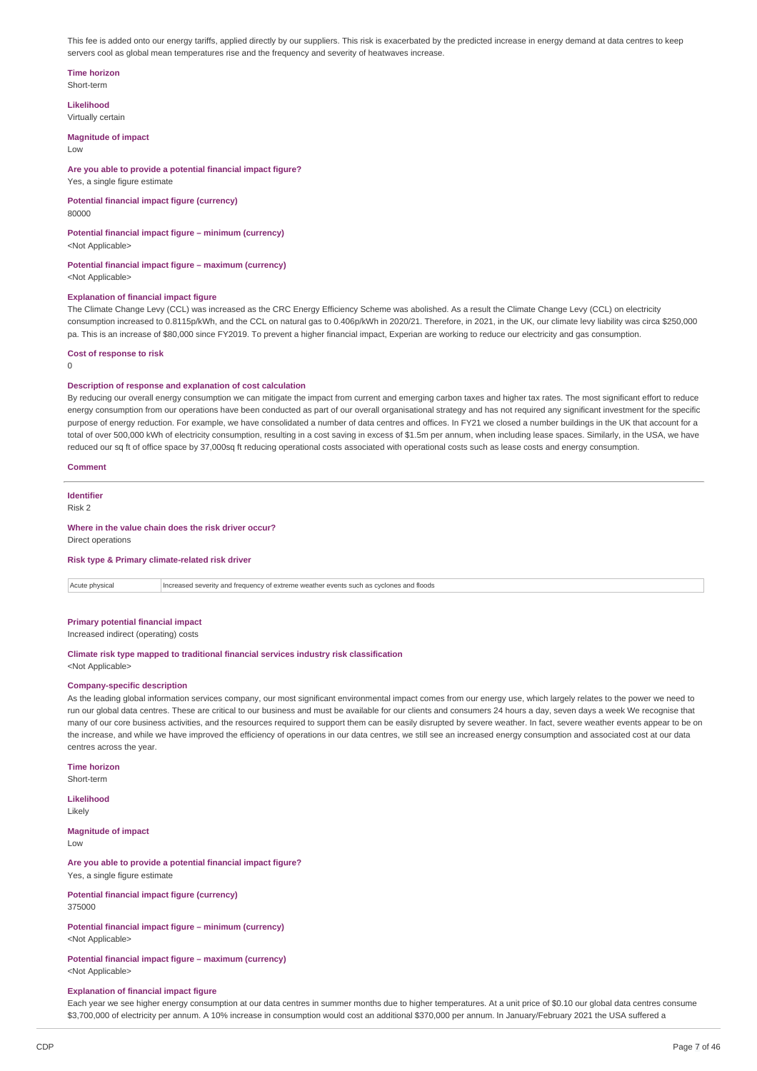This fee is added onto our energy tariffs, applied directly by our suppliers. This risk is exacerbated by the predicted increase in energy demand at data centres to keep servers cool as global mean temperatures rise and the frequency and severity of heatwaves increase.

#### **Time horizon** Short-term

**Likelihood**

Virtually certain

**Magnitude of impact**

Low

# **Are you able to provide a potential financial impact figure?**

Yes, a single figure estimate

# **Potential financial impact figure (currency)**

80000

#### **Potential financial impact figure – minimum (currency)** <Not Applicable>

### **Potential financial impact figure – maximum (currency)** <Not Applicable>

#### **Explanation of financial impact figure**

The Climate Change Levy (CCL) was increased as the CRC Energy Efficiency Scheme was abolished. As a result the Climate Change Levy (CCL) on electricity consumption increased to 0.8115p/kWh, and the CCL on natural gas to 0.406p/kWh in 2020/21. Therefore, in 2021, in the UK, our climate levy liability was circa \$250,000 pa. This is an increase of \$80,000 since FY2019. To prevent a higher financial impact, Experian are working to reduce our electricity and gas consumption.

### **Cost of response to risk**

 $\theta$ 

# **Description of response and explanation of cost calculation**

By reducing our overall energy consumption we can mitigate the impact from current and emerging carbon taxes and higher tax rates. The most significant effort to reduce energy consumption from our operations have been conducted as part of our overall organisational strategy and has not required any significant investment for the specific purpose of energy reduction. For example, we have consolidated a number of data centres and offices. In FY21 we closed a number buildings in the UK that account for a total of over 500,000 kWh of electricity consumption, resulting in a cost saving in excess of \$1.5m per annum, when including lease spaces. Similarly, in the USA, we have reduced our sq ft of office space by 37,000sq ft reducing operational costs associated with operational costs such as lease costs and energy consumption.

#### **Comment**

**Identifier** Risk 2

#### **Where in the value chain does the risk driver occur?**

Direct operations

#### **Risk type & Primary climate-related risk driver**

Acute physical Increased severity and frequency of extreme weather events such as cyclones and floods

# **Primary potential financial impact**

Increased indirect (operating) costs

# **Climate risk type mapped to traditional financial services industry risk classification**

<Not Applicable>

#### **Company-specific description**

As the leading global information services company, our most significant environmental impact comes from our energy use, which largely relates to the power we need to run our global data centres. These are critical to our business and must be available for our clients and consumers 24 hours a day, seven days a week We recognise that many of our core business activities, and the resources required to support them can be easily disrupted by severe weather. In fact, severe weather events appear to be on the increase, and while we have improved the efficiency of operations in our data centres, we still see an increased energy consumption and associated cost at our data centres across the year.

#### **Time horizon**

Short-term

### **Likelihood**

Likely

#### **Magnitude of impact** Low

**Are you able to provide a potential financial impact figure?** Yes, a single figure estimate

#### **Potential financial impact figure (currency)** 375000

### **Potential financial impact figure – minimum (currency)** <Not Applicable>

**Potential financial impact figure – maximum (currency)** <Not Applicable>

#### **Explanation of financial impact figure**

Each year we see higher energy consumption at our data centres in summer months due to higher temperatures. At a unit price of \$0.10 our global data centres consume \$3,700,000 of electricity per annum. A 10% increase in consumption would cost an additional \$370,000 per annum. In January/February 2021 the USA suffered a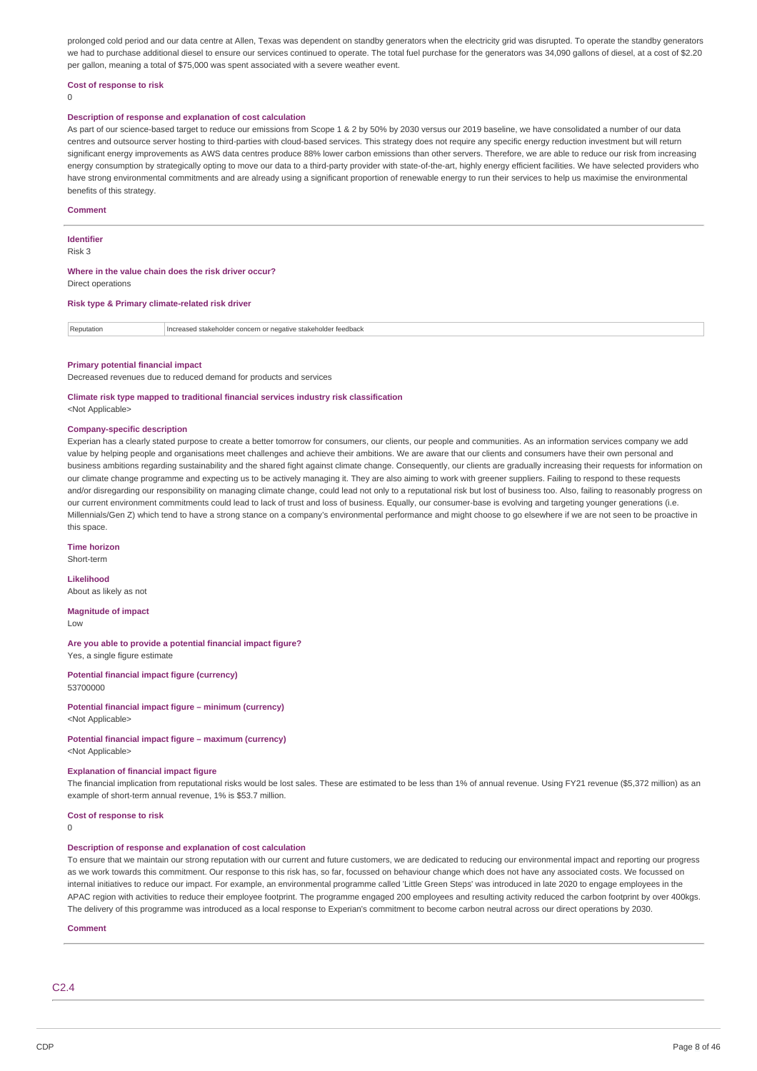prolonged cold period and our data centre at Allen. Texas was dependent on standby generators when the electricity grid was disrupted. To operate the standby generators we had to purchase additional diesel to ensure our services continued to operate. The total fuel purchase for the generators was 34,090 gallons of diesel, at a cost of \$2.20 per gallon, meaning a total of \$75,000 was spent associated with a severe weather event.

#### **Cost of response to risk**

 $\Omega$ 

#### **Description of response and explanation of cost calculation**

As part of our science-based target to reduce our emissions from Scope 1 & 2 by 50% by 2030 versus our 2019 baseline, we have consolidated a number of our data centres and outsource server hosting to third-parties with cloud-based services. This strategy does not require any specific energy reduction investment but will return significant energy improvements as AWS data centres produce 88% lower carbon emissions than other servers. Therefore, we are able to reduce our risk from increasing energy consumption by strategically opting to move our data to a third-party provider with state-of-the-art, highly energy efficient facilities. We have selected providers who have strong environmental commitments and are already using a significant proportion of renewable energy to run their services to help us maximise the environmental benefits of this strategy.

#### **Comment**

#### **Identifier**

Risk 3

#### **Where in the value chain does the risk driver occur?** Direct operations

**Risk type & Primary climate-related risk driver**

Reputation **Increased stakeholder concern or negative stakeholder feedback** 

#### **Primary potential financial impact**

Decreased revenues due to reduced demand for products and services

#### **Climate risk type mapped to traditional financial services industry risk classification**

<Not Applicable>

#### **Company-specific description**

Experian has a clearly stated purpose to create a better tomorrow for consumers, our clients, our people and communities. As an information services company we add value by helping people and organisations meet challenges and achieve their ambitions. We are aware that our clients and consumers have their own personal and business ambitions regarding sustainability and the shared fight against climate change. Consequently, our clients are gradually increasing their requests for information on our climate change programme and expecting us to be actively managing it. They are also aiming to work with greener suppliers. Failing to respond to these requests and/or disregarding our responsibility on managing climate change, could lead not only to a reputational risk but lost of business too. Also, failing to reasonably progress on our current environment commitments could lead to lack of trust and loss of business. Equally, our consumer-base is evolving and targeting younger generations (i.e. Millennials/Gen Z) which tend to have a strong stance on a company's environmental performance and might choose to go elsewhere if we are not seen to be proactive in this space.

### **Time horizon**

Short-term

# **Likelihood**

About as likely as not

**Magnitude of impact**

Low

#### **Are you able to provide a potential financial impact figure?** Yes, a single figure estimate

**Potential financial impact figure (currency)** 53700000

**Potential financial impact figure – minimum (currency)** <Not Applicable>

# **Potential financial impact figure – maximum (currency)**

<Not Applicable>

#### **Explanation of financial impact figure**

The financial implication from reputational risks would be lost sales. These are estimated to be less than 1% of annual revenue. Using FY21 revenue (\$5,372 million) as an example of short-term annual revenue, 1% is \$53.7 million.

#### **Cost of response to risk**

#### $\Omega$

### **Description of response and explanation of cost calculation**

To ensure that we maintain our strong reputation with our current and future customers, we are dedicated to reducing our environmental impact and reporting our progress as we work towards this commitment. Our response to this risk has, so far, focussed on behaviour change which does not have any associated costs. We focussed on internal initiatives to reduce our impact. For example, an environmental programme called 'Little Green Steps' was introduced in late 2020 to engage employees in the APAC region with activities to reduce their employee footprint. The programme engaged 200 employees and resulting activity reduced the carbon footprint by over 400kgs. The delivery of this programme was introduced as a local response to Experian's commitment to become carbon neutral across our direct operations by 2030.

#### **Comment**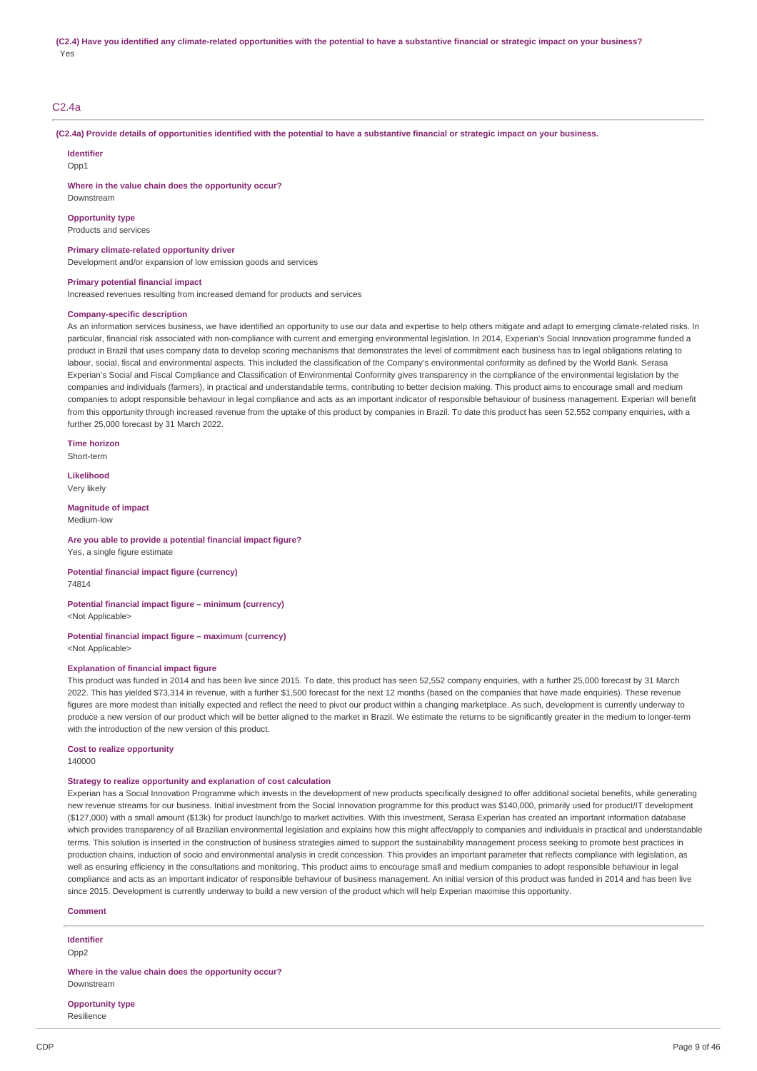## C2.4a

(C2.4a) Provide details of opportunities identified with the potential to have a substantive financial or strategic impact on your business.

**Identifier**

 $Onn1$ 

Downstream

**Where in the value chain does the opportunity occur?**

**Opportunity type**

Products and services

#### **Primary climate-related opportunity driver**

Development and/or expansion of low emission goods and services

#### **Primary potential financial impact**

Increased revenues resulting from increased demand for products and services

#### **Company-specific description**

As an information services business, we have identified an opportunity to use our data and expertise to help others mitigate and adapt to emerging climate-related risks. In particular, financial risk associated with non-compliance with current and emerging environmental legislation. In 2014, Experian's Social Innovation programme funded a product in Brazil that uses company data to develop scoring mechanisms that demonstrates the level of commitment each business has to legal obligations relating to labour, social, fiscal and environmental aspects. This included the classification of the Company's environmental conformity as defined by the World Bank. Serasa Experian's Social and Fiscal Compliance and Classification of Environmental Conformity gives transparency in the compliance of the environmental legislation by the companies and individuals (farmers), in practical and understandable terms, contributing to better decision making. This product aims to encourage small and medium companies to adopt responsible behaviour in legal compliance and acts as an important indicator of responsible behaviour of business management. Experian will benefit from this opportunity through increased revenue from the uptake of this product by companies in Brazil. To date this product has seen 52,552 company enquiries, with a further 25,000 forecast by 31 March 2022.

**Time horizon** Short-term

**Likelihood** Very likely

#### **Magnitude of impact**

Medium-low

#### **Are you able to provide a potential financial impact figure?** Yes, a single figure estimate

**Potential financial impact figure (currency)** 74814

#### **Potential financial impact figure – minimum (currency)** <Not Applicable>

**Potential financial impact figure – maximum (currency)** <Not Applicable>

# **Explanation of financial impact figure**

This product was funded in 2014 and has been live since 2015. To date, this product has seen 52,552 company enquiries, with a further 25,000 forecast by 31 March 2022. This has yielded \$73,314 in revenue, with a further \$1,500 forecast for the next 12 months (based on the companies that have made enquiries). These revenue figures are more modest than initially expected and reflect the need to pivot our product within a changing marketplace. As such, development is currently underway to produce a new version of our product which will be better aligned to the market in Brazil. We estimate the returns to be significantly greater in the medium to longer-term with the introduction of the new version of this product.

#### **Cost to realize opportunity**

140000

#### **Strategy to realize opportunity and explanation of cost calculation**

Experian has a Social Innovation Programme which invests in the development of new products specifically designed to offer additional societal benefits, while generating new revenue streams for our business. Initial investment from the Social Innovation programme for this product was \$140,000, primarily used for product/IT development (\$127,000) with a small amount (\$13k) for product launch/go to market activities. With this investment, Serasa Experian has created an important information database which provides transparency of all Brazilian environmental legislation and explains how this might affect/apply to companies and individuals in practical and understandable terms. This solution is inserted in the construction of business strategies aimed to support the sustainability management process seeking to promote best practices in production chains, induction of socio and environmental analysis in credit concession. This provides an important parameter that reflects compliance with legislation, as well as ensuring efficiency in the consultations and monitoring, This product aims to encourage small and medium companies to adopt responsible behaviour in legal compliance and acts as an important indicator of responsible behaviour of business management. An initial version of this product was funded in 2014 and has been live since 2015. Development is currently underway to build a new version of the product which will help Experian maximise this opportunity.

#### **Comment**

**Identifier** Opp2

**Where in the value chain does the opportunity occur?** Downstream

# **Opportunity type**

Resilience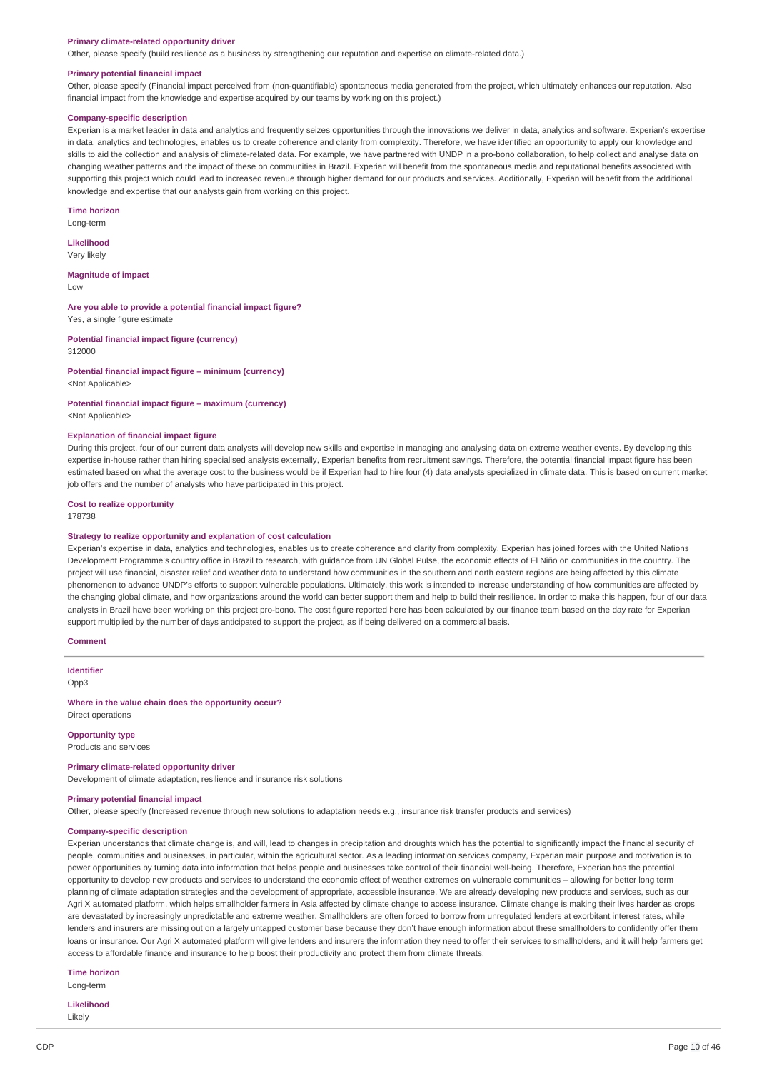#### **Primary climate-related opportunity driver**

Other, please specify (build resilience as a business by strengthening our reputation and expertise on climate-related data.)

#### **Primary potential financial impact**

Other, please specify (Financial impact perceived from (non-quantifiable) spontaneous media generated from the project, which ultimately enhances our reputation. Also financial impact from the knowledge and expertise acquired by our teams by working on this project.)

#### **Company-specific description**

Experian is a market leader in data and analytics and frequently seizes opportunities through the innovations we deliver in data, analytics and software. Experian's expertise in data, analytics and technologies, enables us to create coherence and clarity from complexity. Therefore, we have identified an opportunity to apply our knowledge and skills to aid the collection and analysis of climate-related data. For example, we have partnered with UNDP in a pro-bono collaboration, to help collect and analyse data on changing weather patterns and the impact of these on communities in Brazil. Experian will benefit from the spontaneous media and reputational benefits associated with supporting this project which could lead to increased revenue through higher demand for our products and services. Additionally, Experian will benefit from the additional knowledge and expertise that our analysts gain from working on this project.

#### **Time horizon**

Long-term

**Likelihood** Very likely

**Magnitude of impact**

Low

**Are you able to provide a potential financial impact figure?** Yes, a single figure estimate

**Potential financial impact figure (currency)** 312000

**Potential financial impact figure – minimum (currency)** <Not Applicable>

**Potential financial impact figure – maximum (currency)** <Not Applicable>

#### **Explanation of financial impact figure**

During this project, four of our current data analysts will develop new skills and expertise in managing and analysing data on extreme weather events. By developing this expertise in-house rather than hiring specialised analysts externally, Experian benefits from recruitment savings. Therefore, the potential financial impact figure has been estimated based on what the average cost to the business would be if Experian had to hire four (4) data analysts specialized in climate data. This is based on current market job offers and the number of analysts who have participated in this project.

### **Cost to realize opportunity**

178738

#### **Strategy to realize opportunity and explanation of cost calculation**

Experian's expertise in data, analytics and technologies, enables us to create coherence and clarity from complexity. Experian has joined forces with the United Nations Development Programme's country office in Brazil to research, with guidance from UN Global Pulse, the economic effects of El Niño on communities in the country. The project will use financial, disaster relief and weather data to understand how communities in the southern and north eastern regions are being affected by this climate phenomenon to advance UNDP's efforts to support vulnerable populations. Ultimately, this work is intended to increase understanding of how communities are affected by the changing global climate, and how organizations around the world can better support them and help to build their resilience. In order to make this happen, four of our data analysts in Brazil have been working on this project pro-bono. The cost figure reported here has been calculated by our finance team based on the day rate for Experian support multiplied by the number of days anticipated to support the project, as if being delivered on a commercial basis.

**Comment**

**Identifier** Opp3

**Where in the value chain does the opportunity occur?** Direct operations

**Opportunity type** Products and services

### **Primary climate-related opportunity driver**

Development of climate adaptation, resilience and insurance risk solutions

# **Primary potential financial impact**

Other, please specify (Increased revenue through new solutions to adaptation needs e.g., insurance risk transfer products and services)

#### **Company-specific description**

Experian understands that climate change is, and will, lead to changes in precipitation and droughts which has the potential to significantly impact the financial security of people, communities and businesses, in particular, within the agricultural sector. As a leading information services company, Experian main purpose and motivation is to power opportunities by turning data into information that helps people and businesses take control of their financial well-being. Therefore, Experian has the potential opportunity to develop new products and services to understand the economic effect of weather extremes on vulnerable communities – allowing for better long term planning of climate adaptation strategies and the development of appropriate, accessible insurance. We are already developing new products and services, such as our Agri X automated platform, which helps smallholder farmers in Asia affected by climate change to access insurance. Climate change is making their lives harder as crops are devastated by increasingly unpredictable and extreme weather. Smallholders are often forced to borrow from unregulated lenders at exorbitant interest rates, while lenders and insurers are missing out on a largely untapped customer base because they don't have enough information about these smallholders to confidently offer them loans or insurance. Our Agri X automated platform will give lenders and insurers the information they need to offer their services to smallholders, and it will help farmers get access to affordable finance and insurance to help boost their productivity and protect them from climate threats.

**Time horizon**

Long-term

**Likelihood** Likely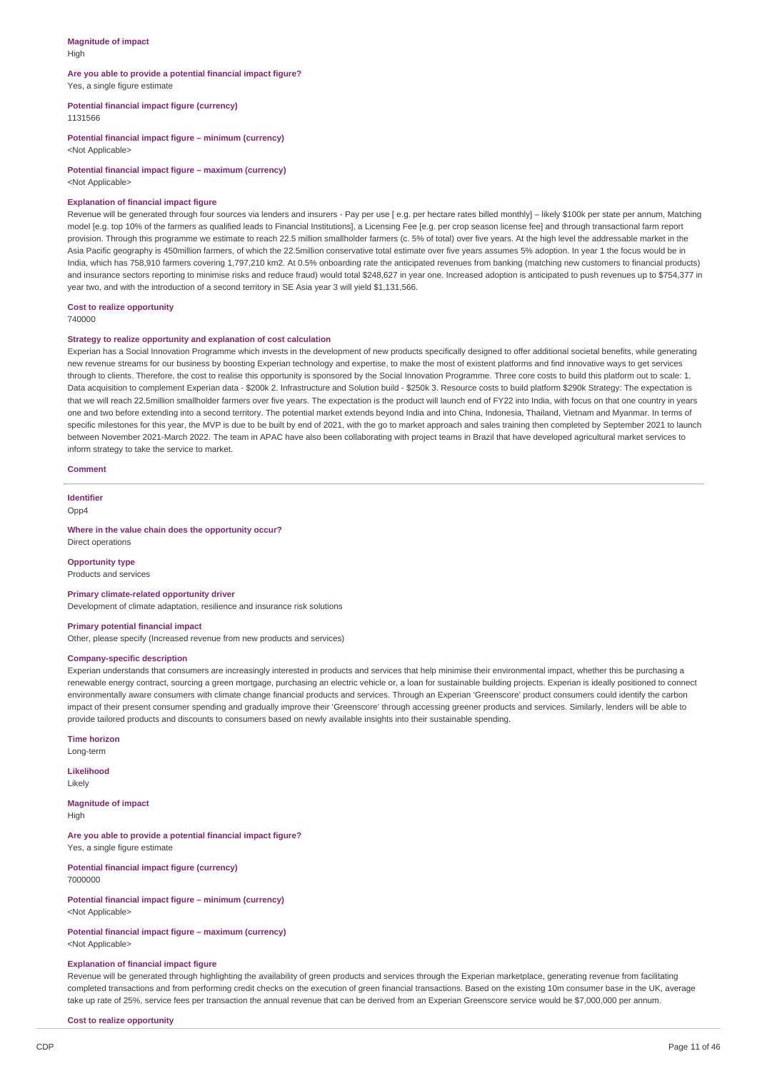#### **Magnitude of impact** High

#### **Are you able to provide a potential financial impact figure?** Yes, a single figure estimate

**Potential financial impact figure (currency)**

1131566

**Potential financial impact figure – minimum (currency)** <Not Applicable>

**Potential financial impact figure – maximum (currency)** <Not Applicable>

#### **Explanation of financial impact figure**

Revenue will be generated through four sources via lenders and insurers - Pay per use [ e.g. per hectare rates billed monthly] – likely \$100k per state per annum, Matching model [e.g. top 10% of the farmers as qualified leads to Financial Institutions], a Licensing Fee [e.g. per crop season license fee] and through transactional farm report provision. Through this programme we estimate to reach 22.5 million smallholder farmers (c. 5% of total) over five years. At the high level the addressable market in the Asia Pacific geography is 450million farmers, of which the 22.5million conservative total estimate over five years assumes 5% adoption. In year 1 the focus would be in India, which has 758,910 farmers covering 1,797,210 km2. At 0.5% onboarding rate the anticipated revenues from banking (matching new customers to financial products) and insurance sectors reporting to minimise risks and reduce fraud) would total \$248,627 in year one. Increased adoption is anticipated to push revenues up to \$754,377 in year two, and with the introduction of a second territory in SE Asia year 3 will yield \$1,131,566.

#### **Cost to realize opportunity**

740000

# **Strategy to realize opportunity and explanation of cost calculation**

Experian has a Social Innovation Programme which invests in the development of new products specifically designed to offer additional societal benefits, while generating new revenue streams for our business by boosting Experian technology and expertise, to make the most of existent platforms and find innovative ways to get services through to clients. Therefore, the cost to realise this opportunity is sponsored by the Social Innovation Programme. Three core costs to build this platform out to scale: 1. Data acquisition to complement Experian data - \$200k 2. Infrastructure and Solution build - \$250k 3. Resource costs to build platform \$290k Strategy: The expectation is that we will reach 22.5million smallholder farmers over five years. The expectation is the product will launch end of FY22 into India, with focus on that one country in years one and two before extending into a second territory. The potential market extends beyond India and into China, Indonesia, Thailand, Vietnam and Myanmar. In terms of specific milestones for this year, the MVP is due to be built by end of 2021, with the go to market approach and sales training then completed by September 2021 to launch between November 2021-March 2022. The team in APAC have also been collaborating with project teams in Brazil that have developed agricultural market services to inform strategy to take the service to market.

#### **Comment**

**Identifier** Opp4

### **Where in the value chain does the opportunity occur?**

Direct operations

# **Opportunity type**

Products and services

# **Primary climate-related opportunity driver**

Development of climate adaptation, resilience and insurance risk solutions

#### **Primary potential financial impact**

Other, please specify (Increased revenue from new products and services)

#### **Company-specific description**

Experian understands that consumers are increasingly interested in products and services that help minimise their environmental impact, whether this be purchasing a renewable energy contract, sourcing a green mortgage, purchasing an electric vehicle or, a loan for sustainable building projects. Experian is ideally positioned to connect environmentally aware consumers with climate change financial products and services. Through an Experian 'Greenscore' product consumers could identify the carbon impact of their present consumer spending and gradually improve their 'Greenscore' through accessing greener products and services. Similarly, lenders will be able to provide tailored products and discounts to consumers based on newly available insights into their sustainable spending.

**Time horizon** Long-term

**Likelihood**

Likely

**Magnitude of impact** High

**Are you able to provide a potential financial impact figure?** Yes, a single figure estimate

**Potential financial impact figure (currency)** 7000000

**Potential financial impact figure – minimum (currency)** <Not Applicable>

#### **Potential financial impact figure – maximum (currency)** <Not Applicable>

#### **Explanation of financial impact figure**

Revenue will be generated through highlighting the availability of green products and services through the Experian marketplace, generating revenue from facilitating completed transactions and from performing credit checks on the execution of green financial transactions. Based on the existing 10m consumer base in the UK, average take up rate of 25%, service fees per transaction the annual revenue that can be derived from an Experian Greenscore service would be \$7,000,000 per annum.

**Cost to realize opportunity**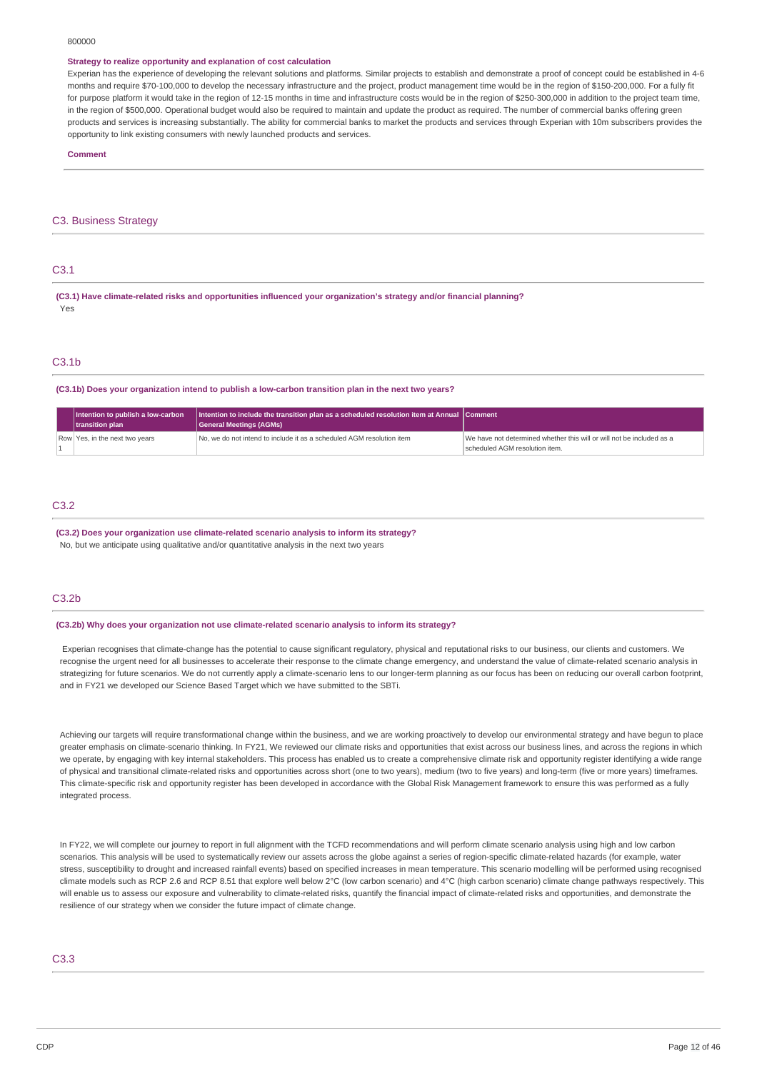#### 800000

#### **Strategy to realize opportunity and explanation of cost calculation**

Experian has the experience of developing the relevant solutions and platforms. Similar projects to establish and demonstrate a proof of concept could be established in 4-6 months and require \$70-100,000 to develop the necessary infrastructure and the project, product management time would be in the region of \$150-200,000. For a fully fit for purpose platform it would take in the region of 12-15 months in time and infrastructure costs would be in the region of \$250-300,000 in addition to the project team time, in the region of \$500,000. Operational budget would also be required to maintain and update the product as required. The number of commercial banks offering green products and services is increasing substantially. The ability for commercial banks to market the products and services through Experian with 10m subscribers provides the opportunity to link existing consumers with newly launched products and services.

#### **Comment**

### C3. Business Strategy

# C3.1

**(C3.1) Have climate-related risks and opportunities influenced your organization's strategy and/or financial planning?** Yes

# C3.1b

#### **(C3.1b) Does your organization intend to publish a low-carbon transition plan in the next two years?**

| Intention to publish a low-carbon<br>transition plan | Intention to include the transition plan as a scheduled resolution item at Annual Comment<br>General Meetings (AGMs) |                                                                                                         |
|------------------------------------------------------|----------------------------------------------------------------------------------------------------------------------|---------------------------------------------------------------------------------------------------------|
| Row Yes, in the next two years                       | No, we do not intend to include it as a scheduled AGM resolution item                                                | We have not determined whether this will or will not be included as a<br>scheduled AGM resolution item. |

#### C3.2

# **(C3.2) Does your organization use climate-related scenario analysis to inform its strategy?**

No, but we anticipate using qualitative and/or quantitative analysis in the next two years

# C3.2b

#### **(C3.2b) Why does your organization not use climate-related scenario analysis to inform its strategy?**

Experian recognises that climate-change has the potential to cause significant regulatory, physical and reputational risks to our business, our clients and customers. We recognise the urgent need for all businesses to accelerate their response to the climate change emergency, and understand the value of climate-related scenario analysis in strategizing for future scenarios. We do not currently apply a climate-scenario lens to our longer-term planning as our focus has been on reducing our overall carbon footprint, and in FY21 we developed our Science Based Target which we have submitted to the SBTi.

Achieving our targets will require transformational change within the business, and we are working proactively to develop our environmental strategy and have begun to place greater emphasis on climate-scenario thinking. In FY21, We reviewed our climate risks and opportunities that exist across our business lines, and across the regions in which we operate, by engaging with key internal stakeholders. This process has enabled us to create a comprehensive climate risk and opportunity register identifying a wide range of physical and transitional climate-related risks and opportunities across short (one to two years), medium (two to five years) and long-term (five or more years) timeframes. This climate-specific risk and opportunity register has been developed in accordance with the Global Risk Management framework to ensure this was performed as a fully integrated process.

In FY22, we will complete our journey to report in full alignment with the TCFD recommendations and will perform climate scenario analysis using high and low carbon scenarios. This analysis will be used to systematically review our assets across the globe against a series of region-specific climate-related hazards (for example, water stress, susceptibility to drought and increased rainfall events) based on specified increases in mean temperature. This scenario modelling will be performed using recognised climate models such as RCP 2.6 and RCP 8.51 that explore well below 2°C (low carbon scenario) and 4°C (high carbon scenario) climate change pathways respectively. This will enable us to assess our exposure and vulnerability to climate-related risks, quantify the financial impact of climate-related risks and opportunities, and demonstrate the resilience of our strategy when we consider the future impact of climate change.

# C3.3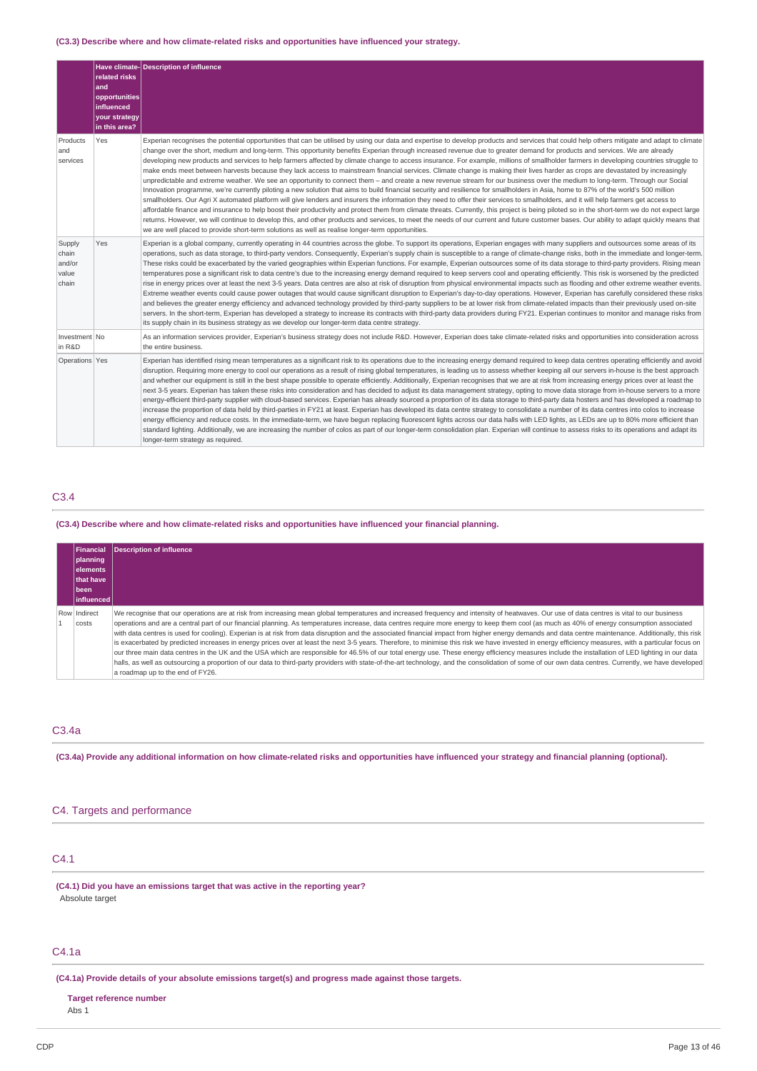### **(C3.3) Describe where and how climate-related risks and opportunities have influenced your strategy.**

|                                             | related risks<br>and<br>opportunities<br>influenced<br>your strategy<br>in this area? | Have climate-Description of influence                                                                                                                                                                                                                                                                                                                                                                                                                                                                                                                                                                                                                                                                                                                                                                                                                                                                                                                                                                                                                                                                                                                                                                                                                                                                                                                                                                                                                                                                                                                                                                                                                                                                                                                                                                              |
|---------------------------------------------|---------------------------------------------------------------------------------------|--------------------------------------------------------------------------------------------------------------------------------------------------------------------------------------------------------------------------------------------------------------------------------------------------------------------------------------------------------------------------------------------------------------------------------------------------------------------------------------------------------------------------------------------------------------------------------------------------------------------------------------------------------------------------------------------------------------------------------------------------------------------------------------------------------------------------------------------------------------------------------------------------------------------------------------------------------------------------------------------------------------------------------------------------------------------------------------------------------------------------------------------------------------------------------------------------------------------------------------------------------------------------------------------------------------------------------------------------------------------------------------------------------------------------------------------------------------------------------------------------------------------------------------------------------------------------------------------------------------------------------------------------------------------------------------------------------------------------------------------------------------------------------------------------------------------|
| Products<br>and<br>services                 | Yes                                                                                   | Experian recognises the potential opportunities that can be utilised by using our data and expertise to develop products and services that could help others mitigate and adapt to climate<br>change over the short, medium and long-term. This opportunity benefits Experian through increased revenue due to greater demand for products and services. We are already<br>developing new products and services to help farmers affected by climate change to access insurance. For example, millions of smallholder farmers in developing countries struggle to<br>make ends meet between harvests because they lack access to mainstream financial services. Climate change is making their lives harder as crops are devastated by increasingly<br>unpredictable and extreme weather. We see an opportunity to connect them - and create a new revenue stream for our business over the medium to long-term. Through our Social<br>Innovation programme, we're currently piloting a new solution that aims to build financial security and resilience for smallholders in Asia, home to 87% of the world's 500 million<br>smallholders. Our Agri X automated platform will give lenders and insurers the information they need to offer their services to smallholders, and it will help farmers get access to<br>affordable finance and insurance to help boost their productivity and protect them from climate threats. Currently, this project is being piloted so in the short-term we do not expect large<br>returns. However, we will continue to develop this, and other products and services, to meet the needs of our current and future customer bases. Our ability to adapt quickly means that<br>we are well placed to provide short-term solutions as well as realise longer-term opportunities. |
| Supply<br>chain<br>and/or<br>value<br>chain | Yes                                                                                   | Experian is a global company, currently operating in 44 countries across the globe. To support its operations, Experian engages with many suppliers and outsources some areas of its<br>operations, such as data storage, to third-party vendors. Consequently, Experian's supply chain is susceptible to a range of climate-change risks, both in the immediate and longer-term.<br>These risks could be exacerbated by the varied geographies within Experian functions. For example, Experian outsources some of its data storage to third-party providers. Rising mean<br>temperatures pose a significant risk to data centre's due to the increasing energy demand required to keep servers cool and operating efficiently. This risk is worsened by the predicted<br>rise in energy prices over at least the next 3-5 years. Data centres are also at risk of disruption from physical environmental impacts such as flooding and other extreme weather events.<br>Extreme weather events could cause power outages that would cause significant disruption to Experian's day-to-day operations. However, Experian has carefully considered these risks<br>and believes the greater energy efficiency and advanced technology provided by third-party suppliers to be at lower risk from climate-related impacts than their previously used on-site<br>servers. In the short-term, Experian has developed a strategy to increase its contracts with third-party data providers during FY21. Experian continues to monitor and manage risks from<br>its supply chain in its business strategy as we develop our longer-term data centre strategy.                                                                                                                                                             |
| Investment No<br>in R&D                     |                                                                                       | As an information services provider, Experian's business strategy does not include R&D. However, Experian does take climate-related risks and opportunities into consideration across<br>the entire business.                                                                                                                                                                                                                                                                                                                                                                                                                                                                                                                                                                                                                                                                                                                                                                                                                                                                                                                                                                                                                                                                                                                                                                                                                                                                                                                                                                                                                                                                                                                                                                                                      |
| Operations Yes                              |                                                                                       | Experian has identified rising mean temperatures as a significant risk to its operations due to the increasing energy demand required to keep data centres operating efficiently and avoid<br>disruption. Requiring more energy to cool our operations as a result of rising global temperatures, is leading us to assess whether keeping all our servers in-house is the best approach<br>and whether our equipment is still in the best shape possible to operate efficiently. Additionally, Experian recognises that we are at risk from increasing energy prices over at least the<br>next 3-5 years. Experian has taken these risks into consideration and has decided to adjust its data management strategy, opting to move data storage from in-house servers to a more<br>energy-efficient third-party supplier with cloud-based services. Experian has already sourced a proportion of its data storage to third-party data hosters and has developed a roadmap to<br>increase the proportion of data held by third-parties in FY21 at least. Experian has developed its data centre strategy to consolidate a number of its data centres into colos to increase<br>energy efficiency and reduce costs. In the immediate-term, we have begun replacing fluorescent lights across our data halls with LED lights, as LEDs are up to 80% more efficient than<br>standard lighting. Additionally, we are increasing the number of colos as part of our longer-term consolidation plan. Experian will continue to assess risks to its operations and adapt its<br>longer-term strategy as required.                                                                                                                                                                                                          |

# C3.4

#### **(C3.4) Describe where and how climate-related risks and opportunities have influenced your financial planning.**

| <b>Financial</b><br> planning <br>lelements<br><b>Ithat have</b><br>l been<br>l influenced l | <b>Description of influence</b>                                                                                                                                                                                                                                                                                                                                                                                                                                                                                                                                                                                                                                                                                                                                                                                                                                                                                                                                                                                                                                                                                                                                                                                                                           |
|----------------------------------------------------------------------------------------------|-----------------------------------------------------------------------------------------------------------------------------------------------------------------------------------------------------------------------------------------------------------------------------------------------------------------------------------------------------------------------------------------------------------------------------------------------------------------------------------------------------------------------------------------------------------------------------------------------------------------------------------------------------------------------------------------------------------------------------------------------------------------------------------------------------------------------------------------------------------------------------------------------------------------------------------------------------------------------------------------------------------------------------------------------------------------------------------------------------------------------------------------------------------------------------------------------------------------------------------------------------------|
| Row Indirect<br>costs                                                                        | We recognise that our operations are at risk from increasing mean global temperatures and increased frequency and intensity of heatwaves. Our use of data centres is vital to our business<br>operations and are a central part of our financial planning. As temperatures increase, data centres require more energy to keep them cool (as much as 40% of energy consumption associated<br>with data centres is used for cooling). Experian is at risk from data disruption and the associated financial impact from higher energy demands and data centre maintenance. Additionally, this risk<br>is exacerbated by predicted increases in energy prices over at least the next 3-5 years. Therefore, to minimise this risk we have invested in energy efficiency measures, with a particular focus on<br>our three main data centres in the UK and the USA which are responsible for 46.5% of our total energy use. These energy efficiency measures include the installation of LED lighting in our data<br>halls, as well as outsourcing a proportion of our data to third-party providers with state-of-the-art technology, and the consolidation of some of our own data centres. Currently, we have developed<br>a roadmap up to the end of FY26. |

# C3.4a

(C3.4a) Provide any additional information on how climate-related risks and opportunities have influenced your strategy and financial planning (optional).

# C4. Targets and performance

# C4.1

**(C4.1) Did you have an emissions target that was active in the reporting year?** Absolute target

# C4.1a

**(C4.1a) Provide details of your absolute emissions target(s) and progress made against those targets.**

### **Target reference number**

Abs 1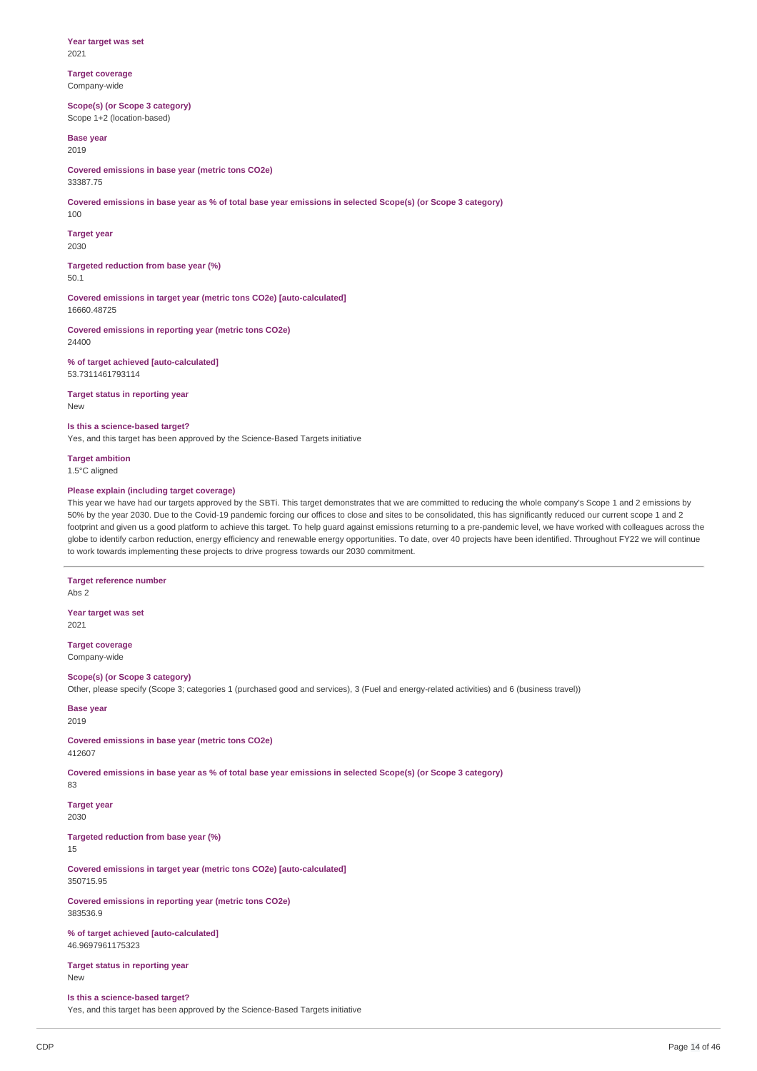**Year target was set** 2021

**Target coverage** Company-wide

**Scope(s) (or Scope 3 category)** Scope 1+2 (location-based)

**Base year** 2019

**Covered emissions in base year (metric tons CO2e)** 33387.75

Covered emissions in base year as % of total base year emissions in selected Scope(s) (or Scope 3 category)

100

**Target year** 2030

**Targeted reduction from base year (%)** 50.1

**Covered emissions in target year (metric tons CO2e) [auto-calculated]** 16660.48725

**Covered emissions in reporting year (metric tons CO2e)** 24400

**% of target achieved [auto-calculated]** 53.7311461793114

**Target status in reporting year** New

**Is this a science-based target?**

Yes, and this target has been approved by the Science-Based Targets initiative

**Target ambition** 1.5°C aligned

# **Please explain (including target coverage)**

This year we have had our targets approved by the SBTi. This target demonstrates that we are committed to reducing the whole company's Scope 1 and 2 emissions by 50% by the year 2030. Due to the Covid-19 pandemic forcing our offices to close and sites to be consolidated, this has significantly reduced our current scope 1 and 2 footprint and given us a good platform to achieve this target. To help guard against emissions returning to a pre-pandemic level, we have worked with colleagues across the globe to identify carbon reduction, energy efficiency and renewable energy opportunities. To date, over 40 projects have been identified. Throughout FY22 we will continue to work towards implementing these projects to drive progress towards our 2030 commitment.

**Target reference number** Abs 2 **Year target was set** 2021

**Target coverage** Company-wide

**Scope(s) (or Scope 3 category)** Other, please specify (Scope 3; categories 1 (purchased good and services), 3 (Fuel and energy-related activities) and 6 (business travel))

**Base year**

2019

**Covered emissions in base year (metric tons CO2e)** 412607

Covered emissions in base year as % of total base year emissions in selected Scope(s) (or Scope 3 category) 83

**Target year** 2030

**Targeted reduction from base year (%)**

15

**Covered emissions in target year (metric tons CO2e) [auto-calculated]** 350715.95

**Covered emissions in reporting year (metric tons CO2e)** 383536.9

**% of target achieved [auto-calculated]** 46.9697961175323

**Target status in reporting year** New

# **Is this a science-based target?**

Yes, and this target has been approved by the Science-Based Targets initiative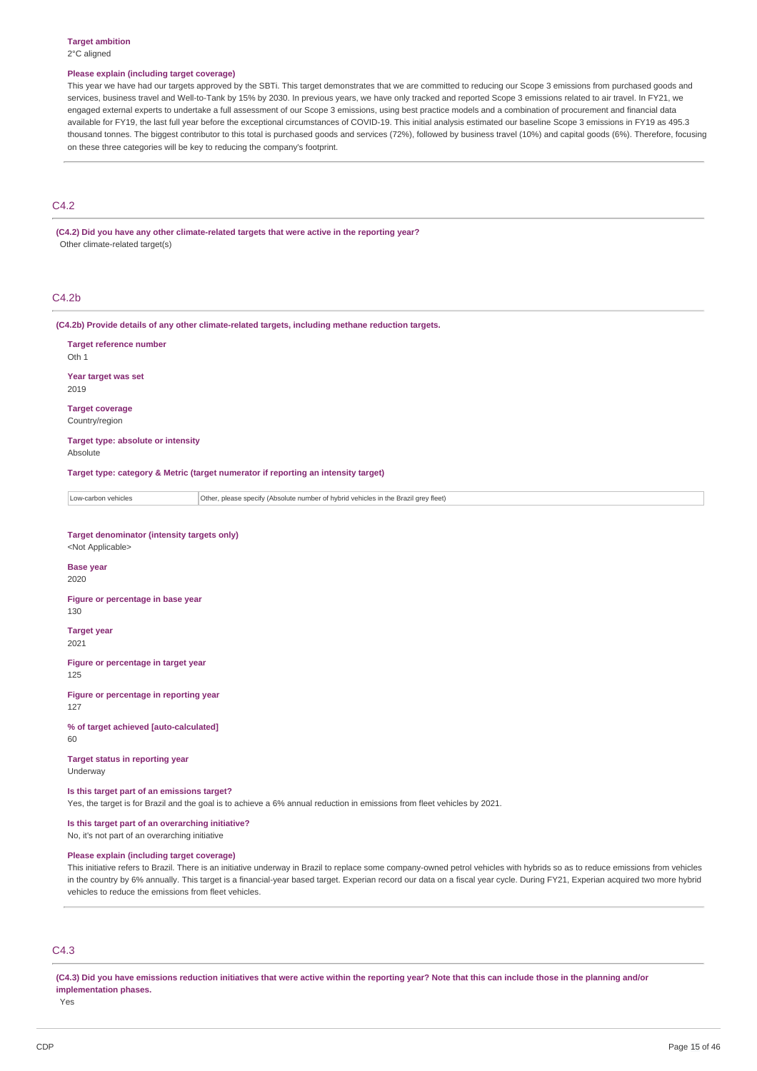#### **Target ambition** 2°C aligned

#### **Please explain (including target coverage)**

This year we have had our targets approved by the SBTi. This target demonstrates that we are committed to reducing our Scope 3 emissions from purchased goods and services, business travel and Well-to-Tank by 15% by 2030. In previous years, we have only tracked and reported Scope 3 emissions related to air travel. In FY21, we engaged external experts to undertake a full assessment of our Scope 3 emissions, using best practice models and a combination of procurement and financial data available for FY19, the last full year before the exceptional circumstances of COVID-19. This initial analysis estimated our baseline Scope 3 emissions in FY19 as 495.3 thousand tonnes. The biggest contributor to this total is purchased goods and services (72%), followed by business travel (10%) and capital goods (6%). Therefore, focusing on these three categories will be key to reducing the company's footprint.

# C4.2

**(C4.2) Did you have any other climate-related targets that were active in the reporting year?** Other climate-related target(s)

# C4.2b

**(C4.2b) Provide details of any other climate-related targets, including methane reduction targets.**

| <b>Target reference number</b><br>Oth 1                                                                                                                                 |                                                                                     |  |  |
|-------------------------------------------------------------------------------------------------------------------------------------------------------------------------|-------------------------------------------------------------------------------------|--|--|
| Year target was set<br>2019                                                                                                                                             |                                                                                     |  |  |
| <b>Target coverage</b><br>Country/region                                                                                                                                |                                                                                     |  |  |
| Target type: absolute or intensity<br>Absolute                                                                                                                          |                                                                                     |  |  |
|                                                                                                                                                                         | Target type: category & Metric (target numerator if reporting an intensity target)  |  |  |
| Low-carbon vehicles                                                                                                                                                     | Other, please specify (Absolute number of hybrid vehicles in the Brazil grey fleet) |  |  |
| <b>Target denominator (intensity targets only)</b><br><not applicable=""></not>                                                                                         |                                                                                     |  |  |
| <b>Base year</b><br>2020                                                                                                                                                |                                                                                     |  |  |
| Figure or percentage in base year<br>130                                                                                                                                |                                                                                     |  |  |
| <b>Target year</b><br>2021                                                                                                                                              |                                                                                     |  |  |
| Figure or percentage in target year<br>125                                                                                                                              |                                                                                     |  |  |
| Figure or percentage in reporting year<br>127                                                                                                                           |                                                                                     |  |  |
| % of target achieved [auto-calculated]<br>60                                                                                                                            |                                                                                     |  |  |
| <b>Target status in reporting year</b><br>Underway                                                                                                                      |                                                                                     |  |  |
| Is this target part of an emissions target?<br>Yes, the target is for Brazil and the goal is to achieve a 6% annual reduction in emissions from fleet vehicles by 2021. |                                                                                     |  |  |
| Is this target part of an overarching initiative?<br>No, it's not part of an overarching initiative                                                                     |                                                                                     |  |  |
| Please explain (including target coverage)                                                                                                                              |                                                                                     |  |  |

This initiative refers to Brazil. There is an initiative underway in Brazil to replace some company-owned petrol vehicles with hybrids so as to reduce emissions from vehicles in the country by 6% annually. This target is a financial-year based target. Experian record our data on a fiscal year cycle. During FY21, Experian acquired two more hybrid vehicles to reduce the emissions from fleet vehicles.

# C4.3

(C4.3) Did you have emissions reduction initiatives that were active within the reporting year? Note that this can include those in the planning and/or **implementation phases.**

Yes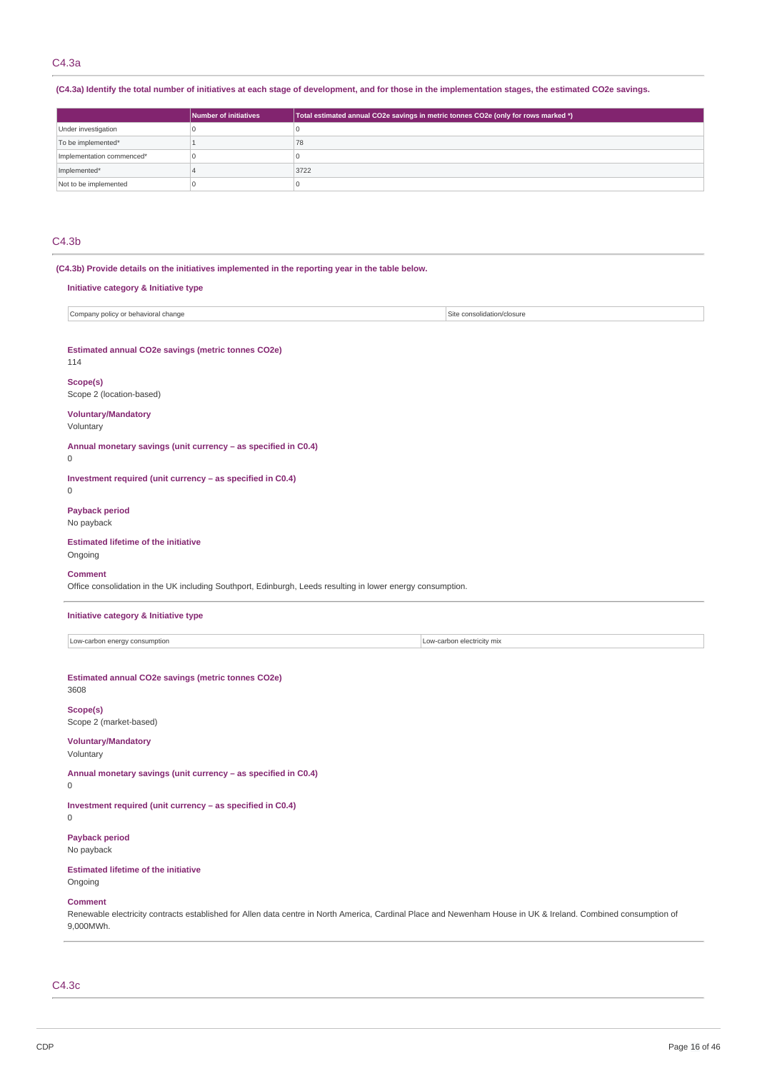# C4.3a

(C4.3a) Identify the total number of initiatives at each stage of development, and for those in the implementation stages, the estimated CO2e savings.

|                           | Number of initiatives | Total estimated annual CO2e savings in metric tonnes CO2e (only for rows marked *) |
|---------------------------|-----------------------|------------------------------------------------------------------------------------|
| Under investigation       |                       |                                                                                    |
| To be implemented*        |                       | 78                                                                                 |
| Implementation commenced* |                       |                                                                                    |
| Implemented*              |                       | 3722                                                                               |
| Not to be implemented     |                       |                                                                                    |

# C4.3b

| (C4.3b) Provide details on the initiatives implemented in the reporting year in the table below.<br>Initiative category & Initiative type |                            |
|-------------------------------------------------------------------------------------------------------------------------------------------|----------------------------|
| Company policy or behavioral change                                                                                                       | Site consolidation/closure |
| Estimated annual CO2e savings (metric tonnes CO2e)<br>114                                                                                 |                            |
| Scope(s)<br>Scope 2 (location-based)                                                                                                      |                            |
| <b>Voluntary/Mandatory</b><br>Voluntary                                                                                                   |                            |
| Annual monetary savings (unit currency - as specified in C0.4)<br>$\mathbf 0$                                                             |                            |
| Investment required (unit currency - as specified in C0.4)<br>$\mathbf 0$                                                                 |                            |
| <b>Payback period</b><br>No payback                                                                                                       |                            |
| <b>Estimated lifetime of the initiative</b><br>Ongoing                                                                                    |                            |
| <b>Comment</b><br>Office consolidation in the UK including Southport, Edinburgh, Leeds resulting in lower energy consumption.             |                            |
| Initiative category & Initiative type                                                                                                     |                            |
| Low-carbon energy consumption                                                                                                             | Low-carbon electricity mix |
| Estimated annual CO2e savings (metric tonnes CO2e)<br>3608                                                                                |                            |
| Scope(s)<br>Scope 2 (market-based)                                                                                                        |                            |
| <b>Voluntary/Mandatory</b><br>Voluntary                                                                                                   |                            |
| Annual monetary savings (unit currency - as specified in C0.4)<br>$\mathsf{O}\xspace$                                                     |                            |
| Investment required (unit currency - as specified in C0.4)<br>$\mathsf{O}\xspace$                                                         |                            |
| <b>Payback period</b><br>No payback                                                                                                       |                            |
| Ectimated lifetime of the initiative                                                                                                      |                            |

**Estimated lifetime of the initiative** Ongoing

# **Comment**

Renewable electricity contracts established for Allen data centre in North America, Cardinal Place and Newenham House in UK & Ireland. Combined consumption of 9,000MWh.

C4.3c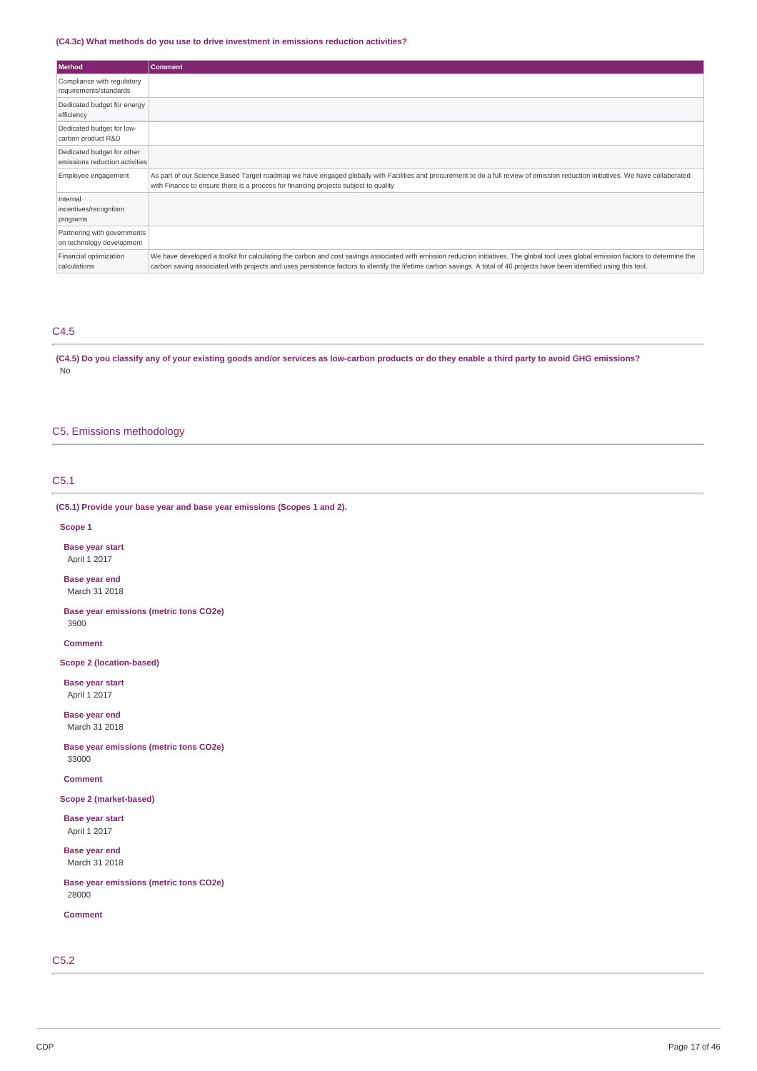### **(C4.3c) What methods do you use to drive investment in emissions reduction activities?**

| Method                                                       | <b>Comment</b>                                                                                                                                                                                                                                                                                                                                                     |
|--------------------------------------------------------------|--------------------------------------------------------------------------------------------------------------------------------------------------------------------------------------------------------------------------------------------------------------------------------------------------------------------------------------------------------------------|
| Compliance with regulatory<br>requirements/standards         |                                                                                                                                                                                                                                                                                                                                                                    |
| Dedicated budget for energy<br>efficiency                    |                                                                                                                                                                                                                                                                                                                                                                    |
| Dedicated budget for low-<br>carbon product R&D              |                                                                                                                                                                                                                                                                                                                                                                    |
| Dedicated budget for other<br>emissions reduction activities |                                                                                                                                                                                                                                                                                                                                                                    |
| Employee engagement                                          | As part of our Science Based Target roadmap we have engaged globally with Facilities and procurement to do a full review of emission reduction initiatives. We have collaborated<br>with Finance to ensure there is a process for financing projects subject to quality                                                                                            |
| Internal<br>incentives/recognition<br>programs               |                                                                                                                                                                                                                                                                                                                                                                    |
| Partnering with governments<br>on technology development     |                                                                                                                                                                                                                                                                                                                                                                    |
| Financial optimization<br>calculations                       | We have developed a toolkit for calculating the carbon and cost savings associated with emission reduction initiatives. The global tool uses global emission factors to determine the<br>carbon saving associated with projects and uses persistence factors to identify the lifetime carbon savings. A total of 46 projects have been identified using this tool. |

# C4.5

(C4.5) Do you classify any of your existing goods and/or services as low-carbon products or do they enable a third party to avoid GHG emissions? No

# C5. Emissions methodology

# C5.1

# **(C5.1) Provide your base year and base year emissions (Scopes 1 and 2).**

#### **Scope 1**

**Base year start** April 1 2017

**Base year end** March 31 2018

**Base year emissions (metric tons CO2e)** 3900

**Comment**

**Scope 2 (location-based)**

**Base year start** April 1 2017

**Base year end** March 31 2018

**Base year emissions (metric tons CO2e)** 33000

**Comment**

**Scope 2 (market-based)**

**Base year start** April 1 2017

**Base year end** March 31 2018

**Base year emissions (metric tons CO2e)** 28000

**Comment**

C5.2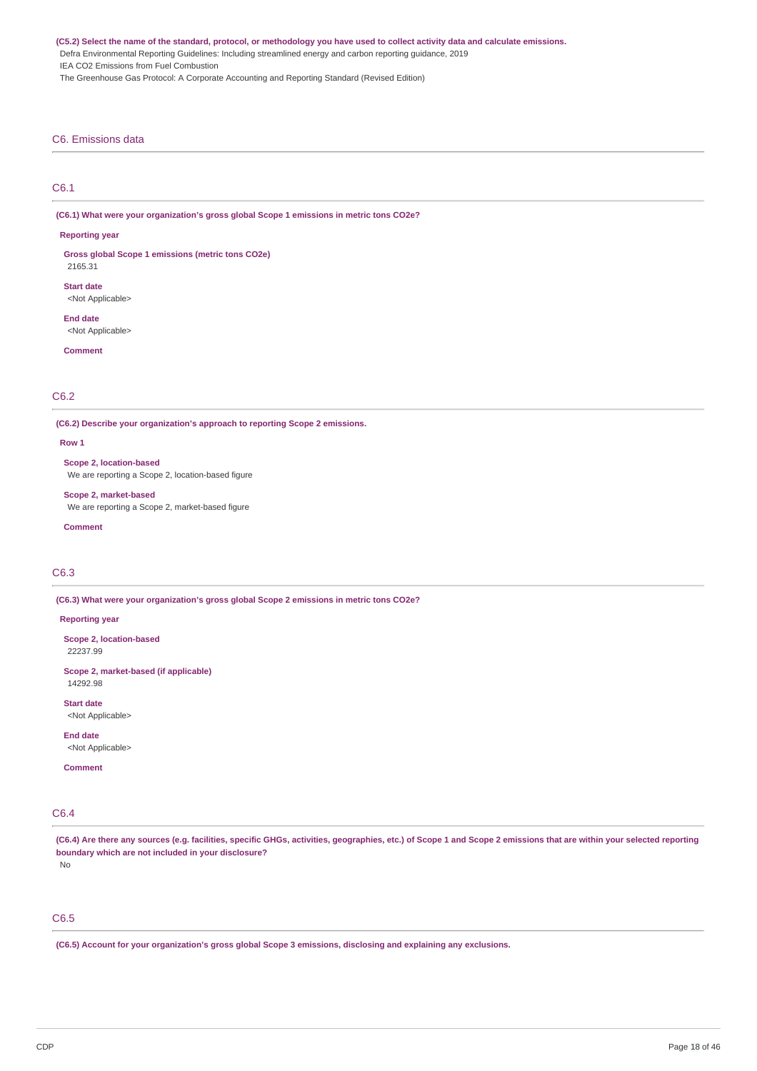(C5.2) Select the name of the standard, protocol, or methodology you have used to collect activity data and calculate emissions.

Defra Environmental Reporting Guidelines: Including streamlined energy and carbon reporting guidance, 2019

IEA CO2 Emissions from Fuel Combustion

The Greenhouse Gas Protocol: A Corporate Accounting and Reporting Standard (Revised Edition)

### C6. Emissions data

# C6.1

**(C6.1) What were your organization's gross global Scope 1 emissions in metric tons CO2e?**

#### **Reporting year**

**Gross global Scope 1 emissions (metric tons CO2e)** 2165.31

**Start date**

<Not Applicable>

**End date** <Not Applicable>

**Comment**

# C6.2

**(C6.2) Describe your organization's approach to reporting Scope 2 emissions.**

#### **Row 1**

**Scope 2, location-based** We are reporting a Scope 2, location-based figure

#### **Scope 2, market-based**

We are reporting a Scope 2, market-based figure

**Comment**

# C6.3

**(C6.3) What were your organization's gross global Scope 2 emissions in metric tons CO2e?**

#### **Reporting year**

**Scope 2, location-based** 22237.99

**Scope 2, market-based (if applicable)** 14292.98

**Start date** <Not Applicable>

**End date**

<Not Applicable>

**Comment**

# C6.4

(C6.4) Are there any sources (e.g. facilities, specific GHGs, activities, geographies, etc.) of Scope 1 and Scope 2 emissions that are within your selected reporting **boundary which are not included in your disclosure?**

No

# C6.5

**(C6.5) Account for your organization's gross global Scope 3 emissions, disclosing and explaining any exclusions.**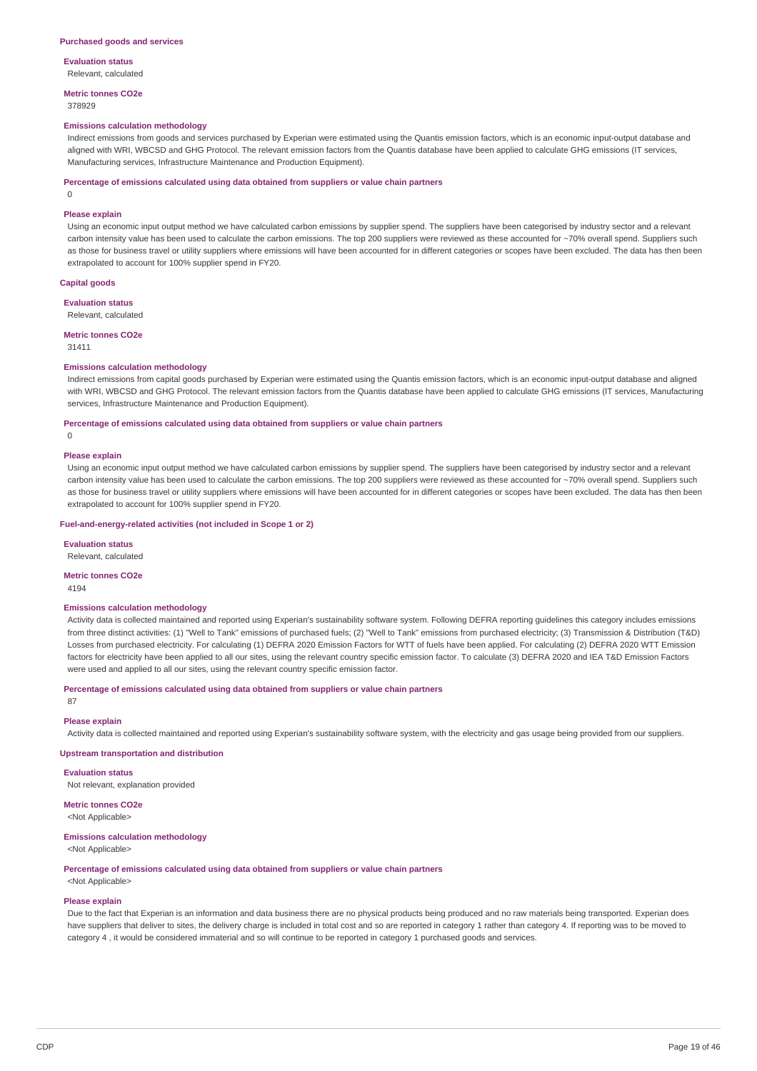**Evaluation status**

Relevant, calculated

**Metric tonnes CO2e** 378929

#### **Emissions calculation methodology**

Indirect emissions from goods and services purchased by Experian were estimated using the Quantis emission factors, which is an economic input-output database and aligned with WRI, WBCSD and GHG Protocol. The relevant emission factors from the Quantis database have been applied to calculate GHG emissions (IT services, Manufacturing services, Infrastructure Maintenance and Production Equipment).

#### **Percentage of emissions calculated using data obtained from suppliers or value chain partners**

 $\Omega$ 

#### **Please explain**

Using an economic input output method we have calculated carbon emissions by supplier spend. The suppliers have been categorised by industry sector and a relevant carbon intensity value has been used to calculate the carbon emissions. The top 200 suppliers were reviewed as these accounted for ~70% overall spend. Suppliers such as those for business travel or utility suppliers where emissions will have been accounted for in different categories or scopes have been excluded. The data has then been extrapolated to account for 100% supplier spend in FY20.

#### **Capital goods**

**Evaluation status**

Relevant, calculated

# **Metric tonnes CO2e**

31411

#### **Emissions calculation methodology**

Indirect emissions from capital goods purchased by Experian were estimated using the Quantis emission factors, which is an economic input-output database and aligned with WRI, WBCSD and GHG Protocol. The relevant emission factors from the Ouantis database have been applied to calculate GHG emissions (IT services, Manufacturing services, Infrastructure Maintenance and Production Equipment).

**Percentage of emissions calculated using data obtained from suppliers or value chain partners**

 $\theta$ 

#### **Please explain**

Using an economic input output method we have calculated carbon emissions by supplier spend. The suppliers have been categorised by industry sector and a relevant carbon intensity value has been used to calculate the carbon emissions. The top 200 suppliers were reviewed as these accounted for ~70% overall spend. Suppliers such as those for business travel or utility suppliers where emissions will have been accounted for in different categories or scopes have been excluded. The data has then been extrapolated to account for 100% supplier spend in FY20.

#### **Fuel-and-energy-related activities (not included in Scope 1 or 2)**

**Evaluation status** Relevant, calculated

#### **Metric tonnes CO2e**

4194

#### **Emissions calculation methodology**

Activity data is collected maintained and reported using Experian's sustainability software system. Following DEFRA reporting guidelines this category includes emissions from three distinct activities: (1) "Well to Tank" emissions of purchased fuels; (2) "Well to Tank" emissions from purchased electricity; (3) Transmission & Distribution (T&D) Losses from purchased electricity. For calculating (1) DEFRA 2020 Emission Factors for WTT of fuels have been applied. For calculating (2) DEFRA 2020 WTT Emission factors for electricity have been applied to all our sites, using the relevant country specific emission factor. To calculate (3) DEFRA 2020 and IEA T&D Emission Factors were used and applied to all our sites, using the relevant country specific emission factor.

### **Percentage of emissions calculated using data obtained from suppliers or value chain partners**

87

### **Please explain**

Activity data is collected maintained and reported using Experian's sustainability software system, with the electricity and gas usage being provided from our suppliers.

#### **Upstream transportation and distribution**

**Evaluation status** Not relevant, explanation provided

### **Metric tonnes CO2e**

<Not Applicable>

# **Emissions calculation methodology**

<Not Applicable>

**Percentage of emissions calculated using data obtained from suppliers or value chain partners**

<Not Applicable>

### **Please explain**

Due to the fact that Experian is an information and data business there are no physical products being produced and no raw materials being transported. Experian does have suppliers that deliver to sites, the delivery charge is included in total cost and so are reported in category 1 rather than category 4. If reporting was to be moved to category 4 , it would be considered immaterial and so will continue to be reported in category 1 purchased goods and services.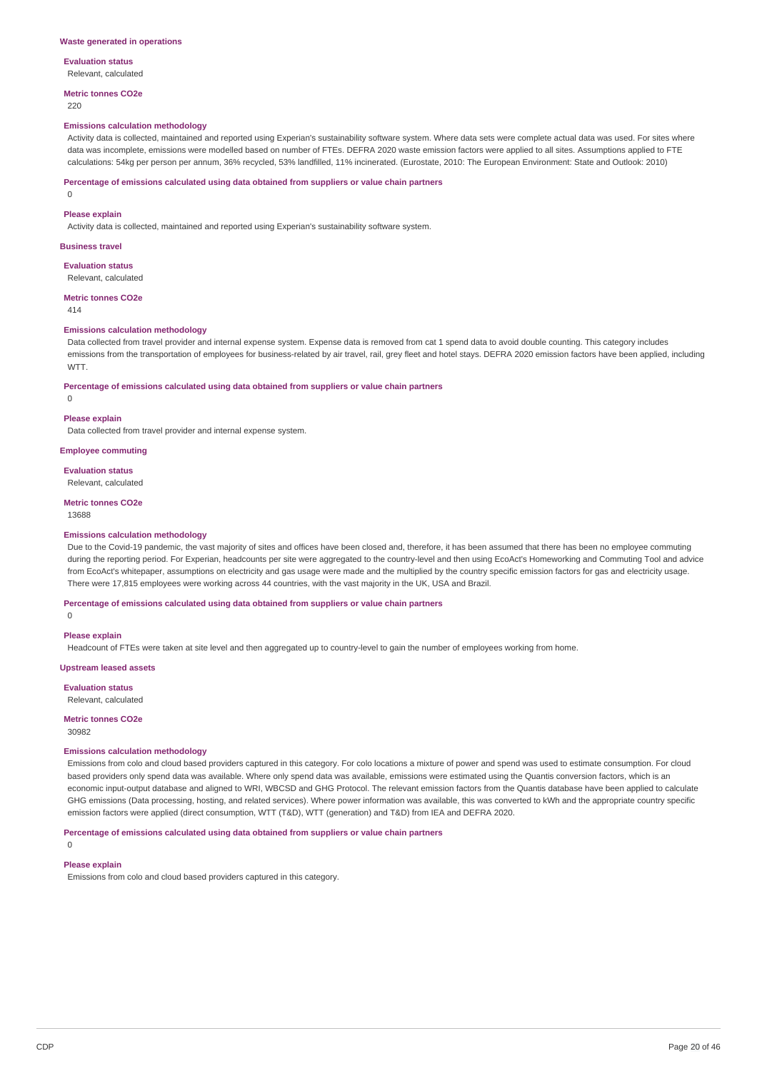# **Evaluation status**

Relevant, calculated

#### **Metric tonnes CO2e**

220

#### **Emissions calculation methodology**

Activity data is collected, maintained and reported using Experian's sustainability software system. Where data sets were complete actual data was used. For sites where data was incomplete, emissions were modelled based on number of FTEs. DEFRA 2020 waste emission factors were applied to all sites. Assumptions applied to FTE calculations: 54kg per person per annum, 36% recycled, 53% landfilled, 11% incinerated. (Eurostate, 2010: The European Environment: State and Outlook: 2010)

#### **Percentage of emissions calculated using data obtained from suppliers or value chain partners**

 $\Omega$ 

### **Please explain**

Activity data is collected, maintained and reported using Experian's sustainability software system.

#### **Business travel**

**Evaluation status** Relevant, calculated

#### **Metric tonnes CO2e**

414

 $\Omega$ 

#### **Emissions calculation methodology**

Data collected from travel provider and internal expense system. Expense data is removed from cat 1 spend data to avoid double counting. This category includes emissions from the transportation of employees for business-related by air travel, rail, grey fleet and hotel stays. DEFRA 2020 emission factors have been applied, including WTT.

**Percentage of emissions calculated using data obtained from suppliers or value chain partners**

#### **Please explain**

Data collected from travel provider and internal expense system.

#### **Employee commuting**

**Evaluation status**

Relevant, calculated

#### **Metric tonnes CO2e**

13688

#### **Emissions calculation methodology**

Due to the Covid-19 pandemic, the vast majority of sites and offices have been closed and, therefore, it has been assumed that there has been no employee commuting during the reporting period. For Experian, headcounts per site were aggregated to the country-level and then using EcoAct's Homeworking and Commuting Tool and advice from EcoAct's whitepaper, assumptions on electricity and gas usage were made and the multiplied by the country specific emission factors for gas and electricity usage. There were 17,815 employees were working across 44 countries, with the vast majority in the UK, USA and Brazil.

**Percentage of emissions calculated using data obtained from suppliers or value chain partners**

#### $\Omega$

#### **Please explain**

Headcount of FTEs were taken at site level and then aggregated up to country-level to gain the number of employees working from home.

#### **Upstream leased assets**

**Evaluation status**

Relevant, calculated

**Metric tonnes CO2e** 30982

#### **Emissions calculation methodology**

Emissions from colo and cloud based providers captured in this category. For colo locations a mixture of power and spend was used to estimate consumption. For cloud based providers only spend data was available. Where only spend data was available, emissions were estimated using the Quantis conversion factors, which is an economic input-output database and aligned to WRI, WBCSD and GHG Protocol. The relevant emission factors from the Quantis database have been applied to calculate GHG emissions (Data processing, hosting, and related services). Where power information was available, this was converted to kWh and the appropriate country specific emission factors were applied (direct consumption, WTT (T&D), WTT (generation) and T&D) from IEA and DEFRA 2020.

**Percentage of emissions calculated using data obtained from suppliers or value chain partners**

#### $\Omega$

### **Please explain**

Emissions from colo and cloud based providers captured in this category.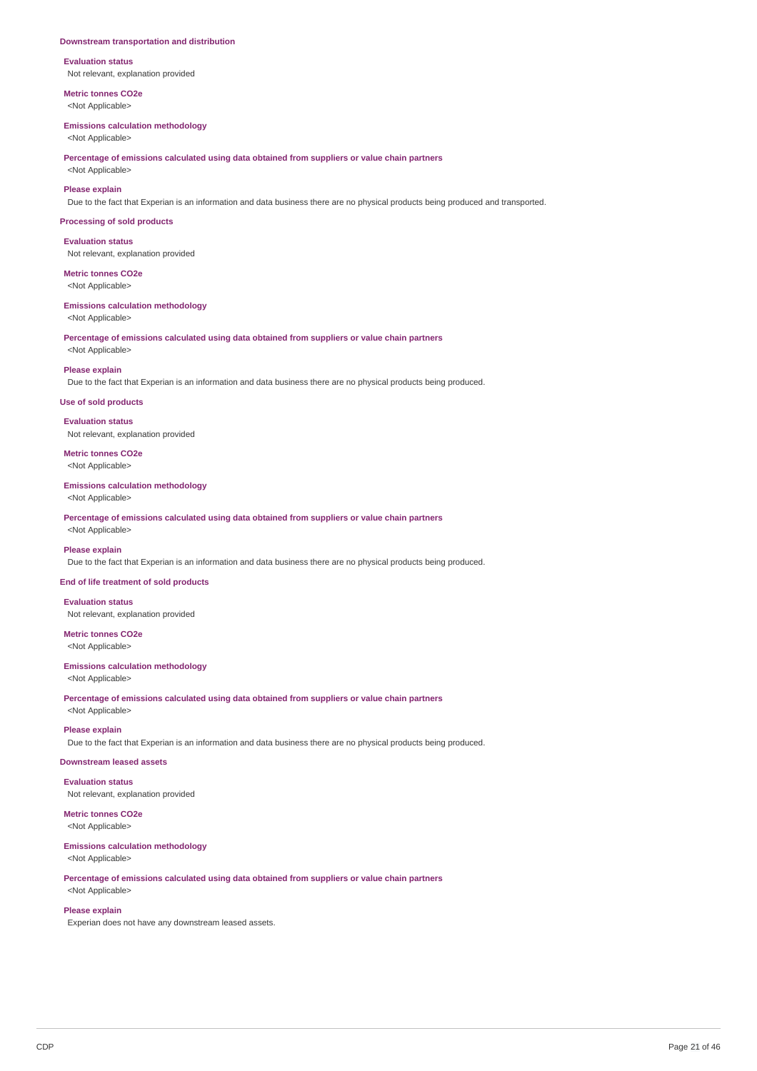#### **Downstream transportation and distribution**

**Evaluation status** Not relevant, explanation provided

**Metric tonnes CO2e** <Not Applicable>

#### **Emissions calculation methodology**

<Not Applicable>

**Percentage of emissions calculated using data obtained from suppliers or value chain partners**

<Not Applicable>

# **Please explain**

Due to the fact that Experian is an information and data business there are no physical products being produced and transported.

#### **Processing of sold products**

**Evaluation status** Not relevant, explanation provided

**Metric tonnes CO2e** <Not Applicable>

**Emissions calculation methodology** <Not Applicable>

**Percentage of emissions calculated using data obtained from suppliers or value chain partners** <Not Applicable>

# **Please explain**

Due to the fact that Experian is an information and data business there are no physical products being produced.

#### **Use of sold products**

**Evaluation status**

Not relevant, explanation provided

**Metric tonnes CO2e** <Not Applicable>

#### **Emissions calculation methodology**

<Not Applicable>

**Percentage of emissions calculated using data obtained from suppliers or value chain partners** <Not Applicable>

#### **Please explain**

Due to the fact that Experian is an information and data business there are no physical products being produced.

#### **End of life treatment of sold products**

**Evaluation status**

Not relevant, explanation provided

**Metric tonnes CO2e** <Not Applicable>

# **Emissions calculation methodology**

<Not Applicable>

**Percentage of emissions calculated using data obtained from suppliers or value chain partners** <Not Applicable>

#### **Please explain**

Due to the fact that Experian is an information and data business there are no physical products being produced.

# **Downstream leased assets**

**Evaluation status**

Not relevant, explanation provided

#### **Metric tonnes CO2e** <Not Applicable>

**Emissions calculation methodology**

### <Not Applicable>

**Percentage of emissions calculated using data obtained from suppliers or value chain partners** <Not Applicable>

# **Please explain**

Experian does not have any downstream leased assets.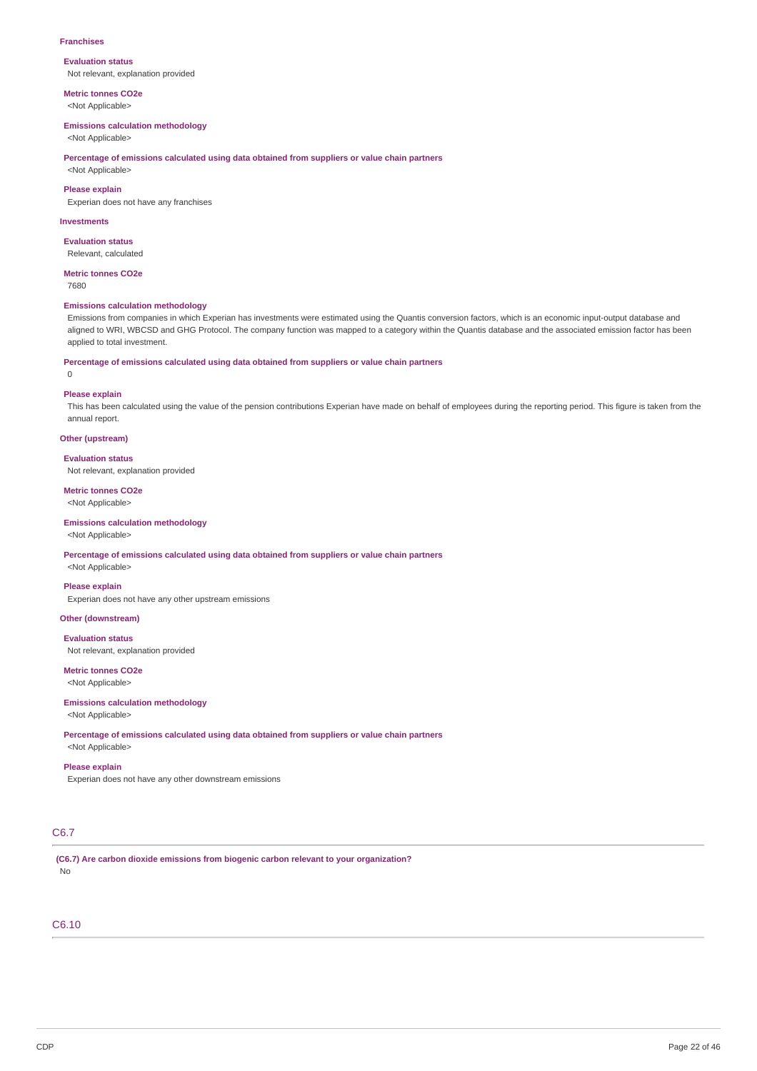#### **Franchises**

#### **Evaluation status** Not relevant, explanation provided

**Metric tonnes CO2e**

<Not Applicable>

#### **Emissions calculation methodology**

<Not Applicable>

**Percentage of emissions calculated using data obtained from suppliers or value chain partners**

<Not Applicable>

# **Please explain**

Experian does not have any franchises

#### **Investments**

**Evaluation status** Relevant, calculated

#### **Metric tonnes CO2e**

7680

#### **Emissions calculation methodology**

Emissions from companies in which Experian has investments were estimated using the Quantis conversion factors, which is an economic input-output database and aligned to WRI, WBCSD and GHG Protocol. The company function was mapped to a category within the Quantis database and the associated emission factor has been applied to total investment.

# **Percentage of emissions calculated using data obtained from suppliers or value chain partners**

0

#### **Please explain**

This has been calculated using the value of the pension contributions Experian have made on behalf of employees during the reporting period. This figure is taken from the annual report.

### **Other (upstream)**

**Evaluation status**

Not relevant, explanation provided

### **Metric tonnes CO2e** <Not Applicable>

### **Emissions calculation methodology** <Not Applicable>

# **Percentage of emissions calculated using data obtained from suppliers or value chain partners**

<Not Applicable>

### **Please explain**

Experian does not have any other upstream emissions

# **Other (downstream)**

### **Evaluation status**

Not relevant, explanation provided

# **Metric tonnes CO2e**

<Not Applicable>

# **Emissions calculation methodology**

<Not Applicable>

**Percentage of emissions calculated using data obtained from suppliers or value chain partners** <Not Applicable>

#### **Please explain**

Experian does not have any other downstream emissions

# C6.7

**(C6.7) Are carbon dioxide emissions from biogenic carbon relevant to your organization?** No

# C6.10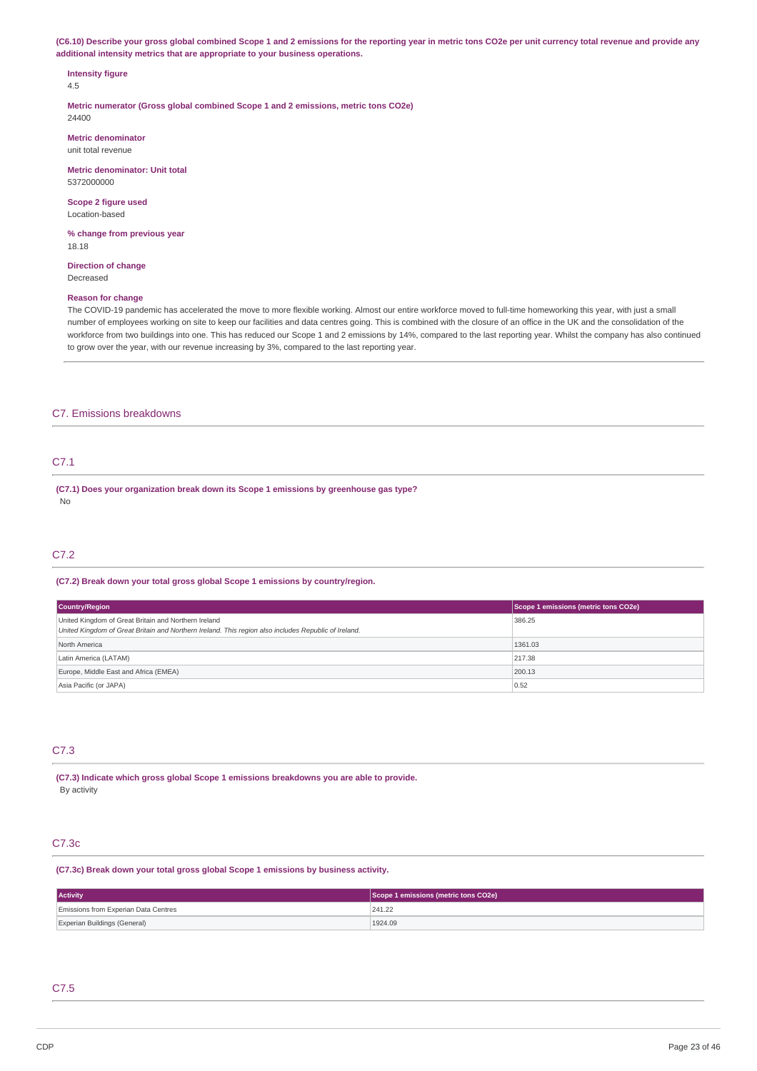(C6.10) Describe your gross global combined Scope 1 and 2 emissions for the reporting year in metric tons CO2e per unit currency total revenue and provide any **additional intensity metrics that are appropriate to your business operations.**

# **Intensity figure**

4.5

**Metric numerator (Gross global combined Scope 1 and 2 emissions, metric tons CO2e)** 24400

**Metric denominator** unit total revenue

**Metric denominator: Unit total** 5372000000

**Scope 2 figure used** Location-based

**% change from previous year** 18.18

**Direction of change** Decreased

### **Reason for change**

The COVID-19 pandemic has accelerated the move to more flexible working. Almost our entire workforce moved to full-time homeworking this year, with just a small number of employees working on site to keep our facilities and data centres going. This is combined with the closure of an office in the UK and the consolidation of the workforce from two buildings into one. This has reduced our Scope 1 and 2 emissions by 14%, compared to the last reporting year. Whilst the company has also continued to grow over the year, with our revenue increasing by 3%, compared to the last reporting year.

## C7. Emissions breakdowns

# C7.1

**(C7.1) Does your organization break down its Scope 1 emissions by greenhouse gas type?** No

# C7.2

#### **(C7.2) Break down your total gross global Scope 1 emissions by country/region.**

| Country/Region                                                                                                                                               | Scope 1 emissions (metric tons CO2e) |
|--------------------------------------------------------------------------------------------------------------------------------------------------------------|--------------------------------------|
| United Kingdom of Great Britain and Northern Ireland<br>United Kingdom of Great Britain and Northern Ireland. This region also includes Republic of Ireland. | 386.25                               |
| North America                                                                                                                                                | 1361.03                              |
| Latin America (LATAM)                                                                                                                                        | 217.38                               |
| Europe, Middle East and Africa (EMEA)                                                                                                                        | 200.13                               |
| Asia Pacific (or JAPA)                                                                                                                                       | 0.52                                 |

# C7.3

**(C7.3) Indicate which gross global Scope 1 emissions breakdowns you are able to provide.** By activity

# C7.3c

### **(C7.3c) Break down your total gross global Scope 1 emissions by business activity.**

| <b>Activity</b>                      | Scope 1 emissions (metric tons CO2e) |  |
|--------------------------------------|--------------------------------------|--|
| Emissions from Experian Data Centres | 241.22                               |  |
| Experian Buildings (General)         | 1924.09                              |  |

#### C7.5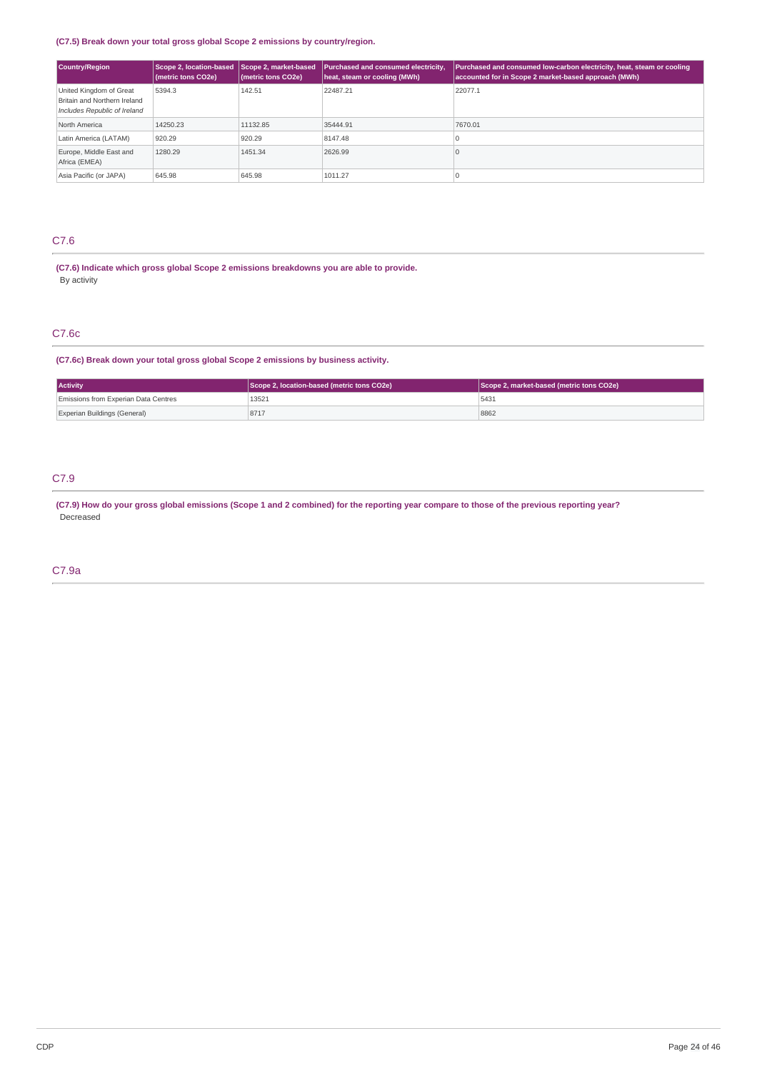### **(C7.5) Break down your total gross global Scope 2 emissions by country/region.**

| Country/Region                                                                          | Scope 2. location-based<br>(metric tons CO2e) | Scope 2, market-based<br>(metric tons CO2e) | Purchased and consumed electricity,<br>heat, steam or cooling (MWh) | Purchased and consumed low-carbon electricity, heat, steam or cooling<br>accounted for in Scope 2 market-based approach (MWh) |
|-----------------------------------------------------------------------------------------|-----------------------------------------------|---------------------------------------------|---------------------------------------------------------------------|-------------------------------------------------------------------------------------------------------------------------------|
| United Kingdom of Great<br>Britain and Northern Ireland<br>Includes Republic of Ireland | 5394.3                                        | 142.51                                      | 22487.21                                                            | 22077.1                                                                                                                       |
| North America                                                                           | 14250.23                                      | 11132.85                                    | 35444.91                                                            | 7670.01                                                                                                                       |
| Latin America (LATAM)                                                                   | 920.29                                        | 920.29                                      | 8147.48                                                             | л.                                                                                                                            |
| Europe, Middle East and<br>Africa (EMEA)                                                | 1280.29                                       | 1451.34                                     | 2626.99                                                             |                                                                                                                               |
| Asia Pacific (or JAPA)                                                                  | 645.98                                        | 645.98                                      | 1011.27                                                             |                                                                                                                               |

# C7.6

**(C7.6) Indicate which gross global Scope 2 emissions breakdowns you are able to provide.** By activity

# C7.6c

**(C7.6c) Break down your total gross global Scope 2 emissions by business activity.**

| <b>Activity</b>                      | Scope 2, location-based (metric tons CO2e) | Scope 2, market-based (metric tons CO2e) |  |
|--------------------------------------|--------------------------------------------|------------------------------------------|--|
| Emissions from Experian Data Centres | 13521                                      | 5431                                     |  |
| Experian Buildings (General)         | 8717                                       | 8862                                     |  |

# C7.9

(C7.9) How do your gross global emissions (Scope 1 and 2 combined) for the reporting year compare to those of the previous reporting year? Decreased

# C7.9a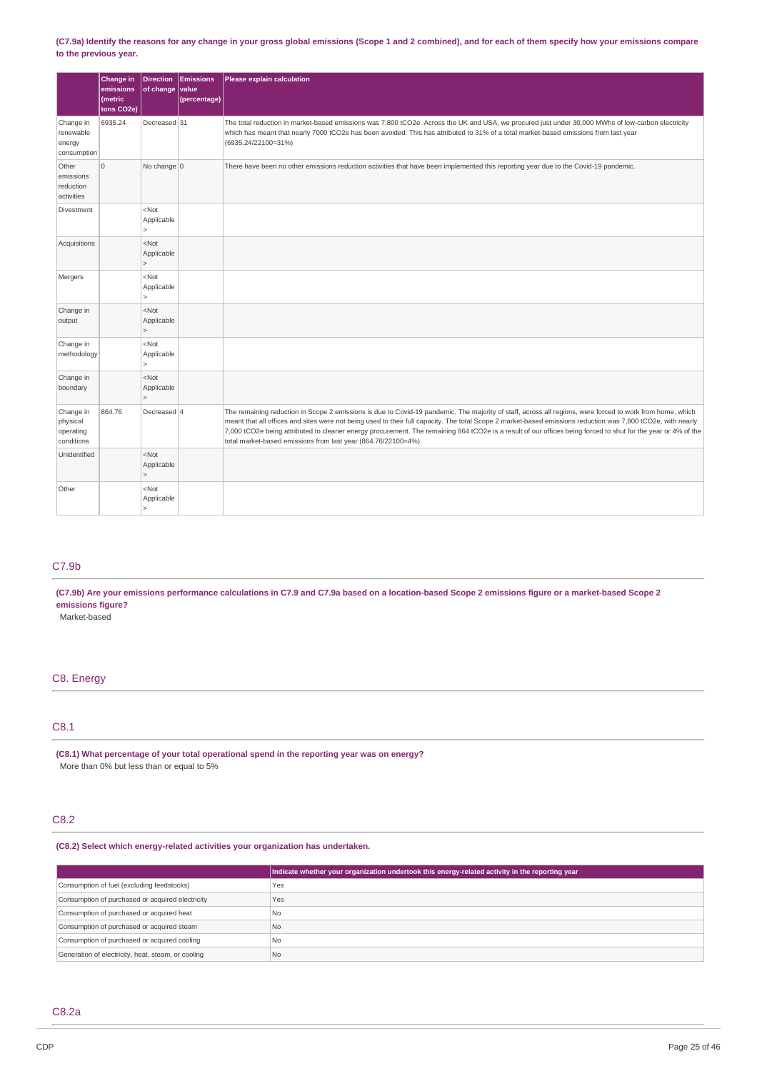### (C7.9a) Identify the reasons for any change in your gross global emissions (Scope 1 and 2 combined), and for each of them specify how your emissions compare **to the previous year.**

|                                                  | Change in<br>emissions<br>(metric<br>tons CO2e) | $ $ of change                                     | Direction Emissions<br>value<br>(percentage) | Please explain calculation                                                                                                                                                                                                                                                                                                                                                                                                                                                                                                                                   |
|--------------------------------------------------|-------------------------------------------------|---------------------------------------------------|----------------------------------------------|--------------------------------------------------------------------------------------------------------------------------------------------------------------------------------------------------------------------------------------------------------------------------------------------------------------------------------------------------------------------------------------------------------------------------------------------------------------------------------------------------------------------------------------------------------------|
| Change in<br>renewable<br>energy<br>consumption  | 6935.24                                         | Decreased 31                                      |                                              | The total reduction in market-based emissions was 7,800 tCO2e. Across the UK and USA, we procured just under 30,000 MWhs of low-carbon electricity<br>which has meant that nearly 7000 tCO2e has been avoided. This has attributed to 31% of a total market-based emissions from last year<br>(6935.24/22100=31%)                                                                                                                                                                                                                                            |
| Other<br>emissions<br>reduction<br>activities    | $\mathbf 0$                                     | No change 0                                       |                                              | There have been no other emissions reduction activities that have been implemented this reporting year due to the Covid-19 pandemic.                                                                                                                                                                                                                                                                                                                                                                                                                         |
| Divestment                                       |                                                 | <not<br>Applicable<br/><math>\geq</math></not<br> |                                              |                                                                                                                                                                                                                                                                                                                                                                                                                                                                                                                                                              |
| Acquisitions                                     |                                                 | $<$ Not<br>Applicable<br>$\mathsf{L}$             |                                              |                                                                                                                                                                                                                                                                                                                                                                                                                                                                                                                                                              |
| Mergers                                          |                                                 | $<$ Not<br>Applicable<br>$\vert$                  |                                              |                                                                                                                                                                                                                                                                                                                                                                                                                                                                                                                                                              |
| Change in<br>output                              |                                                 | $<$ Not<br>Applicable<br>$\geq$                   |                                              |                                                                                                                                                                                                                                                                                                                                                                                                                                                                                                                                                              |
| Change in<br>methodology                         |                                                 | $<$ Not<br>Applicable<br>$\vert$                  |                                              |                                                                                                                                                                                                                                                                                                                                                                                                                                                                                                                                                              |
| Change in<br>boundary                            |                                                 | <not<br>Applicable<br/><math>\geq</math></not<br> |                                              |                                                                                                                                                                                                                                                                                                                                                                                                                                                                                                                                                              |
| Change in<br>physical<br>operating<br>conditions | 864.76                                          | Decreased 4                                       |                                              | The remaining reduction in Scope 2 emissions is due to Covid-19 pandemic. The majority of staff, across all regions, were forced to work from home, which<br>meant that all offices and sites were not being used to their full capacity. The total Scope 2 market-based emissions reduction was 7,800 tCO2e, with nearly<br>7,000 tCO2e being attributed to cleaner energy procurement. The remaining 864 tCO2e is a result of our offices being forced to shut for the year or 4% of the<br>total market-based emissions from last year (864.76/22100=4%). |
| Unidentified                                     |                                                 | $<$ Not<br>Applicable<br>$\geq$                   |                                              |                                                                                                                                                                                                                                                                                                                                                                                                                                                                                                                                                              |
| Other                                            |                                                 | $<$ Not<br>Applicable<br>$\overline{\phantom{a}}$ |                                              |                                                                                                                                                                                                                                                                                                                                                                                                                                                                                                                                                              |

# C7.9b

(C7.9b) Are your emissions performance calculations in C7.9 and C7.9a based on a location-based Scope 2 emissions figure or a market-based Scope 2 **emissions figure?**

Market-based

# C8. Energy

# C8.1

**(C8.1) What percentage of your total operational spend in the reporting year was on energy?** More than 0% but less than or equal to 5%

# C8.2

# **(C8.2) Select which energy-related activities your organization has undertaken.**

|                                                    | Indicate whether your organization undertook this energy-related activity in the reporting year |
|----------------------------------------------------|-------------------------------------------------------------------------------------------------|
| Consumption of fuel (excluding feedstocks)         | Yes                                                                                             |
| Consumption of purchased or acquired electricity   | Yes                                                                                             |
| Consumption of purchased or acquired heat          | <b>No</b>                                                                                       |
| Consumption of purchased or acquired steam         | N <sub>0</sub>                                                                                  |
| Consumption of purchased or acquired cooling       | <b>No</b>                                                                                       |
| Generation of electricity, heat, steam, or cooling | N <sub>0</sub>                                                                                  |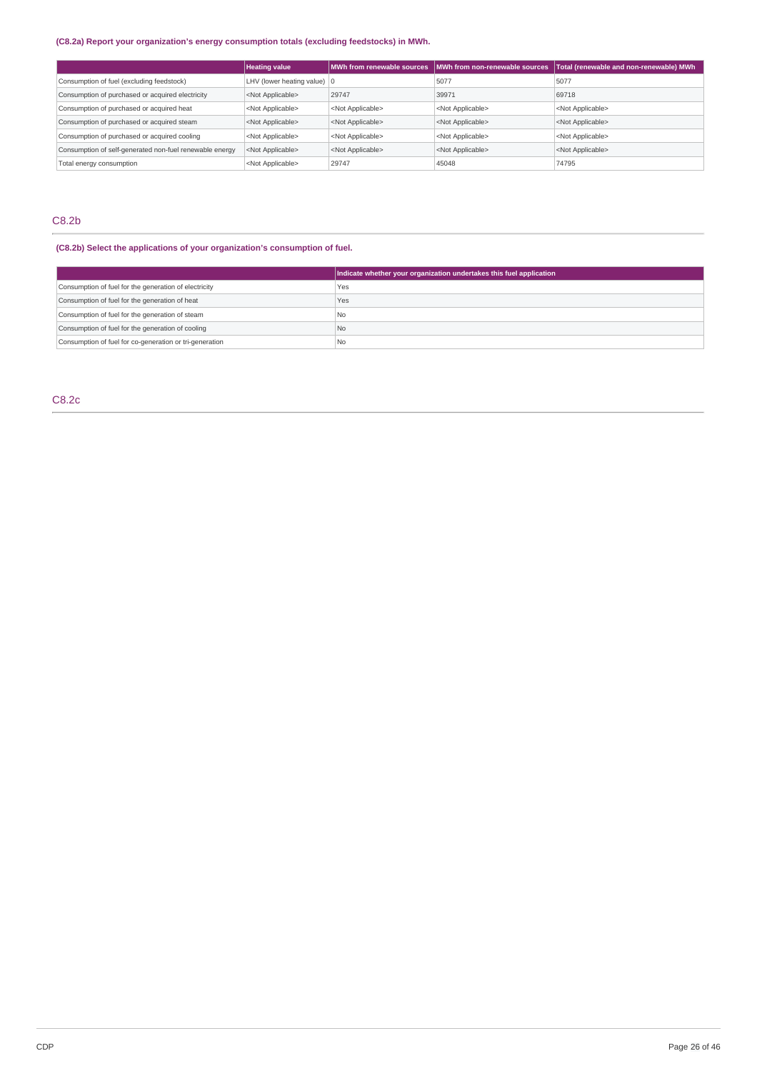# **(C8.2a) Report your organization's energy consumption totals (excluding feedstocks) in MWh.**

|                                                         | <b>Heating value</b>                  | MWh from renewable sources | MWh from non-renewable sources | Total (renewable and non-renewable) MWh |
|---------------------------------------------------------|---------------------------------------|----------------------------|--------------------------------|-----------------------------------------|
| Consumption of fuel (excluding feedstock)               | LHV (lower heating value) $ 0\rangle$ |                            | 5077                           | 5077                                    |
| Consumption of purchased or acquired electricity        | <not applicable=""></not>             | 29747                      | 39971                          | 69718                                   |
| Consumption of purchased or acquired heat               | <not applicable=""></not>             | <not applicable=""></not>  | <not applicable=""></not>      | <not applicable=""></not>               |
| Consumption of purchased or acquired steam              | <not applicable=""></not>             | <not applicable=""></not>  | <not applicable=""></not>      | <not applicable=""></not>               |
| Consumption of purchased or acquired cooling            | <not applicable=""></not>             | <not applicable=""></not>  | <not applicable=""></not>      | <not applicable=""></not>               |
| Consumption of self-generated non-fuel renewable energy | <not applicable=""></not>             | <not applicable=""></not>  | <not applicable=""></not>      | <not applicable=""></not>               |
| Total energy consumption                                | <not applicable=""></not>             | 29747                      | 45048                          | 74795                                   |

# C8.2b

# **(C8.2b) Select the applications of your organization's consumption of fuel.**

|                                                         | Indicate whether your organization undertakes this fuel application |
|---------------------------------------------------------|---------------------------------------------------------------------|
| Consumption of fuel for the generation of electricity   | Yes                                                                 |
| Consumption of fuel for the generation of heat          | Yes                                                                 |
| Consumption of fuel for the generation of steam         | No.                                                                 |
| Consumption of fuel for the generation of cooling       | No                                                                  |
| Consumption of fuel for co-generation or tri-generation | <sup>1</sup> No                                                     |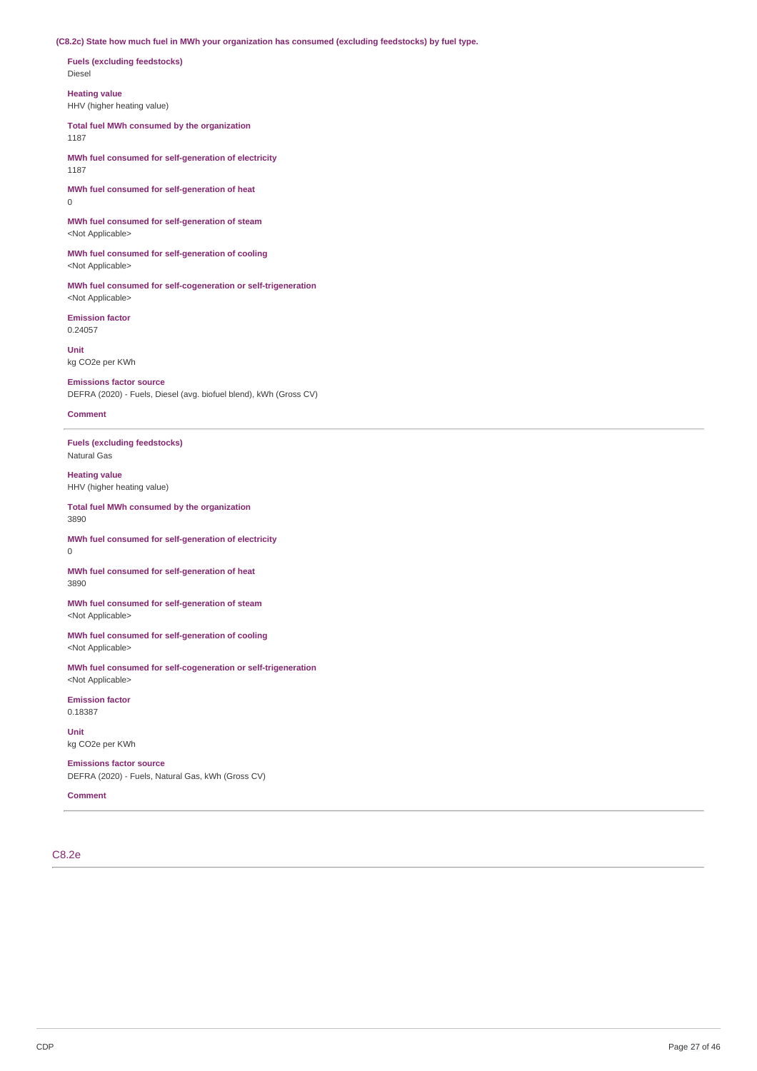**(C8.2c) State how much fuel in MWh your organization has consumed (excluding feedstocks) by fuel type.**

**Fuels (excluding feedstocks)** Diesel

**Heating value** HHV (higher heating value)

**Total fuel MWh consumed by the organization** 1187

**MWh fuel consumed for self-generation of electricity** 1187

**MWh fuel consumed for self-generation of heat**  $\theta$ 

**MWh fuel consumed for self-generation of steam** <Not Applicable>

**MWh fuel consumed for self-generation of cooling** <Not Applicable>

**MWh fuel consumed for self-cogeneration or self-trigeneration** <Not Applicable>

**Emission factor** 0.24057

**Unit** kg CO2e per KWh

**Emissions factor source** DEFRA (2020) - Fuels, Diesel (avg. biofuel blend), kWh (Gross CV)

**Comment**

**Fuels (excluding feedstocks)** Natural Gas

**Heating value** HHV (higher heating value)

**Total fuel MWh consumed by the organization** 3890

**MWh fuel consumed for self-generation of electricity** 0

**MWh fuel consumed for self-generation of heat** 3890

**MWh fuel consumed for self-generation of steam** <Not Applicable>

**MWh fuel consumed for self-generation of cooling** <Not Applicable>

**MWh fuel consumed for self-cogeneration or self-trigeneration** <Not Applicable>

**Emission factor** 0.18387

**Unit** kg CO2e per KWh

**Emissions factor source**

DEFRA (2020) - Fuels, Natural Gas, kWh (Gross CV)

**Comment**

C8.2e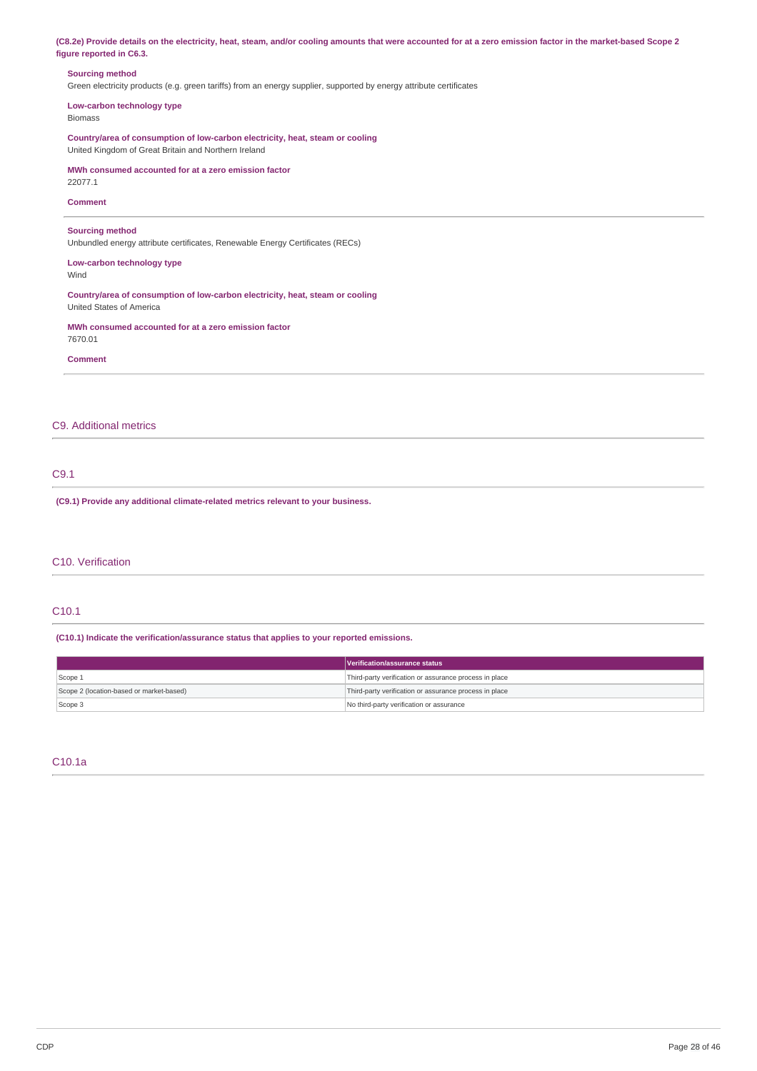| (C8.2e) Provide details on the electricity, heat, steam, and/or cooling amounts that were accounted for at a zero emission factor in the market-based Scope 2 |  |
|---------------------------------------------------------------------------------------------------------------------------------------------------------------|--|
| figure reported in C6.3.                                                                                                                                      |  |

### **Sourcing method**

Green electricity products (e.g. green tariffs) from an energy supplier, supported by energy attribute certificates

**Low-carbon technology type** Biomass

**Country/area of consumption of low-carbon electricity, heat, steam or cooling** United Kingdom of Great Britain and Northern Ireland

# **MWh consumed accounted for at a zero emission factor**

22077.1

# **Comment**

# **Sourcing method**

Unbundled energy attribute certificates, Renewable Energy Certificates (RECs)

**Low-carbon technology type** Wind

**Country/area of consumption of low-carbon electricity, heat, steam or cooling** United States of America

**MWh consumed accounted for at a zero emission factor** 7670.01

**Comment**

# C9. Additional metrics

# C9.1

**(C9.1) Provide any additional climate-related metrics relevant to your business.**

# C10. Verification

# C10.1

### **(C10.1) Indicate the verification/assurance status that applies to your reported emissions.**

|                                          | Verification/assurance status                          |  |
|------------------------------------------|--------------------------------------------------------|--|
| Scope 1                                  | Third-party verification or assurance process in place |  |
| Scope 2 (location-based or market-based) | Third-party verification or assurance process in place |  |
| Scope 3                                  | No third-party verification or assurance               |  |

# C10.1a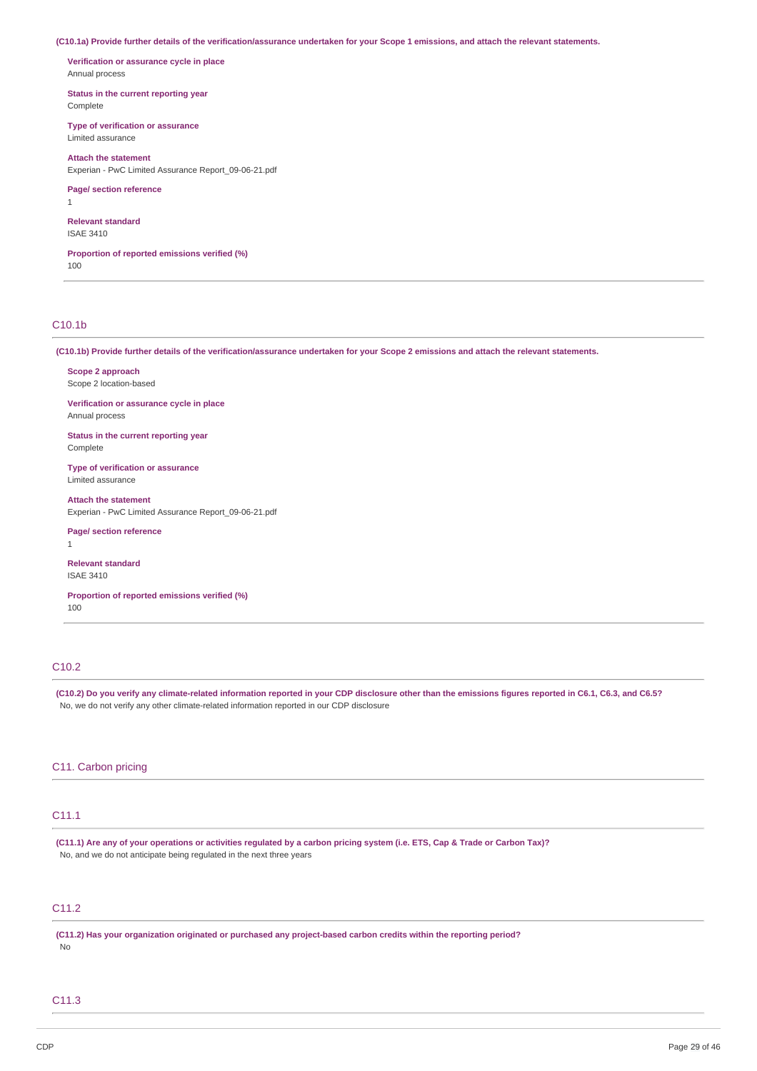(C10.1a) Provide further details of the verification/assurance undertaken for your Scope 1 emissions, and attach the relevant statements.

**Verification or assurance cycle in place** Annual process

**Status in the current reporting year** Complete

**Type of verification or assurance** Limited assurance

**Attach the statement** Experian - PwC Limited Assurance Report\_09-06-21.pdf

**Page/ section reference**

1

**Relevant standard** ISAE 3410

**Proportion of reported emissions verified (%)** 100

# C10.1b

(C10.1b) Provide further details of the verification/assurance undertaken for your Scope 2 emissions and attach the relevant statements.

**Scope 2 approach** Scope 2 location-based

**Verification or assurance cycle in place** Annual process

**Status in the current reporting year** Complete

**Type of verification or assurance** Limited assurance

**Attach the statement** Experian - PwC Limited Assurance Report\_09-06-21.pdf

**Page/ section reference**

**Relevant standard** ISAE 3410

**Proportion of reported emissions verified (%)** 100

# C10.2

1

(C10.2) Do you verify any climate-related information reported in your CDP disclosure other than the emissions figures reported in C6.1, C6.3, and C6.5? No, we do not verify any other climate-related information reported in our CDP disclosure

### C11. Carbon pricing

# C11.1

(C11.1) Are any of your operations or activities regulated by a carbon pricing system (i.e. ETS, Cap & Trade or Carbon Tax)? No, and we do not anticipate being regulated in the next three years

# C11.2

**(C11.2) Has your organization originated or purchased any project-based carbon credits within the reporting period?** No

# C11.3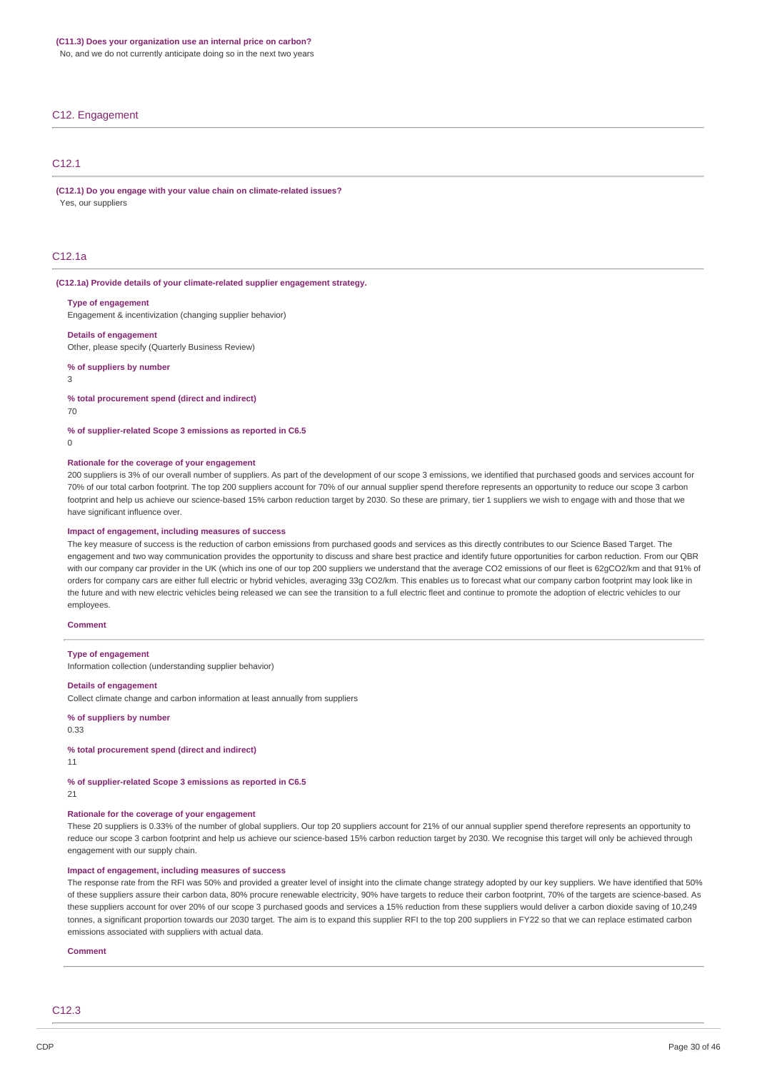No, and we do not currently anticipate doing so in the next two years

#### C12. Engagement

# C12.1

**(C12.1) Do you engage with your value chain on climate-related issues?** Yes, our suppliers

# C12.1a

#### **(C12.1a) Provide details of your climate-related supplier engagement strategy.**

#### **Type of engagement**

Engagement & incentivization (changing supplier behavior)

#### **Details of engagement**

Other, please specify (Quarterly Business Review)

#### **% of suppliers by number**

3

#### **% total procurement spend (direct and indirect)**

70

#### **% of supplier-related Scope 3 emissions as reported in C6.5**

 $\Omega$ 

#### **Rationale for the coverage of your engagement**

200 suppliers is 3% of our overall number of suppliers. As part of the development of our scope 3 emissions, we identified that purchased goods and services account for 70% of our total carbon footprint. The top 200 suppliers account for 70% of our annual supplier spend therefore represents an opportunity to reduce our scope 3 carbon footprint and help us achieve our science-based 15% carbon reduction target by 2030. So these are primary, tier 1 suppliers we wish to engage with and those that we have significant influence over

#### **Impact of engagement, including measures of success**

The key measure of success is the reduction of carbon emissions from purchased goods and services as this directly contributes to our Science Based Target. The engagement and two way communication provides the opportunity to discuss and share best practice and identify future opportunities for carbon reduction. From our QBR with our company car provider in the UK (which ins one of our top 200 suppliers we understand that the average CO2 emissions of our fleet is 62gCO2/km and that 91% of orders for company cars are either full electric or hybrid vehicles, averaging 33g CO2/km. This enables us to forecast what our company carbon footprint may look like in the future and with new electric vehicles being released we can see the transition to a full electric fleet and continue to promote the adoption of electric vehicles to our employees.

#### **Comment**

#### **Type of engagement**

Information collection (understanding supplier behavior)

#### **Details of engagement**

Collect climate change and carbon information at least annually from suppliers

### **% of suppliers by number**

0.33

#### **% total procurement spend (direct and indirect)**

11

### **% of supplier-related Scope 3 emissions as reported in C6.5**

21

# **Rationale for the coverage of your engagement**

These 20 suppliers is 0.33% of the number of global suppliers. Our top 20 suppliers account for 21% of our annual supplier spend therefore represents an opportunity to reduce our scope 3 carbon footprint and help us achieve our science-based 15% carbon reduction target by 2030. We recognise this target will only be achieved through engagement with our supply chain.

# **Impact of engagement, including measures of success**

The response rate from the RFI was 50% and provided a greater level of insight into the climate change strategy adopted by our key suppliers. We have identified that 50% of these suppliers assure their carbon data, 80% procure renewable electricity, 90% have targets to reduce their carbon footprint, 70% of the targets are science-based. As these suppliers account for over 20% of our scope 3 purchased goods and services a 15% reduction from these suppliers would deliver a carbon dioxide saving of 10,249 tonnes, a significant proportion towards our 2030 target. The aim is to expand this supplier RFI to the top 200 suppliers in FY22 so that we can replace estimated carbon emissions associated with suppliers with actual data.

#### **Comment**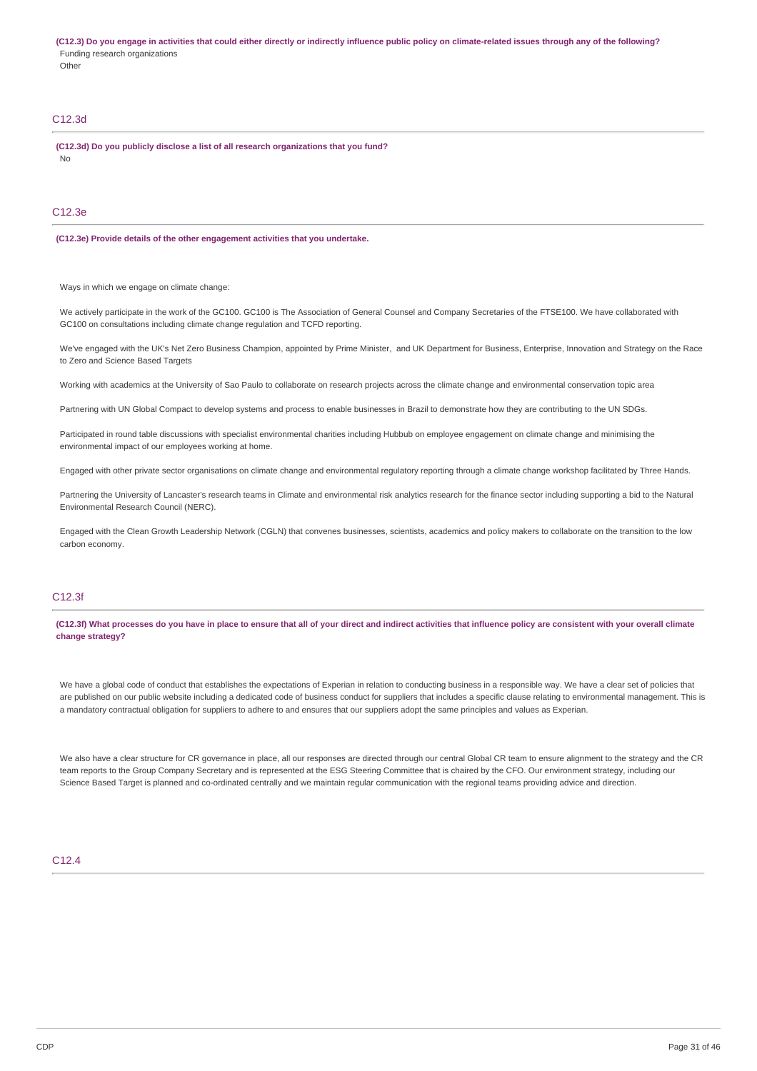(C12.3) Do you engage in activities that could either directly or indirectly influence public policy on climate-related issues through any of the following? Funding research organizations **Other** 

# C12.3d

**(C12.3d) Do you publicly disclose a list of all research organizations that you fund?** No

# C12.3e

#### **(C12.3e) Provide details of the other engagement activities that you undertake.**

Ways in which we engage on climate change:

We actively participate in the work of the GC100. GC100 is The Association of General Counsel and Company Secretaries of the FTSE100. We have collaborated with GC100 on consultations including climate change regulation and TCFD reporting.

We've engaged with the UK's Net Zero Business Champion, appointed by Prime Minister, and UK Department for Business, Enterprise, Innovation and Strategy on the Race to Zero and Science Based Targets

Working with academics at the University of Sao Paulo to collaborate on research projects across the climate change and environmental conservation topic area

Partnering with UN Global Compact to develop systems and process to enable businesses in Brazil to demonstrate how they are contributing to the UN SDGs.

Participated in round table discussions with specialist environmental charities including Hubbub on employee engagement on climate change and minimising the environmental impact of our employees working at home.

Engaged with other private sector organisations on climate change and environmental regulatory reporting through a climate change workshop facilitated by Three Hands.

Partnering the University of Lancaster's research teams in Climate and environmental risk analytics research for the finance sector including supporting a bid to the Natural Environmental Research Council (NERC).

Engaged with the Clean Growth Leadership Network (CGLN) that convenes businesses, scientists, academics and policy makers to collaborate on the transition to the low carbon economy.

# C12.3f

(C12.3f) What processes do you have in place to ensure that all of your direct and indirect activities that influence policy are consistent with your overall climate **change strategy?**

We have a global code of conduct that establishes the expectations of Experian in relation to conducting business in a responsible way. We have a clear set of policies that are published on our public website including a dedicated code of business conduct for suppliers that includes a specific clause relating to environmental management. This is a mandatory contractual obligation for suppliers to adhere to and ensures that our suppliers adopt the same principles and values as Experian.

We also have a clear structure for CR governance in place, all our responses are directed through our central Global CR team to ensure alignment to the strategy and the CR team reports to the Group Company Secretary and is represented at the ESG Steering Committee that is chaired by the CFO. Our environment strategy, including our Science Based Target is planned and co-ordinated centrally and we maintain regular communication with the regional teams providing advice and direction.

### C12.4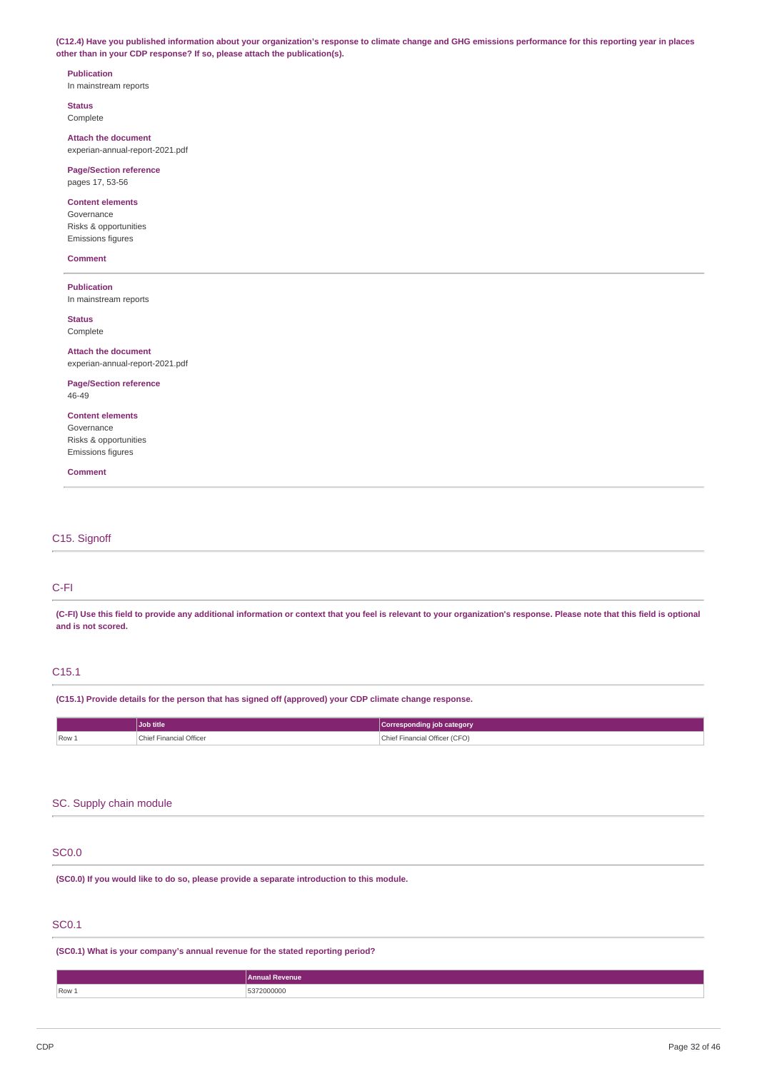(C12.4) Have you published information about your organization's response to climate change and GHG emissions performance for this reporting year in places **other than in your CDP response? If so, please attach the publication(s).**

# **Publication** In mainstream reports

**Status** Complete

**Attach the document** experian-annual-report-2021.pdf

**Page/Section reference** pages 17, 53-56

### **Content elements**

Governance Risks & opportunities Emissions figures

#### **Comment**

# **Publication**

In mainstream reports

**Status** Complete

#### **Attach the document**

experian-annual-report-2021.pdf

# **Page/Section reference**

46-49

# **Content elements**

Governance Risks & opportunities Emissions figures

**Comment**

# C15. Signoff

# C-FI

(C-FI) Use this field to provide any additional information or context that you feel is relevant to your organization's response. Please note that this field is optional **and is not scored.**

# C15.1

**(C15.1) Provide details for the person that has signed off (approved) your CDP climate change response.**

|         | Job title              | category                     |
|---------|------------------------|------------------------------|
| $Row_+$ | Financial Officer<br>. | ' Officer (CFO)<br>Financial |

# SC. Supply chain module

### SC0.0

**(SC0.0) If you would like to do so, please provide a separate introduction to this module.**

# SC0.1

**(SC0.1) What is your company's annual revenue for the stated reporting period?**

**Annual Revenue** Row 1 5372000000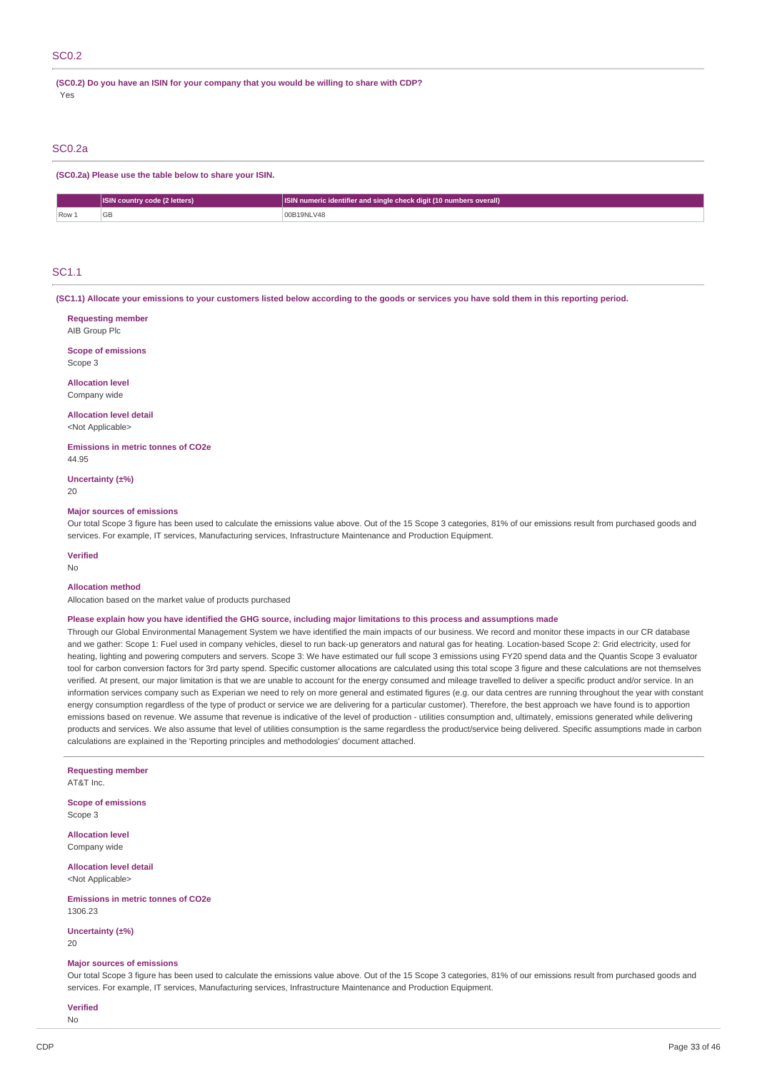**(SC0.2) Do you have an ISIN for your company that you would be willing to share with CDP?** Yes

#### SC0.2a

**(SC0.2a) Please use the table below to share your ISIN.**

|       | <b>ISIN country code (2 letters)</b> | <b>ISIN numeric identifier and single check digit (10 numbers overall)</b> |
|-------|--------------------------------------|----------------------------------------------------------------------------|
| Row 1 |                                      | 00B19NLV48                                                                 |

# SC1.1

(SC1.1) Allocate your emissions to your customers listed below according to the goods or services you have sold them in this reporting period.

| <b>Requesting member</b><br>AIB Group Plc                                                                                                                                                                                                                                                                                      |
|--------------------------------------------------------------------------------------------------------------------------------------------------------------------------------------------------------------------------------------------------------------------------------------------------------------------------------|
| <b>Scope of emissions</b><br>Scope 3                                                                                                                                                                                                                                                                                           |
| <b>Allocation level</b><br>Company wide                                                                                                                                                                                                                                                                                        |
| <b>Allocation level detail</b><br><not applicable=""></not>                                                                                                                                                                                                                                                                    |
| <b>Emissions in metric tonnes of CO2e</b><br>44.95                                                                                                                                                                                                                                                                             |
| Uncertainty $(\pm\%)$<br>20                                                                                                                                                                                                                                                                                                    |
| <b>Major sources of emissions</b><br>Our total Scope 3 figure has been used to calculate the emissions value above. Out of the 15 Scope 3 categories, 81% of our emissions result from purchased goods and<br>services. For example, IT services, Manufacturing services, Infrastructure Maintenance and Production Equipment. |
| <b>Verified</b><br><b>No</b>                                                                                                                                                                                                                                                                                                   |
| <b>Allocation method</b><br>Allocation based on the market value of products purchased                                                                                                                                                                                                                                         |

### Please explain how you have identified the GHG source, including major limitations to this process and assumptions made

Through our Global Environmental Management System we have identified the main impacts of our business. We record and monitor these impacts in our CR database and we gather: Scope 1: Fuel used in company vehicles, diesel to run back-up generators and natural gas for heating. Location-based Scope 2: Grid electricity, used for heating, lighting and powering computers and servers. Scope 3: We have estimated our full scope 3 emissions using FY20 spend data and the Quantis Scope 3 evaluator tool for carbon conversion factors for 3rd party spend. Specific customer allocations are calculated using this total scope 3 figure and these calculations are not themselves verified. At present, our major limitation is that we are unable to account for the energy consumed and mileage travelled to deliver a specific product and/or service. In an information services company such as Experian we need to rely on more general and estimated figures (e.g. our data centres are running throughout the year with constant energy consumption regardless of the type of product or service we are delivering for a particular customer). Therefore, the best approach we have found is to apportion emissions based on revenue. We assume that revenue is indicative of the level of production - utilities consumption and, ultimately, emissions generated while delivering products and services. We also assume that level of utilities consumption is the same regardless the product/service being delivered. Specific assumptions made in carbon calculations are explained in the 'Reporting principles and methodologies' document attached.

# **Requesting member**

AT&T Inc.

**Scope of emissions** Scope 3

**Allocation level** Company wide

**Allocation level detail** <Not Applicable>

**Emissions in metric tonnes of CO2e** 1306.23

**Uncertainty (±%)**  $20$ 

#### **Major sources of emissions**

Our total Scope 3 figure has been used to calculate the emissions value above. Out of the 15 Scope 3 categories, 81% of our emissions result from purchased goods and services. For example, IT services, Manufacturing services, Infrastructure Maintenance and Production Equipment.

**Verified**

No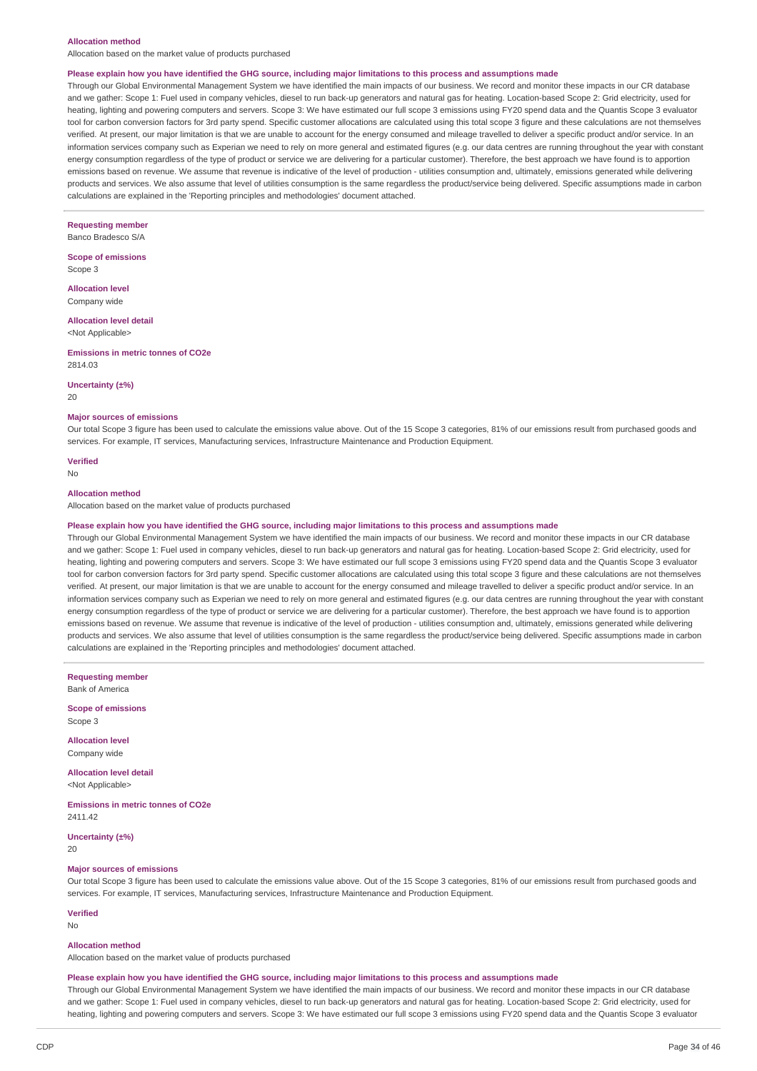#### **Allocation method**

Allocation based on the market value of products purchased

#### Please explain how you have identified the GHG source, including major limitations to this process and assumptions made

Through our Global Environmental Management System we have identified the main impacts of our business. We record and monitor these impacts in our CR database and we gather: Scope 1: Fuel used in company vehicles, diesel to run back-up generators and natural gas for heating. Location-based Scope 2: Grid electricity, used for heating, lighting and powering computers and servers. Scope 3: We have estimated our full scope 3 emissions using FY20 spend data and the Quantis Scope 3 evaluator tool for carbon conversion factors for 3rd party spend. Specific customer allocations are calculated using this total scope 3 figure and these calculations are not themselves verified. At present, our major limitation is that we are unable to account for the energy consumed and mileage travelled to deliver a specific product and/or service. In an information services company such as Experian we need to rely on more general and estimated figures (e.g. our data centres are running throughout the year with constant energy consumption regardless of the type of product or service we are delivering for a particular customer). Therefore, the best approach we have found is to apportion emissions based on revenue. We assume that revenue is indicative of the level of production - utilities consumption and, ultimately, emissions generated while delivering products and services. We also assume that level of utilities consumption is the same regardless the product/service being delivered. Specific assumptions made in carbon calculations are explained in the 'Reporting principles and methodologies' document attached.

**Requesting member** Banco Bradesco S/A

**Scope of emissions** Scope 3

**Allocation level** Company wide

**Allocation level detail** <Not Applicable>

**Emissions in metric tonnes of CO2e**

2814.03

#### **Uncertainty (±%)**

20

#### **Major sources of emissions**

Our total Scope 3 figure has been used to calculate the emissions value above. Out of the 15 Scope 3 categories, 81% of our emissions result from purchased goods and services. For example, IT services, Manufacturing services, Infrastructure Maintenance and Production Equipment.

**Verified**

#### No

#### **Allocation method**

Allocation based on the market value of products purchased

#### Please explain how you have identified the GHG source, including major limitations to this process and assumptions made

Through our Global Environmental Management System we have identified the main impacts of our business. We record and monitor these impacts in our CR database and we gather: Scope 1: Fuel used in company vehicles, diesel to run back-up generators and natural gas for heating. Location-based Scope 2: Grid electricity, used for heating, lighting and powering computers and servers. Scope 3: We have estimated our full scope 3 emissions using FY20 spend data and the Quantis Scope 3 evaluator tool for carbon conversion factors for 3rd party spend. Specific customer allocations are calculated using this total scope 3 figure and these calculations are not themselves verified. At present, our major limitation is that we are unable to account for the energy consumed and mileage travelled to deliver a specific product and/or service. In an information services company such as Experian we need to rely on more general and estimated figures (e.g. our data centres are running throughout the year with constant energy consumption regardless of the type of product or service we are delivering for a particular customer). Therefore, the best approach we have found is to apportion emissions based on revenue. We assume that revenue is indicative of the level of production - utilities consumption and, ultimately, emissions generated while delivering products and services. We also assume that level of utilities consumption is the same regardless the product/service being delivered. Specific assumptions made in carbon calculations are explained in the 'Reporting principles and methodologies' document attached.

**Requesting member** Bank of America

**Scope of emissions** Scope 3

**Allocation level**

Company wide

**Allocation level detail** <Not Applicable>

**Emissions in metric tonnes of CO2e** 2411.42

**Uncertainty (±%)** 20

### **Major sources of emissions**

Our total Scope 3 figure has been used to calculate the emissions value above. Out of the 15 Scope 3 categories, 81% of our emissions result from purchased goods and services. For example, IT services, Manufacturing services, Infrastructure Maintenance and Production Equipment.

**Verified** No

#### **Allocation method**

Allocation based on the market value of products purchased

#### Please explain how you have identified the GHG source, including major limitations to this process and assumptions made

Through our Global Environmental Management System we have identified the main impacts of our business. We record and monitor these impacts in our CR database and we gather: Scope 1: Fuel used in company vehicles, diesel to run back-up generators and natural gas for heating. Location-based Scope 2: Grid electricity, used for heating, lighting and powering computers and servers. Scope 3: We have estimated our full scope 3 emissions using FY20 spend data and the Ouantis Scope 3 evaluator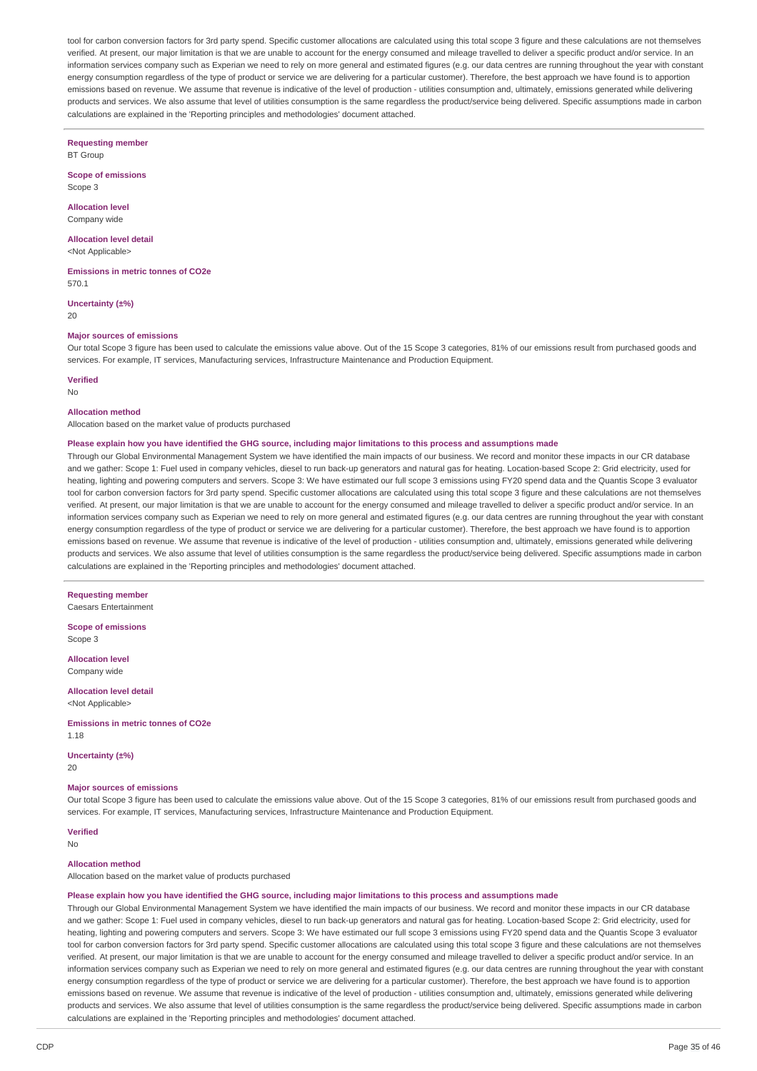tool for carbon conversion factors for 3rd party spend. Specific customer allocations are calculated using this total scope 3 figure and these calculations are not themselves verified. At present, our major limitation is that we are unable to account for the energy consumed and mileage travelled to deliver a specific product and/or service. In an information services company such as Experian we need to rely on more general and estimated figures (e.g. our data centres are running throughout the year with constant energy consumption regardless of the type of product or service we are delivering for a particular customer). Therefore, the best approach we have found is to apportion emissions based on revenue. We assume that revenue is indicative of the level of production - utilities consumption and, ultimately, emissions generated while delivering products and services. We also assume that level of utilities consumption is the same regardless the product/service being delivered. Specific assumptions made in carbon calculations are explained in the 'Reporting principles and methodologies' document attached.

**Requesting member** BT Group

**Scope of emissions** Scope 3

**Allocation level** Company wide

**Allocation level detail**

<Not Applicable>

**Emissions in metric tonnes of CO2e** 570.1

**Uncertainty (±%)** 20

### **Major sources of emissions**

Our total Scope 3 figure has been used to calculate the emissions value above. Out of the 15 Scope 3 categories, 81% of our emissions result from purchased goods and services. For example, IT services, Manufacturing services, Infrastructure Maintenance and Production Equipment.

**Verified**

No

# **Allocation method**

Allocation based on the market value of products purchased

#### Please explain how you have identified the GHG source, including major limitations to this process and assumptions made

Through our Global Environmental Management System we have identified the main impacts of our business. We record and monitor these impacts in our CR database and we gather: Scope 1: Fuel used in company vehicles, diesel to run back-up generators and natural gas for heating. Location-based Scope 2: Grid electricity, used for heating, lighting and powering computers and servers. Scope 3: We have estimated our full scope 3 emissions using FY20 spend data and the Quantis Scope 3 evaluator tool for carbon conversion factors for 3rd party spend. Specific customer allocations are calculated using this total scope 3 figure and these calculations are not themselves verified. At present, our major limitation is that we are unable to account for the energy consumed and mileage travelled to deliver a specific product and/or service. In an information services company such as Experian we need to rely on more general and estimated figures (e.g. our data centres are running throughout the year with constant energy consumption regardless of the type of product or service we are delivering for a particular customer). Therefore, the best approach we have found is to apportion emissions based on revenue. We assume that revenue is indicative of the level of production - utilities consumption and, ultimately, emissions generated while delivering products and services. We also assume that level of utilities consumption is the same regardless the product/service being delivered. Specific assumptions made in carbon calculations are explained in the 'Reporting principles and methodologies' document attached.

**Requesting member**

Caesars Entertainment

**Scope of emissions** Scope 3

**Allocation level**

Company wide **Allocation level detail**

<Not Applicable>

**Emissions in metric tonnes of CO2e** 1.18

**Uncertainty (±%)**

20

### **Major sources of emissions**

Our total Scope 3 figure has been used to calculate the emissions value above. Out of the 15 Scope 3 categories, 81% of our emissions result from purchased goods and services. For example, IT services, Manufacturing services, Infrastructure Maintenance and Production Equipment.

**Verified** No

#### **Allocation method**

Allocation based on the market value of products purchased

#### Please explain how you have identified the GHG source, including major limitations to this process and assumptions made

Through our Global Environmental Management System we have identified the main impacts of our business. We record and monitor these impacts in our CR database and we gather: Scope 1: Fuel used in company vehicles, diesel to run back-up generators and natural gas for heating. Location-based Scope 2: Grid electricity, used for heating, lighting and powering computers and servers. Scope 3: We have estimated our full scope 3 emissions using FY20 spend data and the Quantis Scope 3 evaluator tool for carbon conversion factors for 3rd party spend. Specific customer allocations are calculated using this total scope 3 figure and these calculations are not themselves verified. At present, our major limitation is that we are unable to account for the energy consumed and mileage travelled to deliver a specific product and/or service. In an information services company such as Experian we need to rely on more general and estimated figures (e.g. our data centres are running throughout the year with constant energy consumption regardless of the type of product or service we are delivering for a particular customer). Therefore, the best approach we have found is to apportion emissions based on revenue. We assume that revenue is indicative of the level of production - utilities consumption and, ultimately, emissions generated while delivering products and services. We also assume that level of utilities consumption is the same regardless the product/service being delivered. Specific assumptions made in carbon calculations are explained in the 'Reporting principles and methodologies' document attached.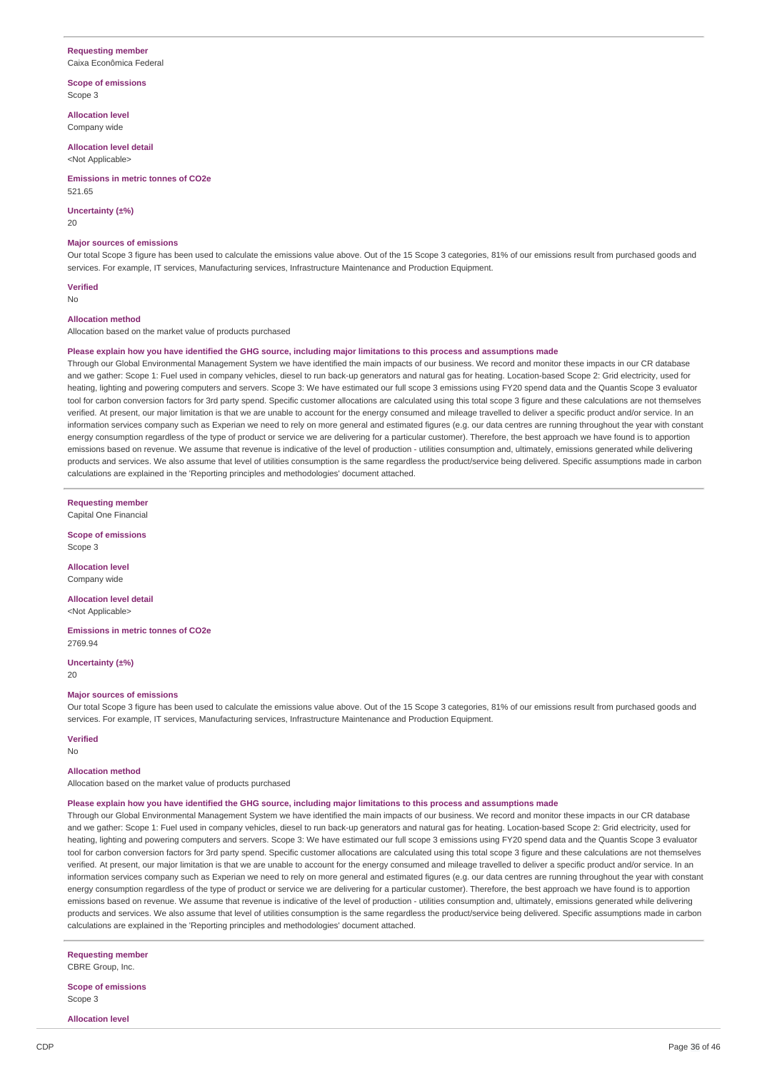# **Requesting member**

Caixa Econômica Federal

**Scope of emissions** Scope 3

**Allocation level** Company wide

**Allocation level detail** <Not Applicable>

**Emissions in metric tonnes of CO2e**

521.65

**Uncertainty (±%)**  $20$ 

#### **Major sources of emissions**

Our total Scope 3 figure has been used to calculate the emissions value above. Out of the 15 Scope 3 categories, 81% of our emissions result from purchased goods and services. For example, IT services, Manufacturing services, Infrastructure Maintenance and Production Equipment.

**Verified** No

#### **Allocation method**

Allocation based on the market value of products purchased

#### Please explain how you have identified the GHG source, including major limitations to this process and assumptions made

Through our Global Environmental Management System we have identified the main impacts of our business. We record and monitor these impacts in our CR database and we gather: Scope 1: Fuel used in company vehicles, diesel to run back-up generators and patural gas for heating. Location-based Scope 2: Grid electricity, used for heating, lighting and powering computers and servers. Scope 3: We have estimated our full scope 3 emissions using FY20 spend data and the Quantis Scope 3 evaluator tool for carbon conversion factors for 3rd party spend. Specific customer allocations are calculated using this total scope 3 figure and these calculations are not themselves verified. At present, our major limitation is that we are unable to account for the energy consumed and mileage travelled to deliver a specific product and/or service. In an information services company such as Experian we need to rely on more general and estimated figures (e.g. our data centres are running throughout the year with constant energy consumption regardless of the type of product or service we are delivering for a particular customer). Therefore, the best approach we have found is to apportion emissions based on revenue. We assume that revenue is indicative of the level of production - utilities consumption and, ultimately, emissions generated while delivering products and services. We also assume that level of utilities consumption is the same regardless the product/service being delivered. Specific assumptions made in carbon calculations are explained in the 'Reporting principles and methodologies' document attached.

**Requesting member** Capital One Financial

**Scope of emissions** Scope 3

**Allocation level** Company wide

**Allocation level detail** <Not Applicable>

**Emissions in metric tonnes of CO2e** 2769.94

**Uncertainty (±%)** 20

#### **Major sources of emissions**

Our total Scope 3 figure has been used to calculate the emissions value above. Out of the 15 Scope 3 categories, 81% of our emissions result from purchased goods and services. For example, IT services, Manufacturing services, Infrastructure Maintenance and Production Equipment.

**Verified** No

#### **Allocation method**

Allocation based on the market value of products purchased

### Please explain how you have identified the GHG source, including major limitations to this process and assumptions made

Through our Global Environmental Management System we have identified the main impacts of our business. We record and monitor these impacts in our CR database and we gather: Scope 1: Fuel used in company vehicles, diesel to run back-up generators and natural gas for heating. Location-based Scope 2: Grid electricity, used for heating, lighting and powering computers and servers. Scope 3: We have estimated our full scope 3 emissions using FY20 spend data and the Quantis Scope 3 evaluator tool for carbon conversion factors for 3rd party spend. Specific customer allocations are calculated using this total scope 3 figure and these calculations are not themselves verified. At present, our major limitation is that we are unable to account for the energy consumed and mileage travelled to deliver a specific product and/or service. In an information services company such as Experian we need to rely on more general and estimated figures (e.g. our data centres are running throughout the year with constant energy consumption regardless of the type of product or service we are delivering for a particular customer). Therefore, the best approach we have found is to apportion emissions based on revenue. We assume that revenue is indicative of the level of production - utilities consumption and, ultimately, emissions generated while delivering products and services. We also assume that level of utilities consumption is the same regardless the product/service being delivered. Specific assumptions made in carbon calculations are explained in the 'Reporting principles and methodologies' document attached.

**Requesting member**

CBRE Group, Inc.

**Scope of emissions** Scope 3

**Allocation level**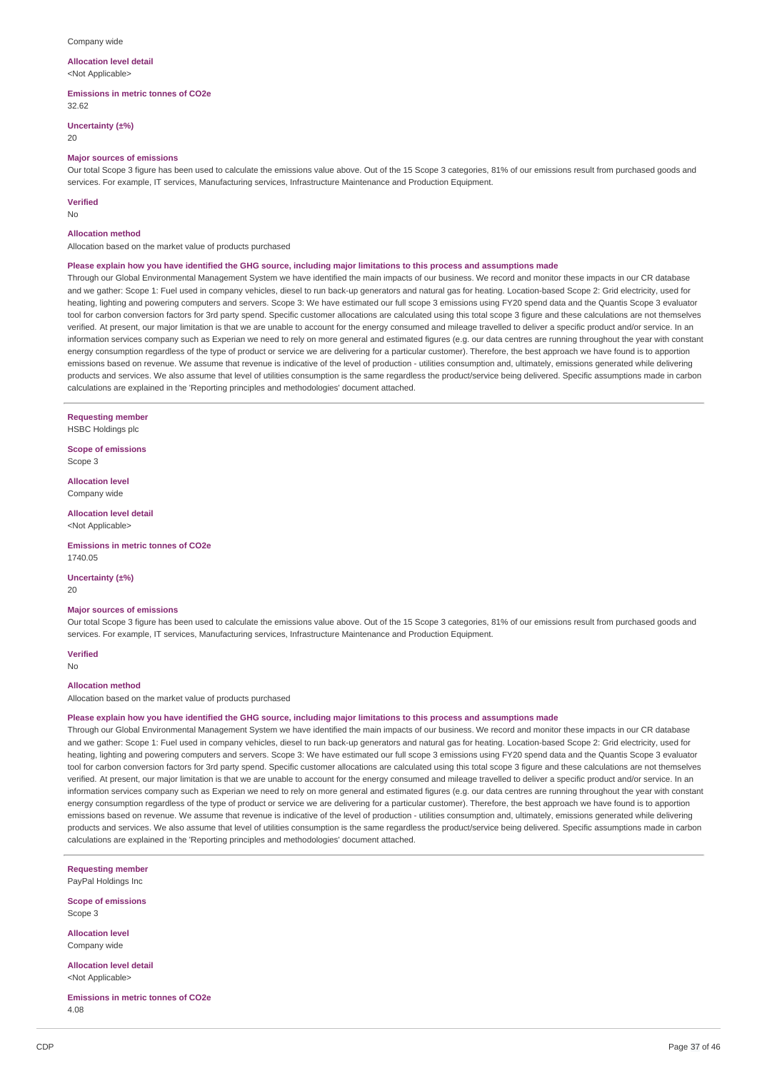#### Company wide

#### **Allocation level detail** <Not Applicable>

**Emissions in metric tonnes of CO2e**

32.62

**Uncertainty (±%)**

20

#### **Major sources of emissions**

Our total Scope 3 figure has been used to calculate the emissions value above. Out of the 15 Scope 3 categories, 81% of our emissions result from purchased goods and services. For example, IT services, Manufacturing services, Infrastructure Maintenance and Production Equipment.

#### **Verified**

No

#### **Allocation method**

Allocation based on the market value of products purchased

#### Please explain how you have identified the GHG source, including major limitations to this process and assumptions made

Through our Global Environmental Management System we have identified the main impacts of our business. We record and monitor these impacts in our CR database and we gather: Scope 1: Fuel used in company vehicles, diesel to run back-up generators and natural gas for heating. Location-based Scope 2: Grid electricity, used for heating, lighting and powering computers and servers. Scope 3: We have estimated our full scope 3 emissions using FY20 spend data and the Quantis Scope 3 evaluator tool for carbon conversion factors for 3rd party spend. Specific customer allocations are calculated using this total scope 3 figure and these calculations are not themselves verified. At present, our major limitation is that we are unable to account for the energy consumed and mileage travelled to deliver a specific product and/or service. In an information services company such as Experian we need to rely on more general and estimated figures (e.g. our data centres are running throughout the year with constant energy consumption regardless of the type of product or service we are delivering for a particular customer). Therefore, the best approach we have found is to apportion emissions based on revenue. We assume that revenue is indicative of the level of production - utilities consumption and, ultimately, emissions generated while delivering products and services. We also assume that level of utilities consumption is the same regardless the product/service being delivered. Specific assumptions made in carbon calculations are explained in the 'Reporting principles and methodologies' document attached.

**Requesting member**

HSBC Holdings plc

**Scope of emissions** Scope 3

**Allocation level** Company wide

**Allocation level detail** <Not Applicable>

**Emissions in metric tonnes of CO2e** 1740.05

**Uncertainty (±%)**

20

#### **Major sources of emissions**

Our total Scope 3 figure has been used to calculate the emissions value above. Out of the 15 Scope 3 categories, 81% of our emissions result from purchased goods and services. For example, IT services, Manufacturing services, Infrastructure Maintenance and Production Equipment.

**Verified** No

#### **Allocation method**

Allocation based on the market value of products purchased

#### Please explain how you have identified the GHG source, including major limitations to this process and assumptions made

Through our Global Environmental Management System we have identified the main impacts of our business. We record and monitor these impacts in our CR database and we gather: Scope 1: Fuel used in company vehicles, diesel to run back-up generators and natural gas for heating. Location-based Scope 2: Grid electricity, used for heating, lighting and powering computers and servers. Scope 3: We have estimated our full scope 3 emissions using FY20 spend data and the Ouantis Scope 3 evaluator tool for carbon conversion factors for 3rd party spend. Specific customer allocations are calculated using this total scope 3 figure and these calculations are not themselves verified. At present, our major limitation is that we are unable to account for the energy consumed and mileage travelled to deliver a specific product and/or service. In an information services company such as Experian we need to rely on more general and estimated figures (e.g. our data centres are running throughout the year with constant energy consumption regardless of the type of product or service we are delivering for a particular customer). Therefore, the best approach we have found is to apportion emissions based on revenue. We assume that revenue is indicative of the level of production - utilities consumption and, ultimately, emissions generated while delivering products and services. We also assume that level of utilities consumption is the same regardless the product/service being delivered. Specific assumptions made in carbon calculations are explained in the 'Reporting principles and methodologies' document attached.

**Requesting member** PayPal Holdings Inc

**Scope of emissions** Scope 3

**Allocation level** Company wide

**Allocation level detail** <Not Applicable>

**Emissions in metric tonnes of CO2e** 4.08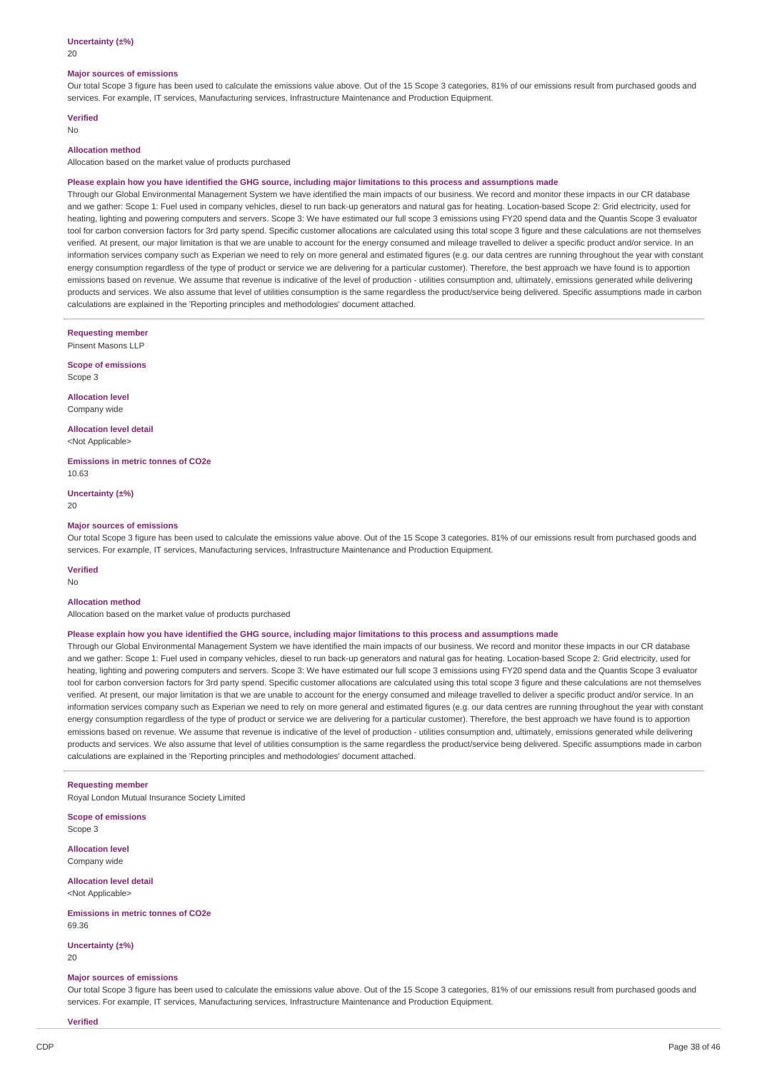20

#### **Major sources of emissions**

Our total Scope 3 figure has been used to calculate the emissions value above. Out of the 15 Scope 3 categories, 81% of our emissions result from purchased goods and services. For example, IT services, Manufacturing services, Infrastructure Maintenance and Production Equipment.

# **Verified**

No

# **Allocation method**

Allocation based on the market value of products purchased

#### Please explain how you have identified the GHG source, including major limitations to this process and assumptions made

Through our Global Environmental Management System we have identified the main impacts of our business. We record and monitor these impacts in our CR database and we gather: Scope 1: Fuel used in company vehicles, diesel to run back-up generators and natural gas for heating. Location-based Scope 2: Grid electricity, used for heating, lighting and powering computers and servers. Scope 3: We have estimated our full scope 3 emissions using FY20 spend data and the Quantis Scope 3 evaluator tool for carbon conversion factors for 3rd party spend. Specific customer allocations are calculated using this total scope 3 figure and these calculations are not themselves verified. At present, our major limitation is that we are unable to account for the energy consumed and mileage travelled to deliver a specific product and/or service. In an information services company such as Experian we need to rely on more general and estimated figures (e.g. our data centres are running throughout the year with constant energy consumption regardless of the type of product or service we are delivering for a particular customer). Therefore, the best approach we have found is to apportion emissions based on revenue. We assume that revenue is indicative of the level of production - utilities consumption and, ultimately, emissions generated while delivering products and services. We also assume that level of utilities consumption is the same regardless the product/service being delivered. Specific assumptions made in carbon calculations are explained in the 'Reporting principles and methodologies' document attached.

**Requesting member**

Pinsent Masons LLP

**Scope of emissions** Scope 3

**Allocation level** Company wide

**Allocation level detail** <Not Applicable>

**Emissions in metric tonnes of CO2e** 10.63

**Uncertainty (±%)**  $20$ 

#### **Major sources of emissions**

Our total Scope 3 figure has been used to calculate the emissions value above. Out of the 15 Scope 3 categories, 81% of our emissions result from purchased goods and services. For example, IT services, Manufacturing services, Infrastructure Maintenance and Production Equipment.

#### **Verified**

No

#### **Allocation method**

Allocation based on the market value of products purchased

#### Please explain how you have identified the GHG source, including major limitations to this process and assumptions made

Through our Global Environmental Management System we have identified the main impacts of our business. We record and monitor these impacts in our CR database and we gather: Scope 1: Fuel used in company vehicles, diesel to run back-up generators and natural gas for heating. Location-based Scope 2: Grid electricity, used for heating, lighting and powering computers and servers. Scope 3: We have estimated our full scope 3 emissions using FY20 spend data and the Quantis Scope 3 evaluator tool for carbon conversion factors for 3rd party spend. Specific customer allocations are calculated using this total scope 3 figure and these calculations are not themselves verified. At present, our major limitation is that we are unable to account for the energy consumed and mileage travelled to deliver a specific product and/or service. In an information services company such as Experian we need to rely on more general and estimated figures (e.g. our data centres are running throughout the year with constant energy consumption regardless of the type of product or service we are delivering for a particular customer). Therefore, the best approach we have found is to apportion emissions based on revenue. We assume that revenue is indicative of the level of production - utilities consumption and, ultimately, emissions generated while delivering products and services. We also assume that level of utilities consumption is the same regardless the product/service being delivered. Specific assumptions made in carbon calculations are explained in the 'Reporting principles and methodologies' document attached.

#### **Requesting member**

Royal London Mutual Insurance Society Limited

**Scope of emissions** Scope 3

**Allocation level** Company wide

**Allocation level detail** <Not Applicable>

**Emissions in metric tonnes of CO2e** 69.36

**Uncertainty (±%)**  $20$ 

#### **Major sources of emissions**

Our total Scope 3 figure has been used to calculate the emissions value above. Out of the 15 Scope 3 categories, 81% of our emissions result from purchased goods and services. For example, IT services, Manufacturing services, Infrastructure Maintenance and Production Equipment.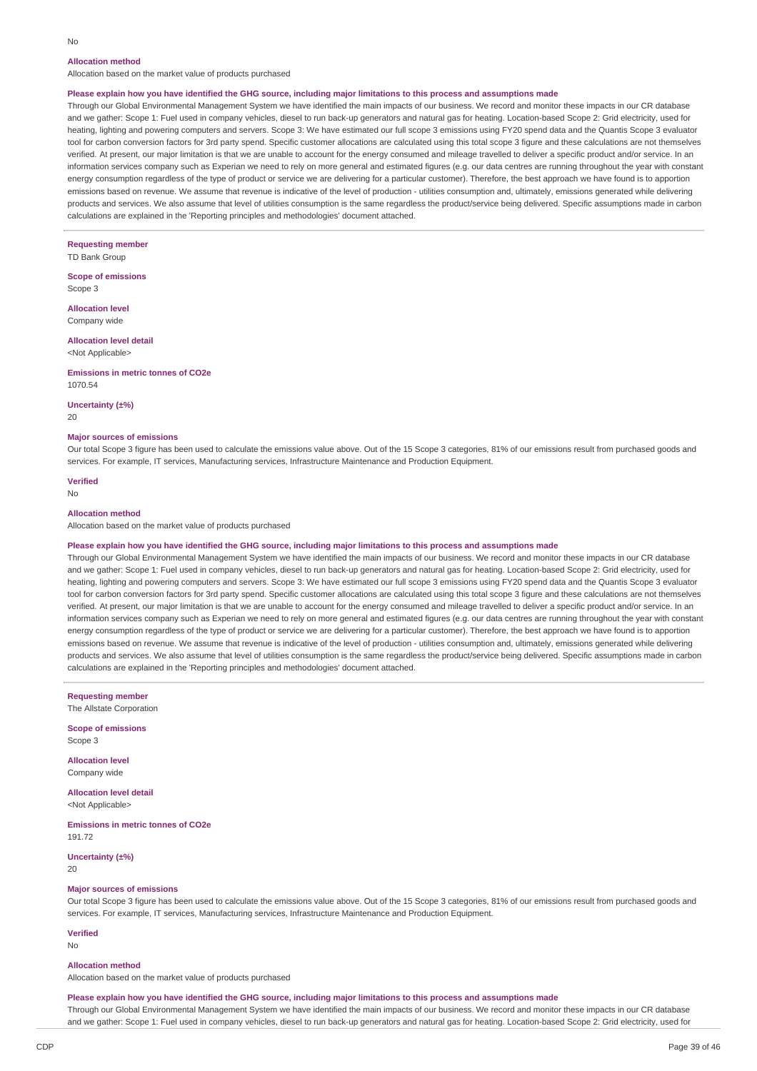# **Allocation method**

Allocation based on the market value of products purchased

#### Please explain how you have identified the GHG source, including major limitations to this process and assumptions made

Through our Global Environmental Management System we have identified the main impacts of our business. We record and monitor these impacts in our CR database and we gather: Scope 1: Fuel used in company vehicles, diesel to run back-up generators and natural gas for heating. Location-based Scope 2: Grid electricity, used for heating, lighting and powering computers and servers. Scope 3: We have estimated our full scope 3 emissions using FY20 spend data and the Quantis Scope 3 evaluator tool for carbon conversion factors for 3rd party spend. Specific customer allocations are calculated using this total scope 3 figure and these calculations are not themselves verified. At present, our major limitation is that we are unable to account for the energy consumed and mileage travelled to deliver a specific product and/or service. In an information services company such as Experian we need to rely on more general and estimated figures (e.g. our data centres are running throughout the year with constant energy consumption regardless of the type of product or service we are delivering for a particular customer). Therefore, the best approach we have found is to apportion emissions based on revenue. We assume that revenue is indicative of the level of production - utilities consumption and, ultimately, emissions generated while delivering products and services. We also assume that level of utilities consumption is the same regardless the product/service being delivered. Specific assumptions made in carbon calculations are explained in the 'Reporting principles and methodologies' document attached.

**Requesting member** TD Bank Group

**Scope of emissions** Scope 3

**Allocation level** Company wide

#### **Allocation level detail** <Not Applicable>

#### **Emissions in metric tonnes of CO2e** 1070.54

**Uncertainty (±%)**

20

### **Major sources of emissions**

Our total Scope 3 figure has been used to calculate the emissions value above. Out of the 15 Scope 3 categories, 81% of our emissions result from purchased goods and services. For example, IT services, Manufacturing services, Infrastructure Maintenance and Production Equipment.

**Verified**

#### No

#### **Allocation method**

Allocation based on the market value of products purchased

#### Please explain how you have identified the GHG source, including major limitations to this process and assumptions made

Through our Global Environmental Management System we have identified the main impacts of our business. We record and monitor these impacts in our CR database and we gather: Scope 1: Fuel used in company vehicles, diesel to run back-up generators and natural gas for heating. Location-based Scope 2: Grid electricity, used for heating, lighting and powering computers and servers. Scope 3: We have estimated our full scope 3 emissions using FY20 spend data and the Quantis Scope 3 evaluator tool for carbon conversion factors for 3rd party spend. Specific customer allocations are calculated using this total scope 3 figure and these calculations are not themselves verified. At present, our major limitation is that we are unable to account for the energy consumed and mileage travelled to deliver a specific product and/or service. In an information services company such as Experian we need to rely on more general and estimated figures (e.g. our data centres are running throughout the year with constant energy consumption regardless of the type of product or service we are delivering for a particular customer). Therefore, the best approach we have found is to apportion emissions based on revenue. We assume that revenue is indicative of the level of production - utilities consumption and, ultimately, emissions generated while delivering products and services. We also assume that level of utilities consumption is the same regardless the product/service being delivered. Specific assumptions made in carbon calculations are explained in the 'Reporting principles and methodologies' document attached.

**Requesting member** The Allstate Corporation

**Scope of emissions** Scope 3

**Allocation level** Company wide

**Allocation level detail** <Not Applicable>

**Emissions in metric tonnes of CO2e** 191.72

**Uncertainty (±%)** 20

#### **Major sources of emissions**

Our total Scope 3 figure has been used to calculate the emissions value above. Out of the 15 Scope 3 categories, 81% of our emissions result from purchased goods and services. For example, IT services, Manufacturing services, Infrastructure Maintenance and Production Equipment.

#### **Verified**

No

#### **Allocation method**

Allocation based on the market value of products purchased

#### Please explain how you have identified the GHG source, including major limitations to this process and assumptions made

Through our Global Environmental Management System we have identified the main impacts of our business. We record and monitor these impacts in our CR database and we gather: Scope 1: Fuel used in company vehicles, diesel to run back-up generators and natural gas for heating. Location-based Scope 2: Grid electricity, used for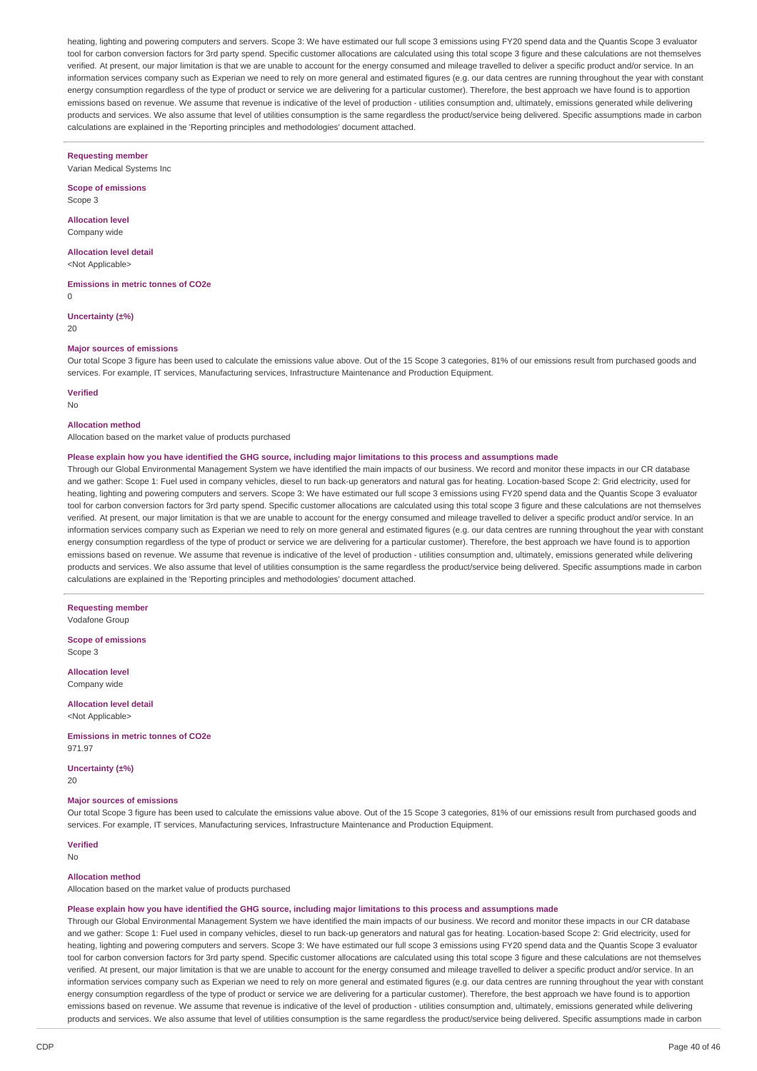heating, lighting and powering computers and servers. Scope 3: We have estimated our full scope 3 emissions using FY20 spend data and the Quantis Scope 3 evaluator tool for carbon conversion factors for 3rd party spend. Specific customer allocations are calculated using this total scope 3 figure and these calculations are not themselves verified. At present, our major limitation is that we are unable to account for the energy consumed and mileage travelled to deliver a specific product and/or service. In an information services company such as Experian we need to rely on more general and estimated figures (e.g. our data centres are running throughout the year with constant energy consumption regardless of the type of product or service we are delivering for a particular customer). Therefore, the best approach we have found is to apportion emissions based on revenue. We assume that revenue is indicative of the level of production - utilities consumption and, ultimately, emissions generated while delivering products and services. We also assume that level of utilities consumption is the same regardless the product/service being delivered. Specific assumptions made in carbon calculations are explained in the 'Reporting principles and methodologies' document attached.

#### **Requesting member**

Varian Medical Systems Inc

**Scope of emissions** Scope 3

**Allocation level** Company wide

**Allocation level detail** <Not Applicable>

**Emissions in metric tonnes of CO2e**

0

**Uncertainty (±%)**

20

#### **Major sources of emissions**

Our total Scope 3 figure has been used to calculate the emissions value above. Out of the 15 Scope 3 categories, 81% of our emissions result from purchased goods and services. For example, IT services, Manufacturing services, Infrastructure Maintenance and Production Equipment.

**Verified**

No

### **Allocation method**

Allocation based on the market value of products purchased

# Please explain how you have identified the GHG source, including major limitations to this process and assumptions made

Through our Global Environmental Management System we have identified the main impacts of our business. We record and monitor these impacts in our CR database and we gather: Scope 1: Fuel used in company vehicles, diesel to run back-up generators and natural gas for heating. Location-based Scope 2: Grid electricity, used for heating, lighting and powering computers and servers. Scope 3: We have estimated our full scope 3 emissions using FY20 spend data and the Ouantis Scope 3 evaluator tool for carbon conversion factors for 3rd party spend. Specific customer allocations are calculated using this total scope 3 figure and these calculations are not themselves verified. At present, our major limitation is that we are unable to account for the energy consumed and mileage travelled to deliver a specific product and/or service. In an information services company such as Experian we need to rely on more general and estimated figures (e.g. our data centres are running throughout the year with constant energy consumption regardless of the type of product or service we are delivering for a particular customer). Therefore, the best approach we have found is to apportion emissions based on revenue. We assume that revenue is indicative of the level of production - utilities consumption and, ultimately, emissions generated while delivering products and services. We also assume that level of utilities consumption is the same regardless the product/service being delivered. Specific assumptions made in carbon calculations are explained in the 'Reporting principles and methodologies' document attached.

**Requesting member** Vodafone Group

**Scope of emissions** Scope 3

**Allocation level** Company wide

**Allocation level detail** <Not Applicable>

**Emissions in metric tonnes of CO2e** 971.97

**Uncertainty (±%)** 20

# **Major sources of emissions**

Our total Scope 3 figure has been used to calculate the emissions value above. Out of the 15 Scope 3 categories, 81% of our emissions result from purchased goods and services. For example, IT services, Manufacturing services, Infrastructure Maintenance and Production Equipment.

#### **Verified**

No

#### **Allocation method**

Allocation based on the market value of products purchased

#### Please explain how you have identified the GHG source, including major limitations to this process and assumptions made

Through our Global Environmental Management System we have identified the main impacts of our business. We record and monitor these impacts in our CR database and we gather: Scope 1: Fuel used in company vehicles, diesel to run back-up generators and natural gas for heating. Location-based Scope 2: Grid electricity, used for heating, lighting and powering computers and servers. Scope 3: We have estimated our full scope 3 emissions using FY20 spend data and the Quantis Scope 3 evaluator tool for carbon conversion factors for 3rd party spend. Specific customer allocations are calculated using this total scope 3 figure and these calculations are not themselves verified. At present, our major limitation is that we are unable to account for the energy consumed and mileage travelled to deliver a specific product and/or service. In an information services company such as Experian we need to rely on more general and estimated figures (e.g. our data centres are running throughout the year with constant energy consumption regardless of the type of product or service we are delivering for a particular customer). Therefore, the best approach we have found is to apportion emissions based on revenue. We assume that revenue is indicative of the level of production - utilities consumption and, ultimately, emissions generated while delivering products and services. We also assume that level of utilities consumption is the same regardless the product/service being delivered. Specific assumptions made in carbon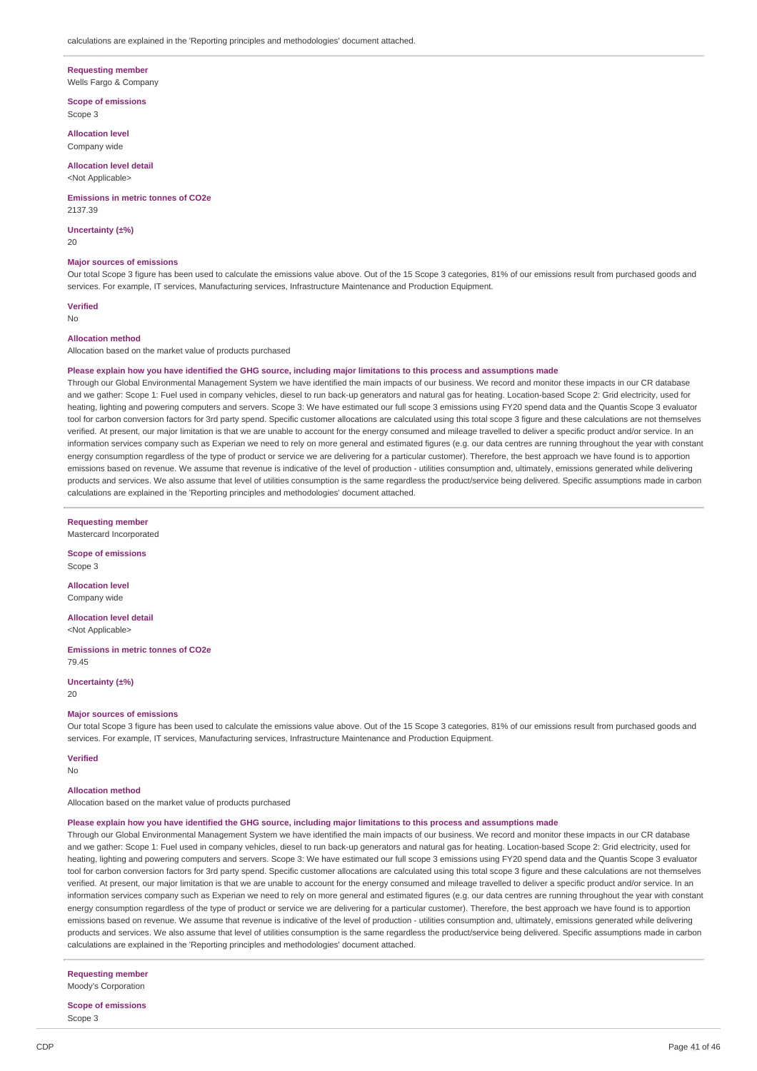# **Requesting member**

Wells Fargo & Company

#### **Scope of emissions**

Scope 3

**Allocation level** Company wide

### **Allocation level detail**

<Not Applicable>

#### **Emissions in metric tonnes of CO2e**

2137.39

**Uncertainty (±%)** 20

#### **Major sources of emissions**

Our total Scope 3 figure has been used to calculate the emissions value above. Out of the 15 Scope 3 categories, 81% of our emissions result from purchased goods and services. For example, IT services, Manufacturing services, Infrastructure Maintenance and Production Equipment.

#### **Verified**

No

#### **Allocation method**

Allocation based on the market value of products purchased

#### Please explain how you have identified the GHG source, including major limitations to this process and assumptions made

Through our Global Environmental Management System we have identified the main impacts of our business. We record and monitor these impacts in our CR database and we gather: Scope 1: Fuel used in company vehicles, diesel to run back-up generators and natural gas for heating. Location-based Scope 2: Grid electricity, used for heating, lighting and powering computers and servers. Scope 3: We have estimated our full scope 3 emissions using FY20 spend data and the Quantis Scope 3 evaluator tool for carbon conversion factors for 3rd party spend. Specific customer allocations are calculated using this total scope 3 figure and these calculations are not themselves verified. At present, our major limitation is that we are unable to account for the energy consumed and mileage travelled to deliver a specific product and/or service. In an information services company such as Experian we need to rely on more general and estimated figures (e.g. our data centres are running throughout the year with constant energy consumption regardless of the type of product or service we are delivering for a particular customer). Therefore, the best approach we have found is to apportion emissions based on revenue. We assume that revenue is indicative of the level of production - utilities consumption and, ultimately, emissions generated while delivering products and services. We also assume that level of utilities consumption is the same regardless the product/service being delivered. Specific assumptions made in carbon calculations are explained in the 'Reporting principles and methodologies' document attached.

**Requesting member**

Mastercard Incorporated

**Scope of emissions** Scope 3

**Allocation level** Company wide

**Allocation level detail** <Not Applicable>

**Emissions in metric tonnes of CO2e** 79.45

**Uncertainty (±%)**

### 20

# **Major sources of emissions**

Our total Scope 3 figure has been used to calculate the emissions value above. Out of the 15 Scope 3 categories, 81% of our emissions result from purchased goods and services. For example, IT services, Manufacturing services, Infrastructure Maintenance and Production Equipment.

#### **Verified**

No

### **Allocation method**

Allocation based on the market value of products purchased

#### Please explain how you have identified the GHG source, including major limitations to this process and assumptions made

Through our Global Environmental Management System we have identified the main impacts of our business. We record and monitor these impacts in our CR database and we gather: Scope 1: Fuel used in company vehicles, diesel to run back-up generators and natural gas for heating. Location-based Scope 2: Grid electricity, used for heating, lighting and powering computers and servers. Scope 3: We have estimated our full scope 3 emissions using FY20 spend data and the Quantis Scope 3 evaluator tool for carbon conversion factors for 3rd party spend. Specific customer allocations are calculated using this total scope 3 figure and these calculations are not themselves verified. At present, our major limitation is that we are unable to account for the energy consumed and mileage travelled to deliver a specific product and/or service. In an information services company such as Experian we need to rely on more general and estimated figures (e.g. our data centres are running throughout the year with constant energy consumption regardless of the type of product or service we are delivering for a particular customer). Therefore, the best approach we have found is to apportion emissions based on revenue. We assume that revenue is indicative of the level of production - utilities consumption and, ultimately, emissions generated while delivering products and services. We also assume that level of utilities consumption is the same regardless the product/service being delivered. Specific assumptions made in carbon calculations are explained in the 'Reporting principles and methodologies' document attached.

**Requesting member** Moody's Corporation

**Scope of emissions** Scope 3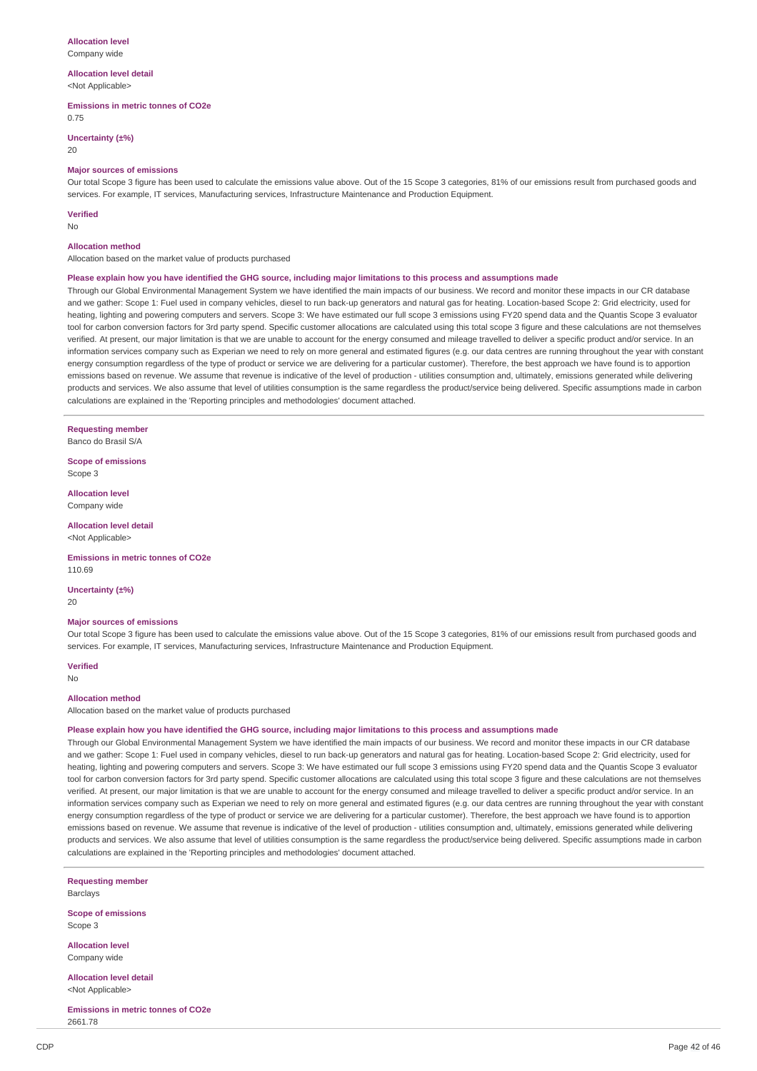# **Allocation level**

Company wide

#### **Allocation level detail** <Not Applicable>

# **Emissions in metric tonnes of CO2e**

0.75

### **Uncertainty (±%)**

20

#### **Major sources of emissions**

Our total Scope 3 figure has been used to calculate the emissions value above. Out of the 15 Scope 3 categories, 81% of our emissions result from purchased goods and services. For example, IT services, Manufacturing services, Infrastructure Maintenance and Production Equipment.

### **Verified**

No

### **Allocation method**

Allocation based on the market value of products purchased

#### Please explain how you have identified the GHG source, including major limitations to this process and assumptions made

Through our Global Environmental Management System we have identified the main impacts of our business. We record and monitor these impacts in our CR database and we gather: Scope 1: Fuel used in company vehicles, diesel to run back-up generators and natural gas for heating. Location-based Scope 2: Grid electricity, used for heating, lighting and powering computers and servers. Scope 3: We have estimated our full scope 3 emissions using FY20 spend data and the Quantis Scope 3 evaluator tool for carbon conversion factors for 3rd party spend. Specific customer allocations are calculated using this total scope 3 figure and these calculations are not themselves verified. At present, our major limitation is that we are unable to account for the energy consumed and mileage travelled to deliver a specific product and/or service. In an information services company such as Experian we need to rely on more general and estimated figures (e.g. our data centres are running throughout the year with constant energy consumption regardless of the type of product or service we are delivering for a particular customer). Therefore, the best approach we have found is to apportion emissions based on revenue. We assume that revenue is indicative of the level of production - utilities consumption and, ultimately, emissions generated while delivering products and services. We also assume that level of utilities consumption is the same regardless the product/service being delivered. Specific assumptions made in carbon calculations are explained in the 'Reporting principles and methodologies' document attached.

**Requesting member** Banco do Brasil S/A

**Scope of emissions** Scope 3

**Allocation level** Company wide

**Allocation level detail** <Not Applicable>

**Emissions in metric tonnes of CO2e** 110.69

**Uncertainty (±%)**  $20$ 

### **Major sources of emissions**

Our total Scope 3 figure has been used to calculate the emissions value above. Out of the 15 Scope 3 categories, 81% of our emissions result from purchased goods and services. For example, IT services, Manufacturing services, Infrastructure Maintenance and Production Equipment.

#### **Verified**

No

#### **Allocation method**

Allocation based on the market value of products purchased

#### Please explain how you have identified the GHG source, including major limitations to this process and assumptions made

Through our Global Environmental Management System we have identified the main impacts of our business. We record and monitor these impacts in our CR database and we gather: Scope 1: Fuel used in company vehicles, diesel to run back-up generators and natural gas for heating. Location-based Scope 2: Grid electricity, used for heating, lighting and powering computers and servers. Scope 3: We have estimated our full scope 3 emissions using FY20 spend data and the Quantis Scope 3 evaluator tool for carbon conversion factors for 3rd party spend. Specific customer allocations are calculated using this total scope 3 figure and these calculations are not themselves verified. At present, our major limitation is that we are unable to account for the energy consumed and mileage travelled to deliver a specific product and/or service. In an information services company such as Experian we need to rely on more general and estimated figures (e.g. our data centres are running throughout the year with constant energy consumption regardless of the type of product or service we are delivering for a particular customer). Therefore, the best approach we have found is to apportion emissions based on revenue. We assume that revenue is indicative of the level of production - utilities consumption and, ultimately, emissions generated while delivering products and services. We also assume that level of utilities consumption is the same regardless the product/service being delivered. Specific assumptions made in carbon calculations are explained in the 'Reporting principles and methodologies' document attached.

**Requesting member** Barclays

**Scope of emissions** Scope 3

**Allocation level** Company wide

**Allocation level detail** <Not Applicable>

**Emissions in metric tonnes of CO2e** 2661.78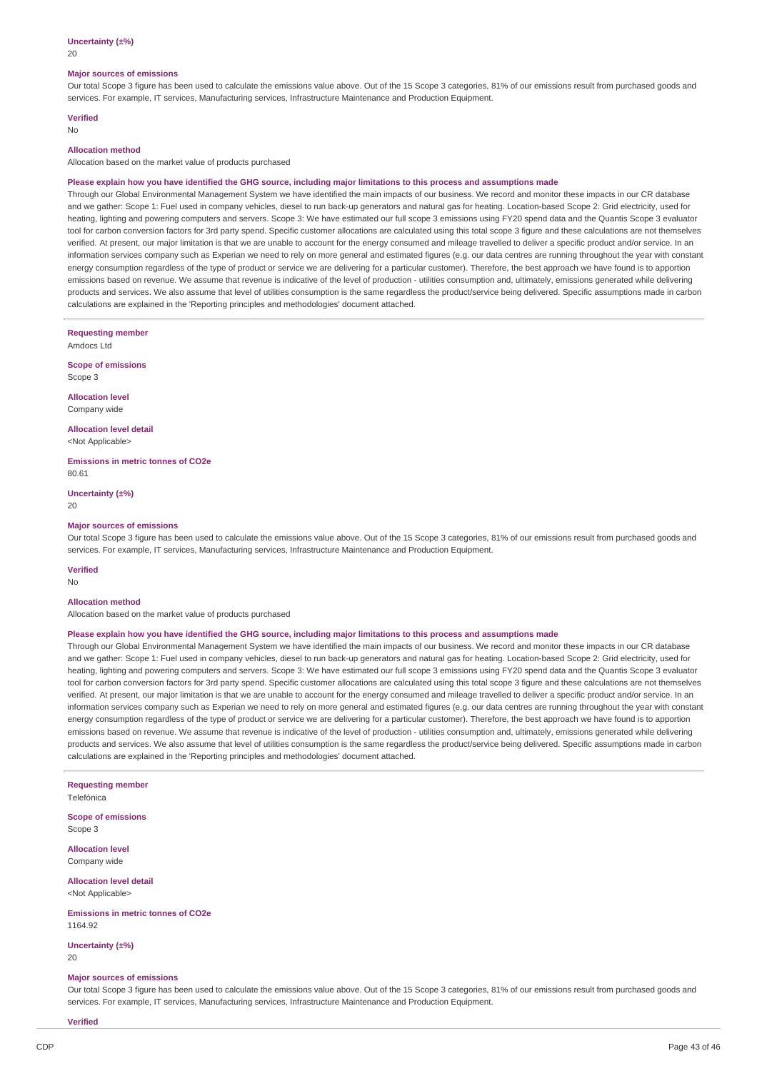20

#### **Major sources of emissions**

Our total Scope 3 figure has been used to calculate the emissions value above. Out of the 15 Scope 3 categories, 81% of our emissions result from purchased goods and services. For example, IT services, Manufacturing services, Infrastructure Maintenance and Production Equipment.

# **Verified**

No

# **Allocation method**

Allocation based on the market value of products purchased

#### Please explain how you have identified the GHG source, including major limitations to this process and assumptions made

Through our Global Environmental Management System we have identified the main impacts of our business. We record and monitor these impacts in our CR database and we gather: Scope 1: Fuel used in company vehicles, diesel to run back-up generators and natural gas for heating. Location-based Scope 2: Grid electricity, used for heating, lighting and powering computers and servers. Scope 3: We have estimated our full scope 3 emissions using FY20 spend data and the Quantis Scope 3 evaluator tool for carbon conversion factors for 3rd party spend. Specific customer allocations are calculated using this total scope 3 figure and these calculations are not themselves verified. At present, our major limitation is that we are unable to account for the energy consumed and mileage travelled to deliver a specific product and/or service. In an information services company such as Experian we need to rely on more general and estimated figures (e.g. our data centres are running throughout the year with constant energy consumption regardless of the type of product or service we are delivering for a particular customer). Therefore, the best approach we have found is to apportion emissions based on revenue. We assume that revenue is indicative of the level of production - utilities consumption and, ultimately, emissions generated while delivering products and services. We also assume that level of utilities consumption is the same regardless the product/service being delivered. Specific assumptions made in carbon calculations are explained in the 'Reporting principles and methodologies' document attached.

**Requesting member**

Amdocs Ltd

**Scope of emissions** Scope 3

**Allocation level** Company wide

**Allocation level detail** <Not Applicable>

**Emissions in metric tonnes of CO2e** 80.61

**Uncertainty (±%)**  $20$ 

### **Major sources of emissions**

Our total Scope 3 figure has been used to calculate the emissions value above. Out of the 15 Scope 3 categories, 81% of our emissions result from purchased goods and services. For example, IT services, Manufacturing services, Infrastructure Maintenance and Production Equipment.

#### **Verified**

No

#### **Allocation method**

Allocation based on the market value of products purchased

#### Please explain how you have identified the GHG source, including major limitations to this process and assumptions made

Through our Global Environmental Management System we have identified the main impacts of our business. We record and monitor these impacts in our CR database and we gather: Scope 1: Fuel used in company vehicles, diesel to run back-up generators and natural gas for heating. Location-based Scope 2: Grid electricity, used for heating, lighting and powering computers and servers. Scope 3: We have estimated our full scope 3 emissions using FY20 spend data and the Quantis Scope 3 evaluator tool for carbon conversion factors for 3rd party spend. Specific customer allocations are calculated using this total scope 3 figure and these calculations are not themselves verified. At present, our major limitation is that we are unable to account for the energy consumed and mileage travelled to deliver a specific product and/or service. In an information services company such as Experian we need to rely on more general and estimated figures (e.g. our data centres are running throughout the year with constant energy consumption regardless of the type of product or service we are delivering for a particular customer). Therefore, the best approach we have found is to apportion emissions based on revenue. We assume that revenue is indicative of the level of production - utilities consumption and, ultimately, emissions generated while delivering products and services. We also assume that level of utilities consumption is the same regardless the product/service being delivered. Specific assumptions made in carbon calculations are explained in the 'Reporting principles and methodologies' document attached.

**Requesting member** Telefónica

**Scope of emissions** Scope 3

**Allocation level** Company wide

**Allocation level detail** <Not Applicable>

**Emissions in metric tonnes of CO2e** 1164.92

**Uncertainty (±%)**  $20$ 

#### **Major sources of emissions**

Our total Scope 3 figure has been used to calculate the emissions value above. Out of the 15 Scope 3 categories, 81% of our emissions result from purchased goods and services. For example, IT services, Manufacturing services, Infrastructure Maintenance and Production Equipment.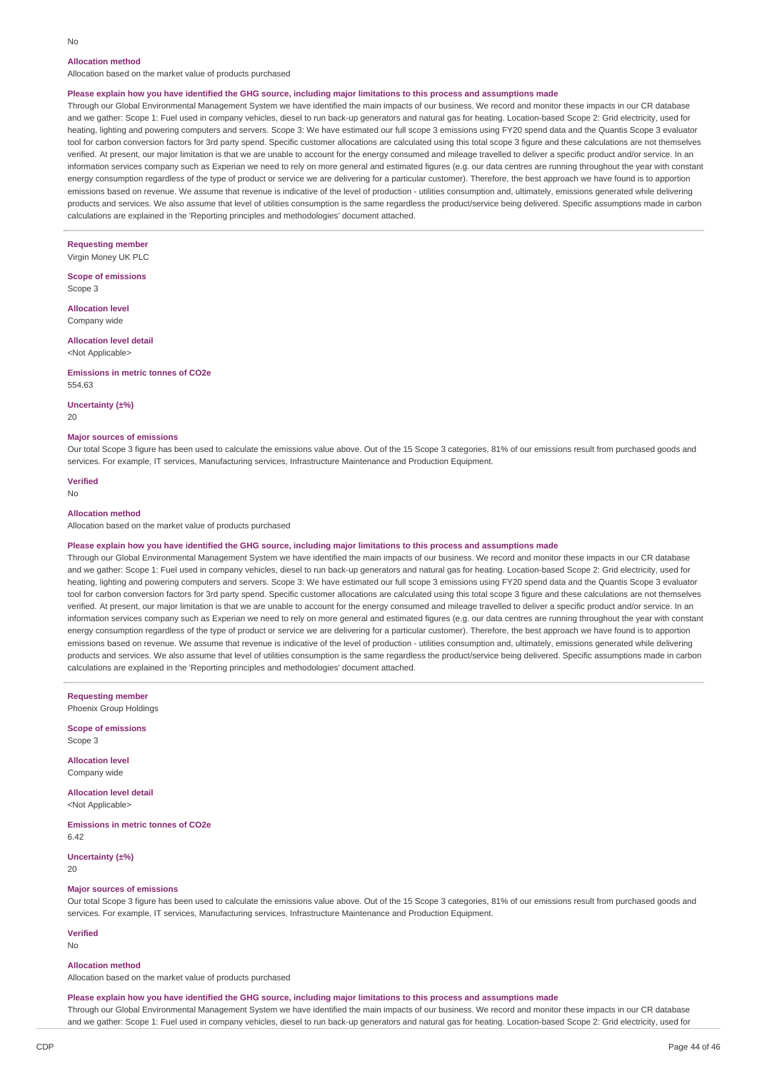# **Allocation method**

Allocation based on the market value of products purchased

#### Please explain how you have identified the GHG source, including major limitations to this process and assumptions made

Through our Global Environmental Management System we have identified the main impacts of our business. We record and monitor these impacts in our CR database and we gather: Scope 1: Fuel used in company vehicles, diesel to run back-up generators and natural gas for heating. Location-based Scope 2: Grid electricity, used for heating, lighting and powering computers and servers. Scope 3: We have estimated our full scope 3 emissions using FY20 spend data and the Quantis Scope 3 evaluator tool for carbon conversion factors for 3rd party spend. Specific customer allocations are calculated using this total scope 3 figure and these calculations are not themselves verified. At present, our major limitation is that we are unable to account for the energy consumed and mileage travelled to deliver a specific product and/or service. In an information services company such as Experian we need to rely on more general and estimated figures (e.g. our data centres are running throughout the year with constant energy consumption regardless of the type of product or service we are delivering for a particular customer). Therefore, the best approach we have found is to apportion emissions based on revenue. We assume that revenue is indicative of the level of production - utilities consumption and, ultimately, emissions generated while delivering products and services. We also assume that level of utilities consumption is the same regardless the product/service being delivered. Specific assumptions made in carbon calculations are explained in the 'Reporting principles and methodologies' document attached.

# **Requesting member**

Virgin Money UK PLC

**Scope of emissions** Scope 3

**Allocation level** Company wide

#### **Allocation level detail** <Not Applicable>

**Emissions in metric tonnes of CO2e** 554.63

#### **Uncertainty (±%)**

20

### **Major sources of emissions**

Our total Scope 3 figure has been used to calculate the emissions value above. Out of the 15 Scope 3 categories, 81% of our emissions result from purchased goods and services. For example, IT services, Manufacturing services, Infrastructure Maintenance and Production Equipment.

**Verified**

#### No

#### **Allocation method**

Allocation based on the market value of products purchased

#### Please explain how you have identified the GHG source, including major limitations to this process and assumptions made

Through our Global Environmental Management System we have identified the main impacts of our business. We record and monitor these impacts in our CR database and we gather: Scope 1: Fuel used in company vehicles, diesel to run back-up generators and natural gas for heating. Location-based Scope 2: Grid electricity, used for heating, lighting and powering computers and servers. Scope 3: We have estimated our full scope 3 emissions using FY20 spend data and the Quantis Scope 3 evaluator tool for carbon conversion factors for 3rd party spend. Specific customer allocations are calculated using this total scope 3 figure and these calculations are not themselves verified. At present, our major limitation is that we are unable to account for the energy consumed and mileage travelled to deliver a specific product and/or service. In an information services company such as Experian we need to rely on more general and estimated figures (e.g. our data centres are running throughout the year with constant energy consumption regardless of the type of product or service we are delivering for a particular customer). Therefore, the best approach we have found is to apportion emissions based on revenue. We assume that revenue is indicative of the level of production - utilities consumption and, ultimately, emissions generated while delivering products and services. We also assume that level of utilities consumption is the same regardless the product/service being delivered. Specific assumptions made in carbon calculations are explained in the 'Reporting principles and methodologies' document attached.

**Requesting member** Phoenix Group Holdings

**Scope of emissions** Scope 3

**Allocation level** Company wide

**Allocation level detail** <Not Applicable>

**Emissions in metric tonnes of CO2e** 6.42

**Uncertainty (±%)** 20

#### **Major sources of emissions**

Our total Scope 3 figure has been used to calculate the emissions value above. Out of the 15 Scope 3 categories, 81% of our emissions result from purchased goods and services. For example, IT services, Manufacturing services, Infrastructure Maintenance and Production Equipment.

#### **Verified**

No

#### **Allocation method**

Allocation based on the market value of products purchased

#### Please explain how you have identified the GHG source, including major limitations to this process and assumptions made

Through our Global Environmental Management System we have identified the main impacts of our business. We record and monitor these impacts in our CR database and we gather: Scope 1: Fuel used in company vehicles, diesel to run back-up generators and natural gas for heating. Location-based Scope 2: Grid electricity, used for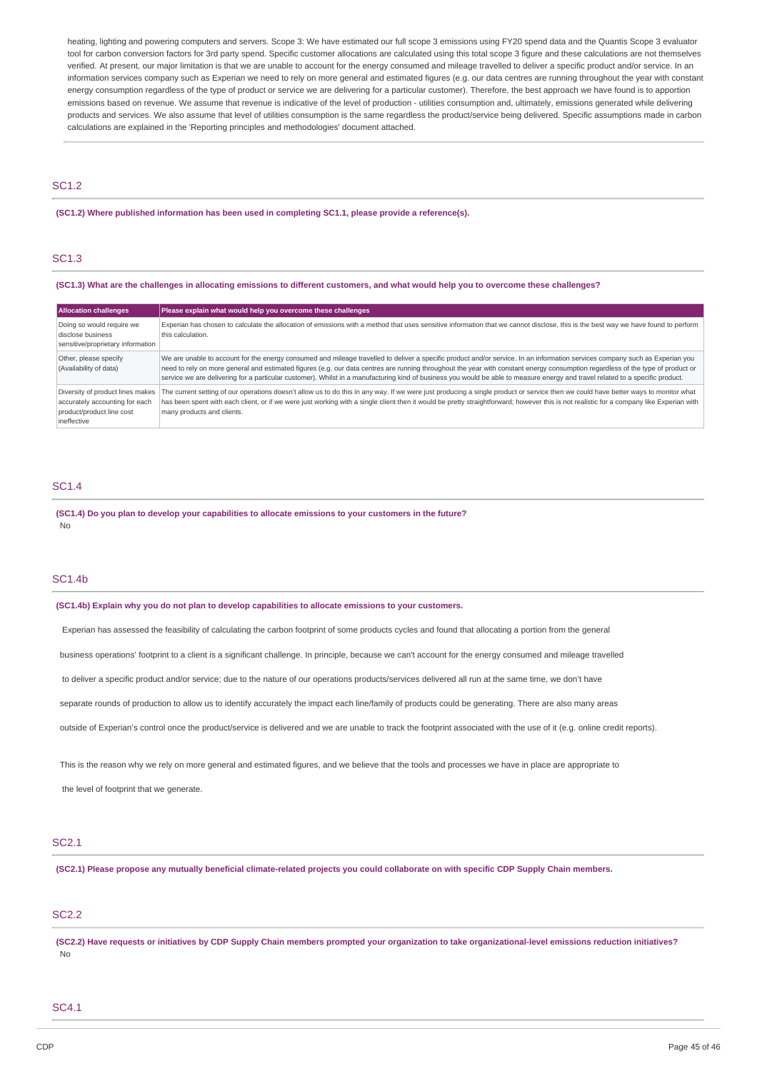heating, lighting and powering computers and servers. Scope 3: We have estimated our full scope 3 emissions using FY20 spend data and the Quantis Scope 3 evaluator tool for carbon conversion factors for 3rd party spend. Specific customer allocations are calculated using this total scope 3 figure and these calculations are not themselves verified. At present, our major limitation is that we are unable to account for the energy consumed and mileage travelled to deliver a specific product and/or service. In an information services company such as Experian we need to rely on more general and estimated figures (e.g. our data centres are running throughout the year with constant energy consumption regardless of the type of product or service we are delivering for a particular customer). Therefore, the best approach we have found is to apportion emissions based on revenue. We assume that revenue is indicative of the level of production - utilities consumption and, ultimately, emissions generated while delivering products and services. We also assume that level of utilities consumption is the same regardless the product/service being delivered. Specific assumptions made in carbon calculations are explained in the 'Reporting principles and methodologies' document attached.

### SC1.2

### **(SC1.2) Where published information has been used in completing SC1.1, please provide a reference(s).**

# SC1.3

### (SC1.3) What are the challenges in allocating emissions to different customers, and what would help you to overcome these challenges?

| <b>Allocation challenges</b>                                                                                   | Please explain what would help you overcome these challenges                                                                                                                                                                                                                                                                                                                                                                                                                                                                                      |  |
|----------------------------------------------------------------------------------------------------------------|---------------------------------------------------------------------------------------------------------------------------------------------------------------------------------------------------------------------------------------------------------------------------------------------------------------------------------------------------------------------------------------------------------------------------------------------------------------------------------------------------------------------------------------------------|--|
| Doing so would require we<br>disclose business<br>sensitive/proprietary information                            | Experian has chosen to calculate the allocation of emissions with a method that uses sensitive information that we cannot disclose, this is the best way we have found to perform<br>this calculation.                                                                                                                                                                                                                                                                                                                                            |  |
| Other, please specify<br>(Availability of data)                                                                | We are unable to account for the energy consumed and mileage travelled to deliver a specific product and/or service. In an information services company such as Experian you<br>need to rely on more general and estimated figures (e.g. our data centres are running throughout the year with constant energy consumption regardless of the type of product or<br>service we are delivering for a particular customer). Whilst in a manufacturing kind of business you would be able to measure energy and travel related to a specific product. |  |
| Diversity of product lines makes<br>accurately accounting for each<br>product/product line cost<br>ineffective | The current setting of our operations doesn't allow us to do this in any way. If we were just producing a single product or service then we could have better ways to monitor what<br>has been spent with each client, or if we were just working with a single client then it would be pretty straightforward; however this is not realistic for a company like Experian with<br>many products and clients.                                                                                                                                      |  |

### SC1.4

**(SC1.4) Do you plan to develop your capabilities to allocate emissions to your customers in the future?** No

### SC1.4b

**(SC1.4b) Explain why you do not plan to develop capabilities to allocate emissions to your customers.**

Experian has assessed the feasibility of calculating the carbon footprint of some products cycles and found that allocating a portion from the general

business operations' footprint to a client is a significant challenge. In principle, because we can't account for the energy consumed and mileage travelled

to deliver a specific product and/or service; due to the nature of our operations products/services delivered all run at the same time, we don't have

separate rounds of production to allow us to identify accurately the impact each line/family of products could be generating. There are also many areas

outside of Experian's control once the product/service is delivered and we are unable to track the footprint associated with the use of it (e.g. online credit reports).

This is the reason why we rely on more general and estimated figures, and we believe that the tools and processes we have in place are appropriate to

the level of footprint that we generate.

# SC2.1

(SC2.1) Please propose any mutually beneficial climate-related projects you could collaborate on with specific CDP Supply Chain members.

# SC2.2

(SC2.2) Have requests or initiatives by CDP Supply Chain members prompted your organization to take organizational-level emissions reduction initiatives? No

# SC4.1